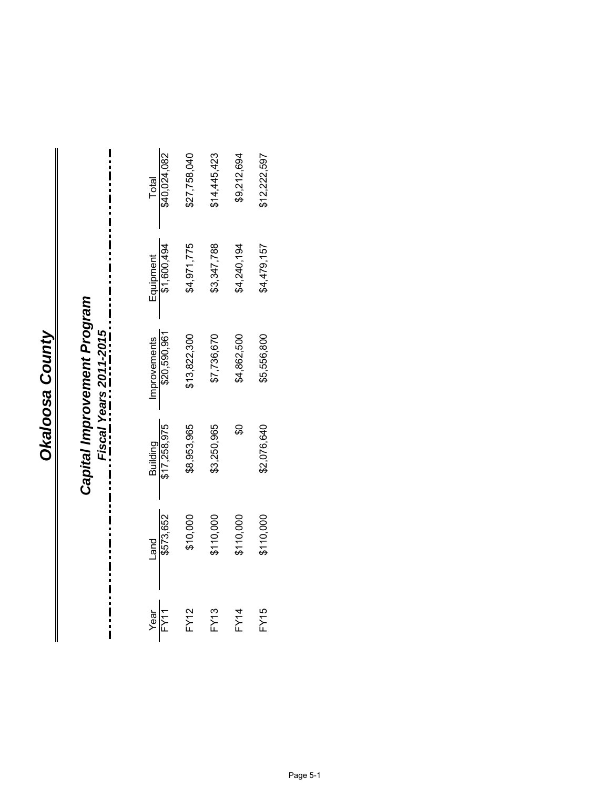# Capital Improvement Program *Capital Improvement Program Fiscal Years 2011-2015*

|              | Total<br>\$40,024,082           | \$27,758,040 | \$14,445,423 | \$9,212,694 | \$12,222,597 |
|--------------|---------------------------------|--------------|--------------|-------------|--------------|
|              | Equipment<br>\$1,600,494        | \$4,971,775  | 33,347,788   | 34,240,194  | 64,479,157   |
|              | Improvements<br>\$20,590,961    | \$13,822,300 | \$7,736,670  | 4,862,500   | \$5,556,800  |
|              | Building<br>\$17,258,975        | \$8,953,965  | \$3,250,965  |             | \$2,076,640  |
|              | $\frac{\text{Land}}{\$573,652}$ | \$10,000     | \$110,000    | \$110,000   | \$110,000    |
| Year<br>FY11 |                                 | <b>FY12</b>  | FY13         | <b>FY14</b> | FY15         |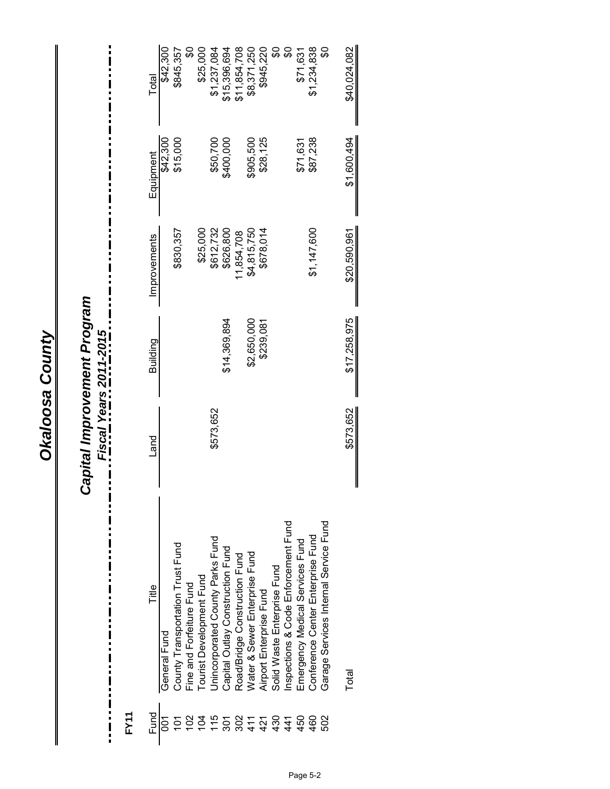## *Capital Improvement Program*

*Fiscal Years 2011-2015*

 $\frac{1}{1}$ 

**FY11**

:<br>:<br>:

| Total        | \$42,300       | \$845,357                        | \$                       | \$25,000                 | \$1,237,084                      | \$15,396,694                     | \$11,854,708                  | \$8,371,250                   | \$945,220               |                             | ္တ                                 | \$71,631                        | \$1,234,838                       | န္တ                                   | \$40,024,082 |
|--------------|----------------|----------------------------------|--------------------------|--------------------------|----------------------------------|----------------------------------|-------------------------------|-------------------------------|-------------------------|-----------------------------|------------------------------------|---------------------------------|-----------------------------------|---------------------------------------|--------------|
| Equipment    | \$42,300       | \$15,000                         |                          |                          | \$50,700                         | \$400,000                        |                               | \$905,500                     | \$28,125                |                             |                                    | \$71,631                        | \$87,238                          |                                       | \$1,600,494  |
| Improvements |                | \$830,357                        |                          | \$25,000                 | \$612,732                        | \$626,800                        | 1,854,708                     | \$4,815,750                   | \$678,014               |                             |                                    |                                 | \$1,147,600                       |                                       | \$20,590,961 |
| Building     |                |                                  |                          |                          |                                  | \$14,369,894                     |                               | \$2,650,000                   | \$239,081               |                             |                                    |                                 |                                   |                                       | \$17,258,975 |
| Land         |                |                                  |                          |                          | \$573,652                        |                                  |                               |                               |                         |                             |                                    |                                 |                                   |                                       | \$573,652    |
| Title        | General Fund   | County Transportation Trust Fund | Fine and Forfeiture Fund | Tourist Development Fund | Jnincorporated County Parks Fund | Capital Outlay Construction Fund | Road/Bridge Construction Fund | Water & Sewer Enterprise Fund | Airport Enterprise Fund | Solid Waste Enterprise Fund | nspections & Code Enforcement Fund | Emergency Medical Services Fund | Conference Center Enterprise Fund | Garage Services Internal Service Fund | Total        |
| Fund         | $\overline{5}$ |                                  |                          |                          | 5555877377878                    |                                  |                               |                               |                         |                             |                                    |                                 | 460                               | 502                                   |              |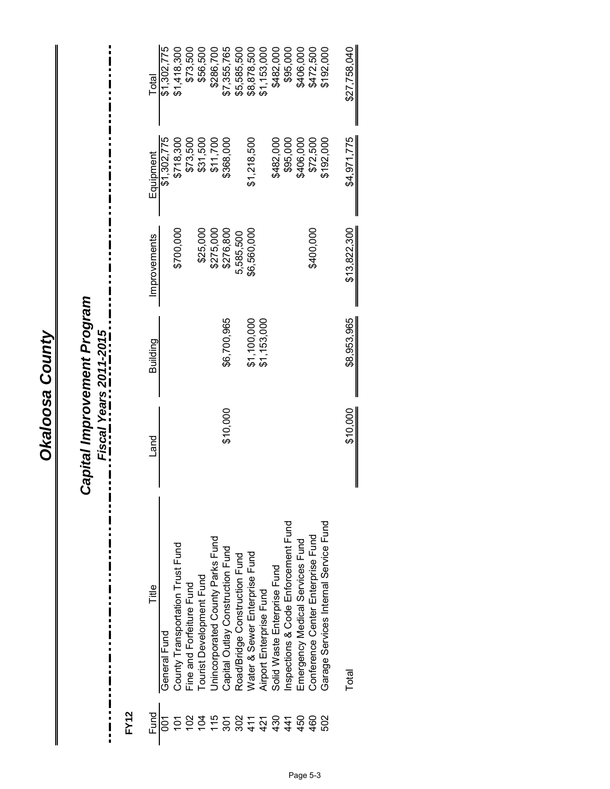## *Capital Improvement Program*

*Fiscal Years 2011-2015*

 $\ddot{\phantom{a}}$ 

**FY12**

 $\frac{1}{2}$ 

| Total        | \$1,302,775  | \$1,418,300                      | \$73,500                 | \$56,500                 | \$286.700                        | \$7,355,765                      | \$5,585,500                   | \$8,878,500                   | \$1,153,000             | \$482,000                   | \$95,000                           | \$406,000                       | \$472,500                         | \$192,000                             | \$27,758,040 |
|--------------|--------------|----------------------------------|--------------------------|--------------------------|----------------------------------|----------------------------------|-------------------------------|-------------------------------|-------------------------|-----------------------------|------------------------------------|---------------------------------|-----------------------------------|---------------------------------------|--------------|
| Equipment    | \$1,302,775  | \$718,300                        | \$73,500                 | \$31,500                 | \$11,700                         | \$368,000                        |                               | \$1,218,500                   |                         | \$482,000                   | \$95,000                           | \$406,000                       | \$72,500                          | \$192,000                             | \$4,971,775  |
| Improvements |              | \$700,000                        |                          | \$25,000                 | \$275,000                        | \$276,800                        | 5,585,500                     | \$6,560,000                   |                         |                             |                                    |                                 | \$400,000                         |                                       | \$13,822,300 |
| Building     |              |                                  |                          |                          |                                  | \$6,700,965                      |                               | \$1,100,000                   | \$1,153,000             |                             |                                    |                                 |                                   |                                       | \$8,953,965  |
| Land         |              |                                  |                          |                          |                                  | \$10,000                         |                               |                               |                         |                             |                                    |                                 |                                   |                                       | \$10,000     |
| Title        | General Fund | County Transportation Trust Fund | Fine and Forfeiture Fund | Tourist Development Fund | Jnincorporated County Parks Fund | Capital Outlay Construction Fund | Road/Bridge Construction Fund | Water & Sewer Enterprise Fund | Airport Enterprise Fund | Solid Waste Enterprise Fund | nspections & Code Enforcement Fund | Emergency Medical Services Fund | Conference Center Enterprise Fund | Garage Services Internal Service Fund | Total        |
| Fund         |              |                                  |                          |                          |                                  |                                  |                               |                               |                         | $7770877777070$             |                                    |                                 | 460                               | 502                                   |              |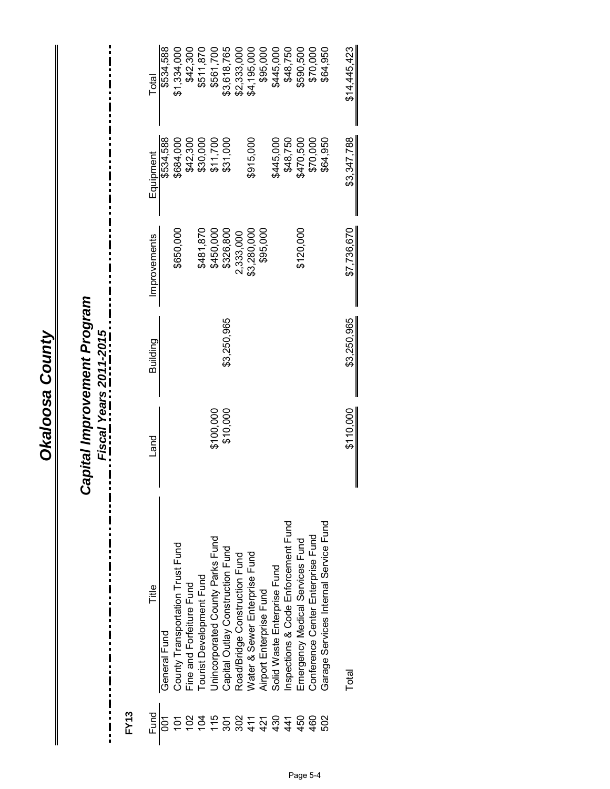## Capital Improvement Program<br>---- Fiscal Years 2011-2015<br>--- --- ------ ---*Capital Improvement Program*

*Fiscal Years 2011-2015*

 $\ddot{\phantom{a}}$ 

**FY13**

:<br>:<br>:

| Total        | \$534,588    | \$1,334,000                      | \$42,300                 | \$511,870                    | \$561,700                        | \$3,618,765                      | \$2,333,000                   | \$4,195,000                   | \$95,000                | \$445,000                   | \$48,750                            | \$590,500                       | \$70,000                          | \$64,950                              | \$14,445,423 |
|--------------|--------------|----------------------------------|--------------------------|------------------------------|----------------------------------|----------------------------------|-------------------------------|-------------------------------|-------------------------|-----------------------------|-------------------------------------|---------------------------------|-----------------------------------|---------------------------------------|--------------|
| Equipment    | \$534,588    | \$684,000                        | \$42,300                 | \$30,000                     | \$11,700                         | \$31,000                         |                               | \$915,000                     |                         | \$445,000                   | \$48,750                            | \$470,500                       | \$70,000                          | \$64,950                              | \$3,347,788  |
| Improvements |              | \$650,000                        |                          | \$481.870                    | \$450,000                        | \$326,800                        | 2,333,000                     | \$3,280,000                   | \$95,000                |                             |                                     | \$120,000                       |                                   |                                       | \$7,736,670  |
| Building     |              |                                  |                          |                              |                                  | \$3,250,965                      |                               |                               |                         |                             |                                     |                                 |                                   |                                       | \$3,250,965  |
| Land         |              |                                  |                          |                              | \$100,000                        | \$10,000                         |                               |                               |                         |                             |                                     |                                 |                                   |                                       | \$110,000    |
| Title        | General Fund | County Transportation Trust Fund | Fine and Forfeiture Fund | Tourist Development Fund     | Jnincorporated County Parks Fund | Capital Outlay Construction Fund | Road/Bridge Construction Fund | Water & Sewer Enterprise Fund | Airport Enterprise Fund | Solid Waste Enterprise Fund | Inspections & Code Enforcement Fund | Emergency Medical Services Fund | Conference Center Enterprise Fund | Garage Services Internal Service Fund | Total        |
| Fund         |              |                                  |                          | $7770717777070$ $2077071070$ |                                  |                                  |                               |                               |                         |                             |                                     |                                 | 460                               | 502                                   |              |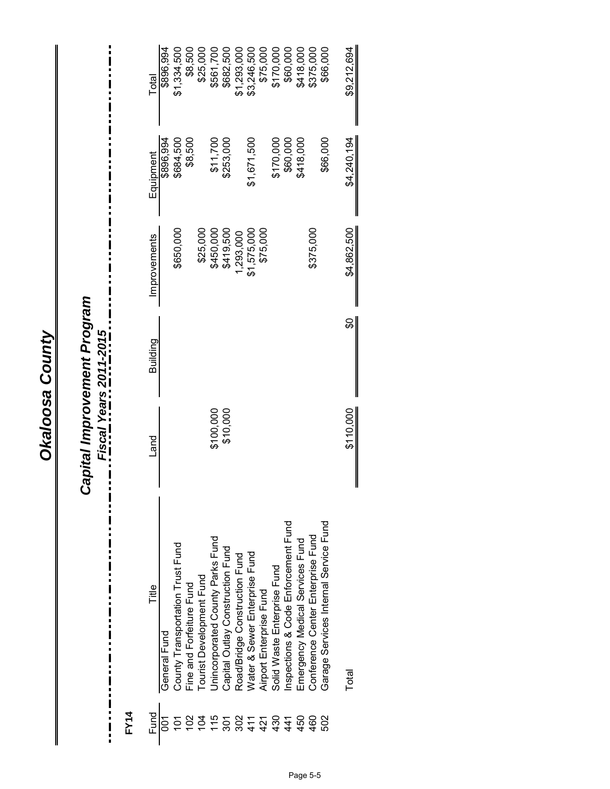## *Capital Improvement Program*

*Fiscal Years 2011-2015*

 $\frac{1}{1}$ 

**FY14**

 $\frac{1}{2}$ 

| Total        | \$896,994      | \$1,334,500                      | \$8,500                  | \$25,000                 | \$561,700                        | \$682,500                        | \$1,293,000                   | \$3,246,500                   | \$75,000                | \$170,000                   | \$60,000                           | \$418,000                       | \$375,000                         | \$66,000                              | \$9,212,694 |
|--------------|----------------|----------------------------------|--------------------------|--------------------------|----------------------------------|----------------------------------|-------------------------------|-------------------------------|-------------------------|-----------------------------|------------------------------------|---------------------------------|-----------------------------------|---------------------------------------|-------------|
| Equipment    | \$896,994      | \$684,500                        | \$8,500                  |                          | \$11,700                         | \$253,000                        |                               | \$1,671,500                   |                         | \$170,000                   | \$60,000                           | \$418,000                       |                                   | \$66,000                              | \$4,240,194 |
| Improvements |                | \$650,000                        |                          | \$25,000                 | \$450,000                        | \$419,500                        | ,293,000                      | \$1,575,000                   | \$75,000                |                             |                                    |                                 | \$375,000                         |                                       | \$4,862,500 |
| Building     |                |                                  |                          |                          |                                  |                                  |                               |                               |                         |                             |                                    |                                 |                                   |                                       | င္တ         |
| Land         |                |                                  |                          |                          | \$100,000                        | \$10,000                         |                               |                               |                         |                             |                                    |                                 |                                   |                                       | \$110.000   |
| Title<br>    | General Fund   | County Transportation Trust Fund | Fine and Forfeiture Fund | Tourist Development Fund | Unincorporated County Parks Fund | Capital Outlay Construction Fund | Road/Bridge Construction Fund | Water & Sewer Enterprise Fund | Airport Enterprise Fund | Solid Waste Enterprise Fund | nspections & Code Enforcement Fund | Emergency Medical Services Fund | Conference Center Enterprise Fund | Garage Services Internal Service Fund | Total       |
| Fund         | $\overline{5}$ |                                  |                          |                          |                                  |                                  |                               |                               |                         |                             |                                    |                                 | 460                               | 502                                   |             |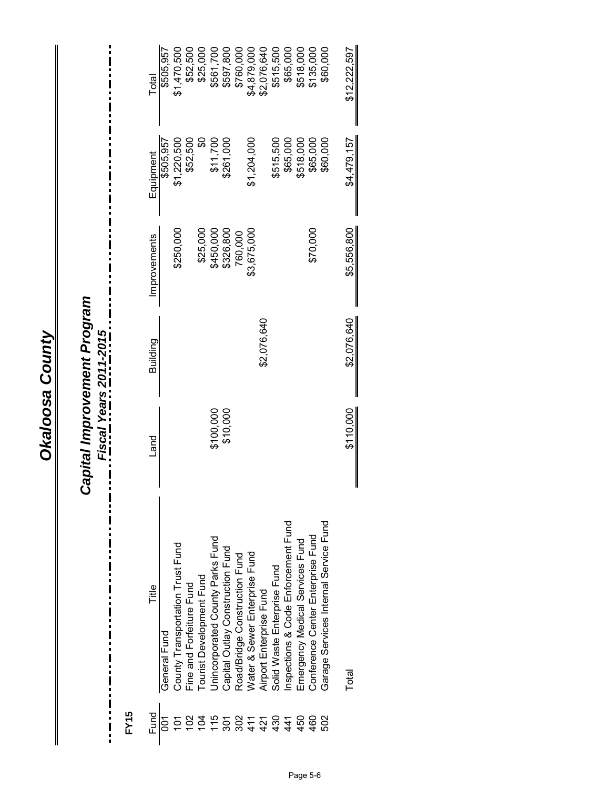## Capital Improvement Program<br>---- Fiscal Years 2011-2015<br>--- --- ------ ---*Capital Improvement Program*

*Fiscal Years 2011-2015*

 $\ddot{\phantom{a}}$ 

**FY15**

 $\frac{1}{2}$ 

| Total        | \$505,957    | \$1,470,500                      | \$52,500                 | \$25,000                 | \$561,700                        | \$597,800                        | \$760,000                     | \$4,879,000                   | \$2,076,640             | \$515,500                   | \$65,000                           | \$518,000                       | \$135,000                         | \$60,000                              | \$12,222,597 |
|--------------|--------------|----------------------------------|--------------------------|--------------------------|----------------------------------|----------------------------------|-------------------------------|-------------------------------|-------------------------|-----------------------------|------------------------------------|---------------------------------|-----------------------------------|---------------------------------------|--------------|
| Equipment    | \$505,957    | \$1,220,500                      | \$52,500                 | <u>မ</u>                 | \$11,700                         | \$261,000                        |                               | \$1,204,000                   |                         | \$515,500                   | \$65,000                           | \$518,000                       | \$65,000                          | \$60,000                              | \$4,479,157  |
| Improvements |              | \$250,000                        |                          | \$25,000                 | \$450,000                        | \$326,800                        | 760,000                       | \$3,675,000                   |                         |                             |                                    |                                 | \$70,000                          |                                       | \$5,556,800  |
| Building     |              |                                  |                          |                          |                                  |                                  |                               |                               | \$2,076,640             |                             |                                    |                                 |                                   |                                       | \$2,076,640  |
| <b>Land</b>  |              |                                  |                          |                          | \$100,000                        | \$10,000                         |                               |                               |                         |                             |                                    |                                 |                                   |                                       | \$110,000    |
| Title        | General Fund | County Transportation Trust Fund | Fine and Forfeiture Fund | Tourist Development Fund | Jnincorporated County Parks Fund | Capital Outlay Construction Fund | Road/Bridge Construction Fund | Water & Sewer Enterprise Fund | Airport Enterprise Fund | Solid Waste Enterprise Fund | nspections & Code Enforcement Fund | Emergency Medical Services Fund | Conference Center Enterprise Fund | Garage Services Internal Service Fund | Total        |
| Fund         | δJ           |                                  |                          |                          |                                  |                                  | $7770777777070$               |                               |                         |                             |                                    |                                 | 460                               | 502                                   |              |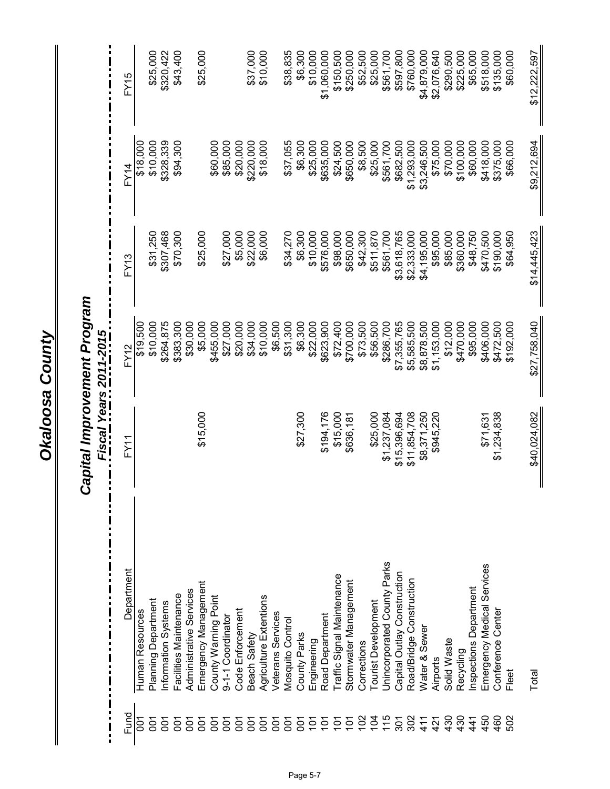|                        | FY15       |                 | \$25,000                   | \$320,422          | \$43,400               |                         | \$25,000             |                      |                   |                  | \$37,000     | \$10,000               |                   | \$38,835         | \$6,300      | \$10,000    | \$1,060,000     | \$150,500                  | \$250,000             | \$52,500    | \$25,000           | \$561,700                   | \$597,800                   | \$760,000                | \$4,879,000   | \$2,076,640     | \$290,500   | \$225,000 | \$65,000              | \$518,000                  | \$135,000         | \$60,000  | \$12,222,597 |
|------------------------|------------|-----------------|----------------------------|--------------------|------------------------|-------------------------|----------------------|----------------------|-------------------|------------------|--------------|------------------------|-------------------|------------------|--------------|-------------|-----------------|----------------------------|-----------------------|-------------|--------------------|-----------------------------|-----------------------------|--------------------------|---------------|-----------------|-------------|-----------|-----------------------|----------------------------|-------------------|-----------|--------------|
|                        | FY14       | \$18,000        | \$10,000                   | \$328,339          | \$94,300               |                         |                      | \$60,000             | \$85,000          | \$20,000         | \$220,000    | \$18,000               |                   | \$37,055         | \$6,300      | \$25,000    | \$635,000       | \$24,500                   | \$650,000             | \$8,500     | \$25,000           | \$561,700                   | \$682,500                   | \$1,293,000              | \$3,246,500   | \$75,000        | \$70,000    | \$100,000 | \$60,000              | \$418,000                  | \$375,000         | \$66,000  | \$9,212,694  |
|                        | FY13       |                 | \$31,250                   | \$307,468          | \$70,300               |                         | \$25,000             |                      | \$27,000          | \$5,000          | \$22,000     | \$6,000                |                   | \$34,270         | \$6,300      | \$10,000    | \$576,000       | \$98,000                   | \$650,000             | \$42,300    | \$511,870          | \$561,700                   | \$3,618,765                 | \$2,333,000              | \$4,195,000   | \$95,000        | \$85,000    | \$360,000 | \$48,750              | \$470,500                  | \$190,000         | \$64,950  | \$14,445,423 |
| Fiscal Years 2011-2015 | FY12       | \$19,500        | \$10,000                   | \$264,875          | \$383,300              | \$30,000                | \$5,000              | \$455,000            | \$27,000          | \$20,000         | \$34,000     | \$10,000               | \$6,500           | \$31,300         | \$6,300      | \$22,000    | \$623,900       | \$72,400                   | \$700,000             | \$73,500    | \$56,500           | \$286,700                   | \$7,355,765                 | \$5,585,500              | \$8,878,500   | \$1,153,000     | \$12,000    | \$470,000 | \$95,000              | \$406,000                  | \$472,500         | \$192,000 | \$27,758,040 |
|                        | FY1        |                 |                            |                    |                        |                         | \$15,000             |                      |                   |                  |              |                        |                   |                  | \$27,300     |             | \$194,176       | \$15,000                   | \$636,181             |             | \$25,000           | \$1,237,084                 | \$15,396,694                | \$11,854,708             | \$8,371,250   | \$945,220       |             |           |                       | \$71,631                   | \$1,234,838       |           | \$40,024,082 |
|                        |            |                 |                            |                    |                        |                         |                      |                      |                   |                  |              |                        |                   |                  |              |             |                 |                            |                       |             |                    |                             |                             |                          |               |                 |             |           |                       |                            |                   |           |              |
|                        | Department | Human Resources | <b>Planning Department</b> | nformation Systems | Facilities Maintenance | Administrative Services | Emergency Management | County Warning Point | 9-1-1 Coordinator | Code Enforcement | Beach Safety | Agriculture Extentions | Veterans Services | Mosquito Control | County Parks | Engineering | Road Department | Traffic Signal Maintenance | Stormwater Management | Corrections | ourist Development | Jnincorporated County Parks | Capital Outlay Construction | Road/Bridge Construction | Water & Sewer | <b>Airports</b> | Solid Waste | Recycling | nspections Department | Emergency Medical Services | Conference Center | Fleet     | Total        |

## Capital Improvement Program *Capital Improvement Program*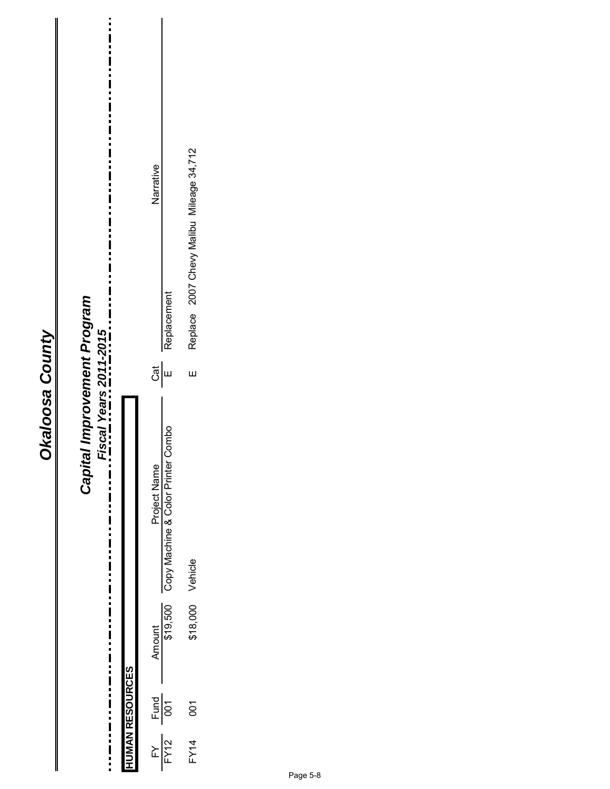| ۱           |  |
|-------------|--|
| ă           |  |
| r<br>C<br>ï |  |
|             |  |
|             |  |
|             |  |
|             |  |
|             |  |

#### Replace 2007 Chevy Malibu Mileage 34,712 FY14 001 \$18,000 Vehicle E Replace 2007 Chevy Malibu Mileage 34,712 Narrative Philoden Amount Project Name Cat Name Cat Name Cat Name Cat Name Cat Name Cat Name Cat Name Cat Name Cat Name C Replacement FY12 001 \$19,500 Copy Machine & Color Printer Combo E Replacement Capital Improvement Program *Capital Improvement Program* Fiscal Years 2011-2015 *Fiscal Years 2011-2015*  $\frac{1}{2}$  $\frac{1}{2}$ Project Name<br>Copy Machine & Color Printer Combo  $\frac{1}{1}$ ...........<br>......... \$18,000 Vehicle Amount<br>\$19,500  $\frac{1}{1}$ **HUMAN RESOURCES HUMAN RESOURCES**  $\frac{1}{\sqrt{2}}$ 001  $\ddot{\phantom{a}}$ I  $\prod_{i=1}^{n}$  $FY14$  $\frac{FY}{FY12}$

 $\frac{1}{1}$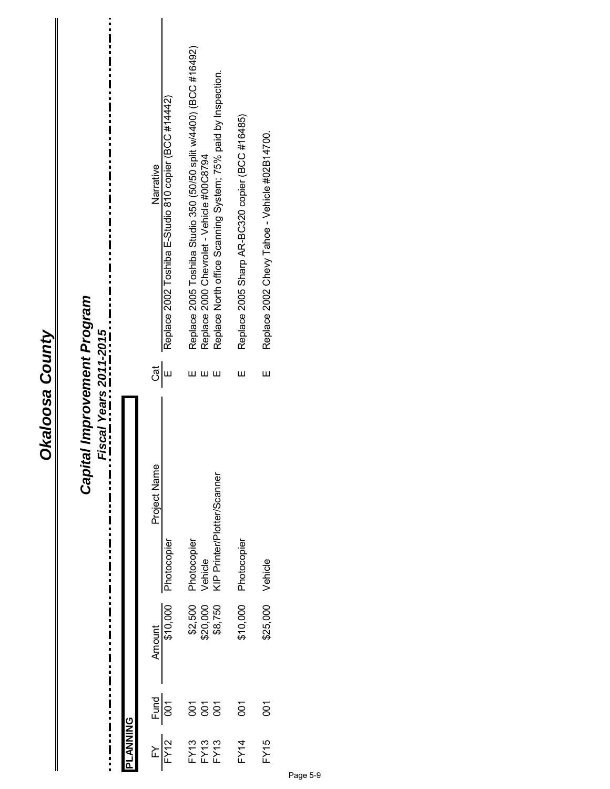| Fiscal Years 2011-2015<br>Okaloosa County<br>Capii<br>Project Name<br>Photocopier<br>Vehicle<br>KIP Printer/Plotter/Scanner<br>Photocopier<br>Photocopier<br>Vehicle<br>\$10,000<br>\$25,000<br>\$10,000<br>\$2,500<br>\$20,000<br>\$8,750<br><b>Amount</b><br>$\frac{Fund}{100}$<br>ទី ទី ទី<br>$\overline{0}$<br>$\overline{5}$<br>$\frac{FY}{FY12}$ | tal Improvement Program |          | Narrative<br>$\frac{1}{2}$ | Replace 2002 Toshiba E-Studio 810 copier (BCC #14442) | Replace 2005 Toshiba Studio 350 (50/50 split w/4400) (BCC #16492)<br>ш | Replace North office Scanning System; 75% paid by Inspection.<br>Replace 2000 Chevrolet - Vehicle #00C8794<br>ш<br>Ш | Replace 2005 Sharp AR-BC320 copier (BCC #16485)<br>Щ | Replace 2002 Chevy Tahoe - Vehicle #02B14700.<br>Ш |  |
|--------------------------------------------------------------------------------------------------------------------------------------------------------------------------------------------------------------------------------------------------------------------------------------------------------------------------------------------------------|-------------------------|----------|----------------------------|-------------------------------------------------------|------------------------------------------------------------------------|----------------------------------------------------------------------------------------------------------------------|------------------------------------------------------|----------------------------------------------------|--|
|                                                                                                                                                                                                                                                                                                                                                        |                         | PLANNING |                            |                                                       |                                                                        | $\begin{array}{c} \mathsf{F} \mathsf{Y} 3 \\ \mathsf{F} \mathsf{Y} 13 \\ \mathsf{F} \mathsf{Y} 13 \end{array}$       | FY14                                                 | FY15                                               |  |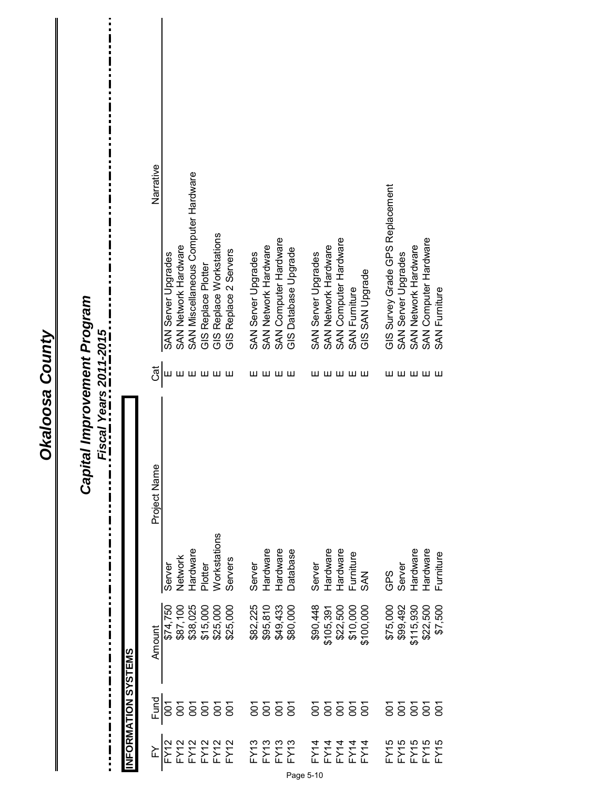| tal Improvement Program<br><u>Fiscal Years 2011-2015</u><br><b>Capit.</b><br>П<br>π<br>Ľ<br>B<br>Ľ |                    | Narrative<br>Cāt<br>Project Name<br>Amount | SAN Server Upgrades<br>Ш<br>Server<br>\$74,750<br>\$87,100 | SAN Network Hardware<br>ш<br>Network | SAN Miscellaneous Computer Hardware<br>Hardware<br>\$38,025 | GIS Replace Plotter<br>Plotter<br>\$15,000 | GIS Replace Workstations<br>шшшш<br>Workstations<br>\$25,000 | GIS Replace 2 Servers<br>Servers<br>\$25,000 | SAN Server Upgrades<br>Server<br>\$82,225 | SAN Network Hardware<br>шшшш<br>Hardware<br>\$95,810 | SAN Computer Hardware<br>Hardware<br>\$49,433 | GIS Database Upgrade<br>Database<br>\$80,000 | SAN Server Upgrades<br>Server<br>\$90,448 | SAN Network Hardware<br>Hardware<br>\$105,391 | SAN Computer Hardware<br>шшшшш<br>Hardware<br>\$22,500 | <b>SAN Furniture</b><br>Furniture<br>\$10,000 | GIS SAN Upgrade<br><b>SAN</b><br>\$100,000 | GIS Survey Grade GPS Replacement<br>GPS<br>\$75,000 | SAN Server Upgrades<br>Server<br>\$99,492 | SAN Network Hardware<br>Hardware<br>\$115,930 | SAN Computer Hardware<br>шшшшш<br>Hardware<br>\$22,500 | <b>SAN Furniture</b><br>Furniture<br>\$7,500 |
|----------------------------------------------------------------------------------------------------|--------------------|--------------------------------------------|------------------------------------------------------------|--------------------------------------|-------------------------------------------------------------|--------------------------------------------|--------------------------------------------------------------|----------------------------------------------|-------------------------------------------|------------------------------------------------------|-----------------------------------------------|----------------------------------------------|-------------------------------------------|-----------------------------------------------|--------------------------------------------------------|-----------------------------------------------|--------------------------------------------|-----------------------------------------------------|-------------------------------------------|-----------------------------------------------|--------------------------------------------------------|----------------------------------------------|
|                                                                                                    | NFORMATION SYSTEMS | Fund                                       | $\overline{5}$                                             | 5<br>001                             | ā                                                           | $\overline{5}$                             |                                                              | $\overline{5}$ $\overline{5}$                |                                           |                                                      |                                               |                                              |                                           | ទី ទី                                         | $\overline{5}$                                         | $\overline{5}$ $\overline{5}$                 |                                            | ē                                                   | δ                                         | $rac{5}{8}$                                   |                                                        | δ                                            |
| H                                                                                                  |                    | ≿                                          | <b>FY12</b>                                                | FY12                                 |                                                             |                                            | FY22<br>FX22<br>FX22                                         |                                              |                                           | FY13<br>FY13<br>FY13<br>FY13                         |                                               |                                              | Page 5-10                                 |                                               | FFFFFF<br>といいこと<br>44444                               |                                               |                                            |                                                     |                                           |                                               | FYTS<br>FYTS<br>FYTS<br>FYTS                           | FY15                                         |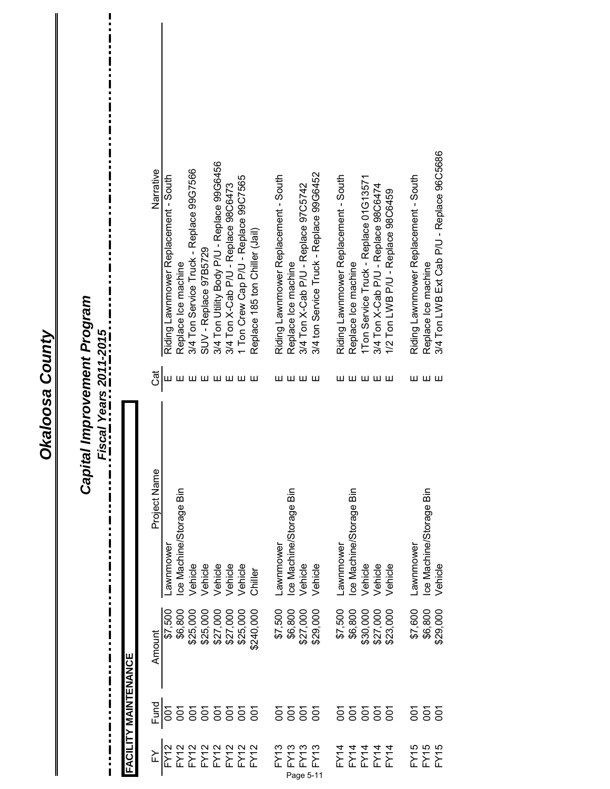|                                   | FACILITY MAINTENANCE |                      |                         |        |                                            |
|-----------------------------------|----------------------|----------------------|-------------------------|--------|--------------------------------------------|
| ≿                                 | Fund                 | Amount               | Project Name            | ි<br>ර | Narrative                                  |
| FY12                              | 50<br>00             | \$7,500              | awnmowe-                | ш      | Riding Lawnmower Replacement - South       |
|                                   |                      |                      | ce Machine/Storage Bin  |        | Replace Ice machine                        |
|                                   |                      |                      | Vehicle                 |        | 3/4 Ton Service Truck - Replace 99G7566    |
|                                   |                      |                      | Vehicle                 |        | SUV - Replace 97B5729                      |
|                                   |                      |                      | Vehicle                 |        | 3/4 Ton Utility Body P/U - Replace 99G6456 |
|                                   |                      |                      | Vehicle                 | шшшшш  | 3/4 Ton X-Cab P/U - Replace 98C6473        |
|                                   |                      |                      | Vehicle                 |        | 1 Ton Crew Cap P/U - Replace 99C7565       |
|                                   | 8888                 | \$240,000            | Chiller                 |        | Replace 185 ton Chiller (Jail)             |
| FY13                              |                      | \$7,500              | awnmowe-                |        | Riding Lawnmower Replacement - South       |
|                                   |                      |                      | Ice Machine/Storage Bin |        | Replace Ice machine                        |
|                                   | 8888                 | \$6,800<br>\$27,000  | Vehicle                 | шшшш   | 3/4 Ton X-Cab P/U - Replace 97C5742        |
| FY13<br>EY13<br>FY13<br>Page 5-11 |                      | \$29,000             | Vehicle                 |        | 3/4 ton Service Truck - Replace 99G6452    |
|                                   | $\overline{5}$       | \$7,500              | Lawnmower               |        | Riding Lawnmower Replacement - South       |
|                                   |                      | \$6,800              | Ice Machine/Storage Bin |        | Replace Ice machine                        |
|                                   | 8888                 |                      | Vehicle                 | шшшшш  | 1Ton Service Truck - Replace 01G13571      |
|                                   |                      | \$30,000<br>\$27,000 | Vehicle                 |        | 3/4 Ton X-Cab P/U - Replace 98C6474        |
| F<br>エコエコ<br>コココココ                |                      | \$23,000             | Vehicle                 |        | 1/2 Ton LWB P/U - Replace 98C6459          |
| FY45                              | δ                    | \$7,600              | Lawnmower               |        | Riding Lawnmower Replacement - South       |
| FY15<br>FY15                      | $\frac{5}{9}$        | \$6,800              | Ice Machine/Storage Bin | шшш    | Replace Ice machine                        |
|                                   |                      | \$29,000             | Vehicle                 |        | 3/4 Ton LWB Ext Cab P/U - Replace 96C5686  |

 $\mathbf{\mathbf{\mathsf{I}}}\mathbf{\mathsf{I}}$ 

Okaloosa County

 $\mathbf{I}$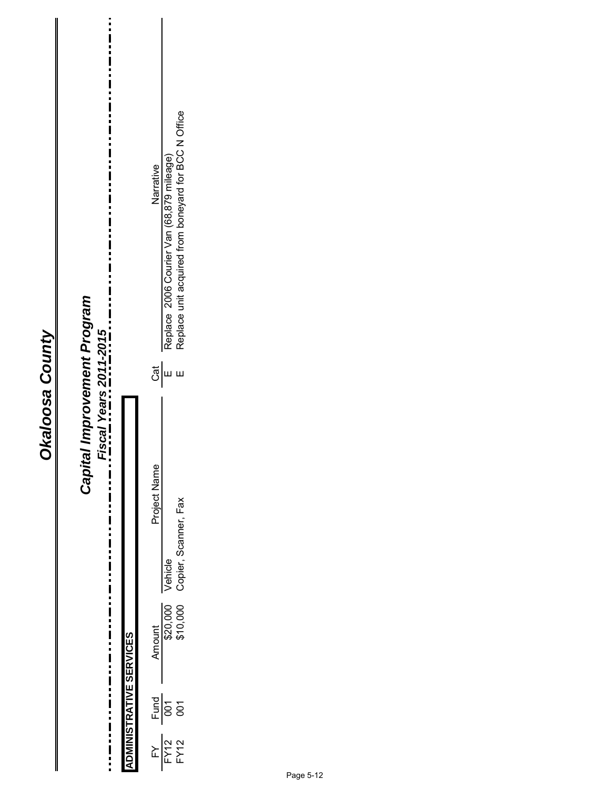| ø<br>Į |
|--------|
|        |
|        |
|        |
|        |
|        |
|        |
|        |
|        |

#### Replace 2006 Courier Van (68,879 mileage)<br>Replace unit acquired from boneyard for BCC N Office FY12 001 000 Copier, Scanner, Fax E Replace unit acquired from boneyard From  $\mathbb{F}$  Designed from  $\mathbb{F}$  DO1 000 000 000  $\mathbb{F}$ Copier, Scanner, Fax E ax FY12 001 \$20,000 Vehicle E Replace 2006 Courier Van (68,879 mileage) Narrative Philoden Amount Project Name Cat Name Cat Name Cat Name Cat Name Cat Name Cat Name Cat Name Cat Name Cat Name C Capital Improvement Program *Capital Improvement Program Fiscal Years 2011-2015*  $\frac{1}{2}$ ய ய Project Name Copier, Scanner, Fax i i Ι  $\ddot{\phantom{a}}$ Vehicle Amount<br>\$20,000<br>\$10,000  $\blacksquare$ **ADMINISTRATIVE SERVICES ADMINISTRATIVE SERVICES**  $\frac{1}{1}$  $\frac{100}{100}$ I  $\prod_{i=1}^{n}$ **FY12**<br>FY12  $\mathbb F$

 $\ddot{ }$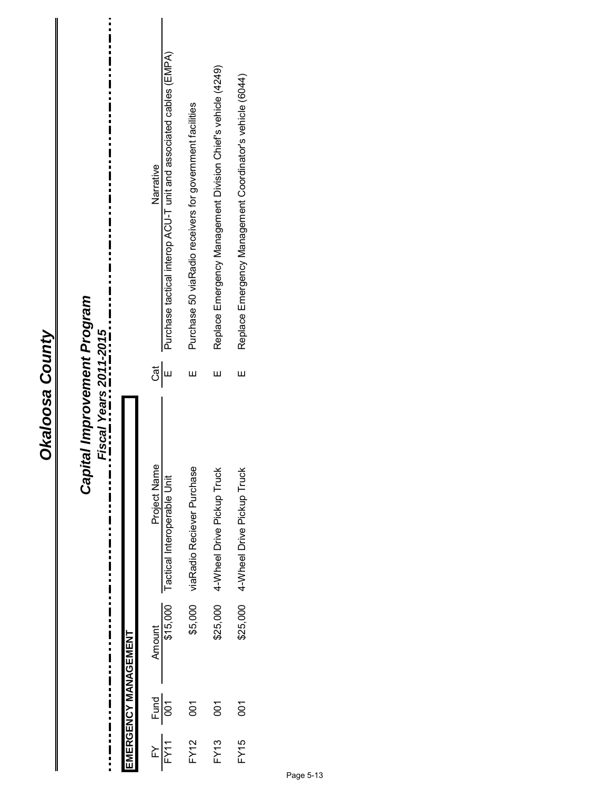#### Narrative<br>Purchase tactical interop ACU-T unit and associated cables (EMPA) FY11 001  $\,$  000  $\,$  T actical Interoperable Unit E  $\,$   $\,$   $\,$  E  $\,$   $\,$   $\,$  E  $\,$   $\,$   $\,$  E  $\,$   $\,$   $\,$  E  $\,$   $\,$   $\,$  E  $\,$   $\,$   $\,$  E  $\,$   $\,$   $\,$  E  $\,$   $\,$   $\,$  E  $\,$   $\,$  E  $\,$   $\,$  E  $\,$   $\$ Replace Emergency Management Division Chief's vehicle (4249) FY13 001 \$25,000 4-Wheel Drive Pickup Truck E Replace Emergency Management Division Chief's vehicle (4249) Replace Emergency Management Coordinator's vehicle (6044) FY15 001 \$25,000 4-Wheel Drive Pickup Truck E Replace Emergency Management Coordinator's vehicle (6044) Purchase 50 viaRadio receivers for government facilities FY12 001 \$5,000 viaRadio Reciever Purchase E Purchase 50 viaRadio receivers for government facilities Philoden Amount Project Name Cat Name Cat Name Cat Name Cat Name Cat Name Cat Name Cat Name Cat Name Cat Name C Capital Improvement Program *Capital Improvement Program* ...\_. Fiscal Years 2011-2015. *Fiscal Years 2011-2015*  $\frac{1}{\sqrt{2}}$  $\mathbf{\overline{\mu}}$ Ш Ш Project Name<br>Tactical Interoperable Unit \$5,000 viaRadio Reciever Purchase 4-Wheel Drive Pickup Truck \$25,000 4-Wheel Drive Pickup Truck  $\ddot{}}$ Amount -<br>\$15,000 \$25,000 EMERGENCY MANAGEMENT **EMERGENCY MANAGEMENT**  $\frac{1}{\sqrt{2}}$ 001 001  $\overline{5}$ **FY15 FY12**  $FY13$  $FY11$  $\mathbb F\mathsf Y$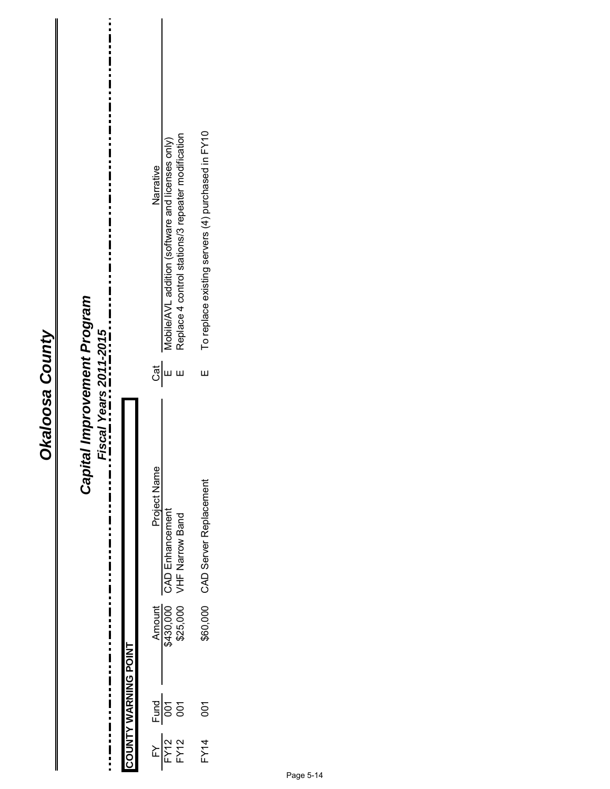| ٥                     |  |
|-----------------------|--|
| Á<br>ต<br>ผ<br>ŗ<br>r |  |
|                       |  |
|                       |  |

| <br> <br>$\frac{1}{1}$<br>tal Improvement Program<br><b>Fiscal Years 2011-2015</b><br>Capit | COUNTY WARNING POINT | To replace existing servers (4) purchased in FY10<br>Replace 4 control stations/3 repeater modification<br>Mobile/AVL addition (software and licenses only)<br>Narrative<br>ි $\overline{\overline{5}}$<br>Ш<br>Ш<br>Project Name<br>\$60,000 CAD Server Replacement<br>CAD Enhancement<br>VHF Narrow Band<br>Amount<br>\$430,000<br>\$25,000 |
|---------------------------------------------------------------------------------------------|----------------------|-----------------------------------------------------------------------------------------------------------------------------------------------------------------------------------------------------------------------------------------------------------------------------------------------------------------------------------------------|
|                                                                                             |                      | $rac{Fund}{100}$<br>$\overline{6}$<br>$\overline{5}$                                                                                                                                                                                                                                                                                          |
|                                                                                             |                      | $\frac{FY}{FY12}$<br>FY14                                                                                                                                                                                                                                                                                                                     |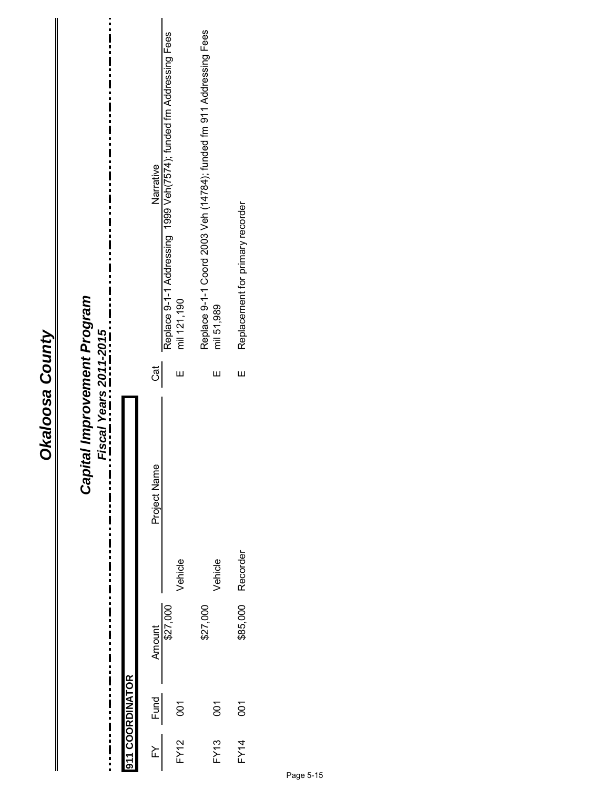| ī      |
|--------|
|        |
|        |
| í      |
|        |
| í<br>Ú |
| ŗ<br>٦ |
|        |
|        |
|        |
|        |
|        |

#### $\frac{1}{1}$ Replace 9-1-1 Coord 2003 Veh (14784); funded fm 911 Addressing Fees<br>mil 51,989 Replace 9-1-1 Coord 2003 Veh (14784); funded fm 911 Addressing Fees Narrative<br>Replace 9-1-1 Addressing 1999 Veh(7574); funded fm Addressing Fees Replace 9-1-1 Addressing 1999 Veh(7574); funded fm Addressing Fees Philoden Amount Project Name Cat Name Cat Name Cat Name Cat Name Cat Name Cat Name Cat Name Cat Name Cat Name C Replacement for primary recorder FY14 001 \$85,000 Recorder E Replacement for primary recorder Capital Improvement Program *Capital Improvement Program* mil 121,190 mil 121,190 *Fiscal Years 2011-2015* Cat Ш Ш Ш Vehicle E Vehicle E Project Name  $\frac{1}{1}$ Recorder Vehicle Vehicle \$85,000 Amount<br>\$27,000 \$27,000  $\frac{1}{1}$   $\frac{1}{1}$   $\frac{1}{1}$   $\frac{1}{1}$   $\frac{1}{1}$ 911 COORDINATOR **911 COORDINATOR** Fund 001  $\overline{5}$  $\overline{0}$ FY12 001 FY13 001 i  $\frac{1}{2}$ **FY12 FY13 FY14**  $\mathbb F\mathsf Y$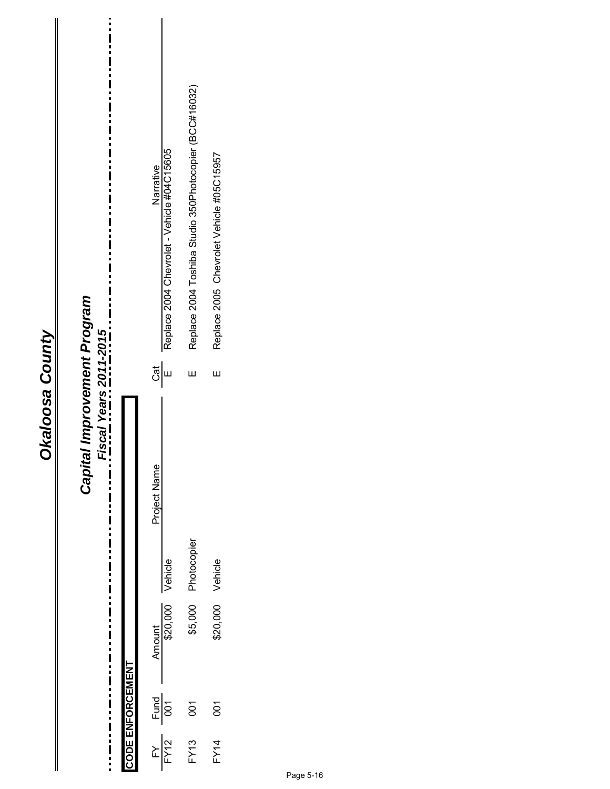| Replace 2004 Toshiba Studio 350Photocopier (BCC#16032)<br>Replace 2004 Chevrolet - Vehicle #04C15605<br>Replace 2005 Chevrolet Vehicle #05C15957<br>Narrative<br>tal Improvement Program<br>Fiscal Years 2011-2015<br>င္ယြို မ<br>Ш<br>Ш<br>Capit<br>Project Name<br>: :  <br>! :  <br>\$5,000 Photocopier<br>:<br>!<br>!<br>\$20,000 Vehicle<br>\$20,000 Vehicle<br>Amount<br>CODE ENFORCEMENT<br>::<br>!<br>!<br>$\frac{FY}{FY12}$ Fund<br>$\overline{5}$<br>$\tilde{8}$<br><b>FY13</b><br><b>FY14</b> |
|----------------------------------------------------------------------------------------------------------------------------------------------------------------------------------------------------------------------------------------------------------------------------------------------------------------------------------------------------------------------------------------------------------------------------------------------------------------------------------------------------------|
|----------------------------------------------------------------------------------------------------------------------------------------------------------------------------------------------------------------------------------------------------------------------------------------------------------------------------------------------------------------------------------------------------------------------------------------------------------------------------------------------------------|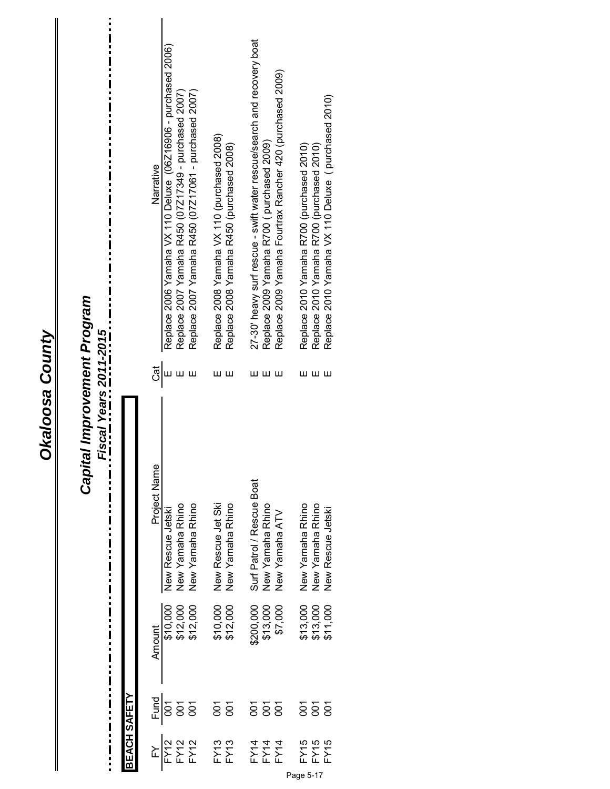| tal Improvement Program<br>Fiscal Years 2011-2015    |              | Narrative<br><u>්ල්</u>                         | Replace 2006 Yamaha VX 110 Deluxe (06Z16906 - purchased 2006) | Replace 2007 Yamaha R450 (07Z17349 - purchased 2007)                      | Replace 2007 Yamaha R450 (07Z17061 - purchased 2007) | Replace 2008 Yamaha VX 110 (purchased 2008)      | Replace 2008 Yamaha R450 (purchased 2008)<br>ш | 27-30' heavy surf rescue - swift water rescue/search and recovery boat | Replace 2009 Yamaha R700 (purchased 2009)<br>ш | Replace 2009 Yamaha Fourtrax Rancher 420 (purchased 2009)<br>ш |
|------------------------------------------------------|--------------|-------------------------------------------------|---------------------------------------------------------------|---------------------------------------------------------------------------|------------------------------------------------------|--------------------------------------------------|------------------------------------------------|------------------------------------------------------------------------|------------------------------------------------|----------------------------------------------------------------|
| Capit<br>-<br>-<br>-<br>-<br>:<br>i<br>$\frac{1}{1}$ |              | Project Name<br>Amount<br>$\frac{Fund}{001}$    | New Rescue Jetski<br>\$10,000                                 | New Yamaha Rhino<br>\$12,000<br>\$12,000<br>$\overline{5}$ $\overline{5}$ | New Yamaha Rhino                                     | New Rescue Jet Ski<br>\$10,000<br>$\overline{5}$ | New Yamaha Rhino<br>\$12,000<br>$\overline{5}$ | Surf Patrol / Rescue Boat<br>\$200,000<br>5<br>So                      | New Yamaha Rhino<br>\$13,000<br>5o             | New Yamaha ATV<br>\$7,000<br>δ                                 |
| $\frac{1}{2}$                                        | BEACH SAFETY | $\frac{\text{FY}}{\text{FY12}}$<br>FY12<br>FY12 |                                                               |                                                                           |                                                      |                                                  | FY13<br>FY13                                   |                                                                        | FY14<br>FX14<br>FX14                           |                                                                |

**Okaloosa County** 

FY15 001 \$13,000 New Yamaha Rhino E Replace 2010 Yamaha R700 (purchased 2010) FY15 001 \$13,000 New Yamaha Rhino E Replace 2010 Yamaha R700 (purchased 2010)

New Yamaha Rhino<br>New Yamaha Rhino<br>New Rescue Jetski

\$13,000<br>\$13,000<br>\$11,000

FY15<br>FY15 **FY15** 

FY15  $\,$  New Rescue Jetski E Replace 2010 Yew Rescue Jetski E Replace 2010 Yew Rescue Jetski Purchased 2010  $\,$ 

யயய

Replace 2010 Yamaha R700 (purchased 2010)<br>Replace 2010 Yamaha R700 (purchased 2010)<br>Replace 2010 Yamaha VX 110 Deluxe ( purchased 2010)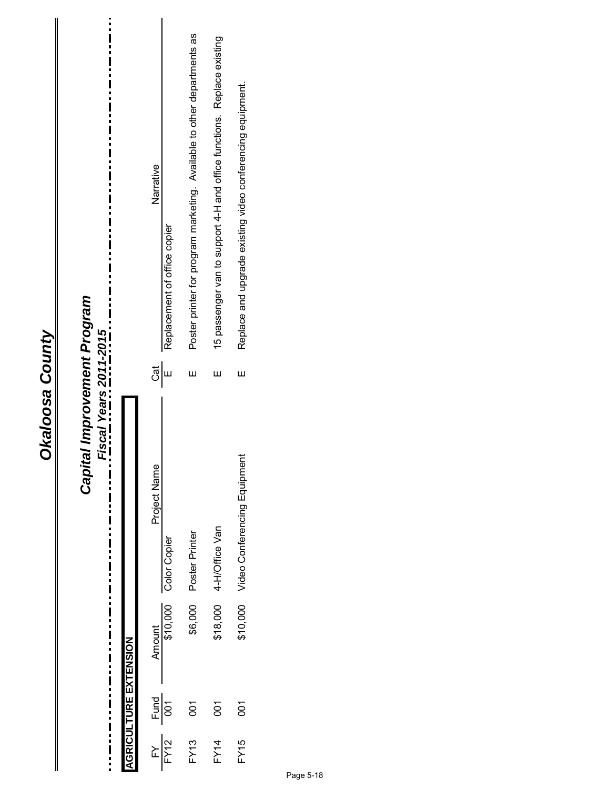#### FY13 001 \$6,000 Poster Printer E Poster printer for program marketing. Available to other departments as Poster printer for program marketing. Available to other departments as 15 passenger van to support 4-H and office functions. Replace existing FY14 001 \$18,000 4-H/Office Van E 15 passenger van to support 4-H and office functions. Replace existing Replace and upgrade existing video conferencing equipment. FY15 001 \$10,000 Video Conferencing Equipment E Replace and upgrade existing video conferencing equipment. Narrative Philoden Amount Project Name Cat Name Cat Name Cat Name Cat Name Cat Name Cat Name Cat Name Cat Name Cat Name C Replacement of office copier FY12 001 \$10,000 Color Copier E Replacement of office copier Capital Improvement Program *Capital Improvement Program* ...\_.Fiscal Years 2011-2015... *Fiscal Years 2011-2015*  $\frac{1}{\sqrt{5}}$ Ш  $\bar{\Xi}$ Ш \$10,000 Video Conferencing Equipment Project Name  $\frac{1}{2}$ \$18,000 4-H/Office Van Poster Printer Color Copier Amount -<br>\$10,000 \$6,000 **AGRICULTURE EXTENSION AGRICULTURE EXTENSION**  $\frac{1}{\sqrt{2}}$ 001 001 001 **FY15 FY13**  $FY14$  $FY12$  $\mathbb F\mathsf Y$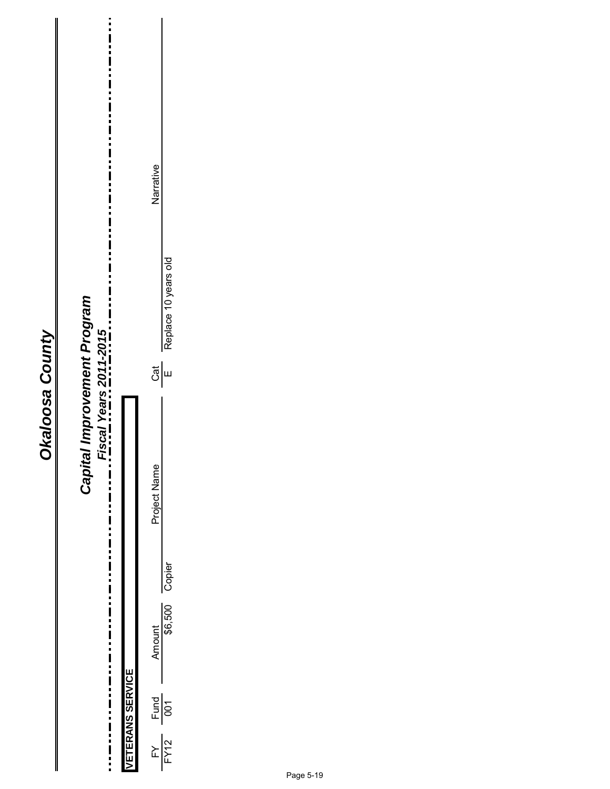#### Narrative Philoden Amount Project Name Cat Name Cat Name Cat Name Cat Name Cat Name Cat Name Cat Name Cat Name Cat Name C Replace 10 years old FY12 001 \$6,500 Copier E Replace 10 years old Capital Improvement Program *Capital Improvement Program*  $\ddot{\dot{\mathbf{i}}}$ Fiscal Years 2011-2015 *Fiscal Years 2011-2015*  $\frac{1}{\sqrt{3}}$ Project Name  $\frac{1}{2}$ Ī Amount<br>\$6,500 Copier  $\frac{1}{2}$  ,  $\frac{1}{2}$  ,  $\frac{1}{2}$  ,  $\frac{1}{2}$  ,  $\frac{1}{2}$ **VETERANS SERVICE VETERANS SERVICE**  $\frac{Fund}{001}$  $\frac{FY}{FY12}$

i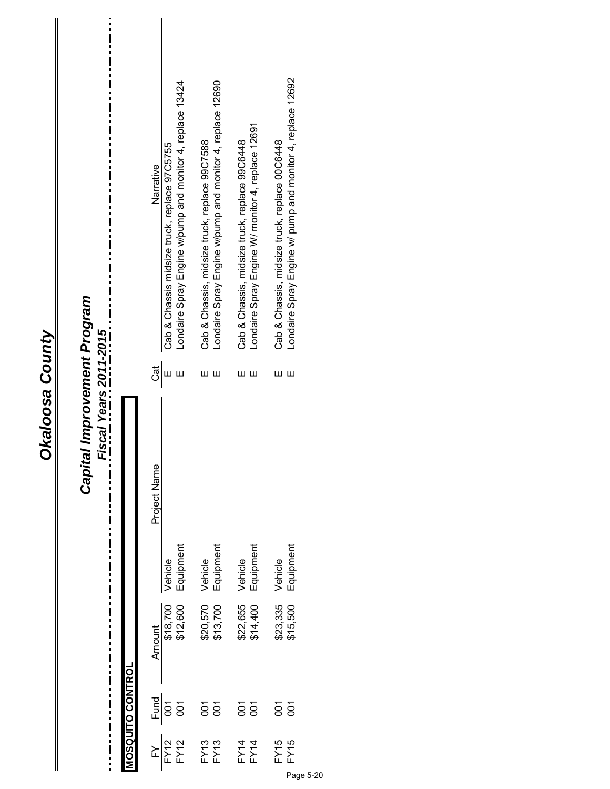| n<br>Q<br>ต<br>ผ |
|------------------|
|                  |
|                  |
|                  |
|                  |
|                  |
|                  |
|                  |
|                  |

# Capital Improvement Program<br>...\_. Fiscal Years 2011-2015.\_\_..\_ *Capital Improvement Program*

*Fiscal Years 2011-2015*

i

|                         | Narrative       | Cab & Chassis midsize truck, replace 97C5755                                                                                                                                                                                                                                                  | Londaire Spray Engine w/pump and monitor 4, replace 13424 | Cab & Chassis, midsize truck, replace 99C7588 | Londaire Spray Engine w/pump and monitor 4, replace 12690 | Cab & Chassis, midsize truck, replace 99C6448 | Londaire Spray Engine W/ monitor 4, replace 12691 | Cab & Chassis, midsize truck, replace 00C6448 | Londaire Spray Engine w/ pump and monitor 4, replace 12692 |
|-------------------------|-----------------|-----------------------------------------------------------------------------------------------------------------------------------------------------------------------------------------------------------------------------------------------------------------------------------------------|-----------------------------------------------------------|-----------------------------------------------|-----------------------------------------------------------|-----------------------------------------------|---------------------------------------------------|-----------------------------------------------|------------------------------------------------------------|
|                         | င္ယြူ           |                                                                                                                                                                                                                                                                                               |                                                           |                                               |                                                           | ш                                             | ш                                                 | ш                                             | ш                                                          |
|                         | Name<br>Project | Vehicle                                                                                                                                                                                                                                                                                       | Equipment                                                 | Vehicle                                       | Equipment                                                 | Vehicle                                       | Equipment                                         | Vehicle                                       | Equipment                                                  |
|                         |                 |                                                                                                                                                                                                                                                                                               |                                                           |                                               |                                                           |                                               |                                                   |                                               |                                                            |
|                         | <b>Amount</b>   | \$18,700<br>\$12,600                                                                                                                                                                                                                                                                          |                                                           | \$20,570<br>\$13,700                          |                                                           | \$22,655<br>\$14,400                          |                                                   | \$23,335<br>\$15,500                          |                                                            |
| <b>10SQUITO CONTROL</b> |                 | $\frac{1}{2}$ and $\frac{1}{2}$ and $\frac{1}{2}$ and $\frac{1}{2}$ and $\frac{1}{2}$ and $\frac{1}{2}$ and $\frac{1}{2}$ and $\frac{1}{2}$ and $\frac{1}{2}$ and $\frac{1}{2}$ and $\frac{1}{2}$ and $\frac{1}{2}$ and $\frac{1}{2}$ and $\frac{1}{2}$ and $\frac{1}{2}$ and $\frac{1}{2}$ a |                                                           | $\overline{5}$ $\overline{5}$                 |                                                           | $\overline{5}$ $\overline{5}$                 |                                                   | ន៍ទី                                          |                                                            |
|                         |                 | $\frac{FN}{FN2}$                                                                                                                                                                                                                                                                              |                                                           | <b>FY13</b><br>FY13                           |                                                           | FY14<br>FY14                                  |                                                   | FY15<br>FY15                                  |                                                            |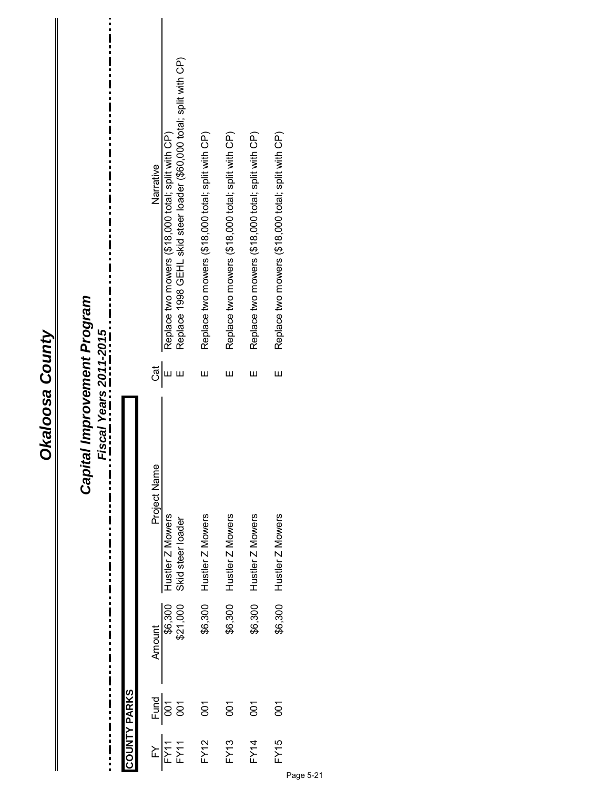| d<br>Q<br>r<br>C |  |
|------------------|--|
|                  |  |
|                  |  |
|                  |  |
|                  |  |
|                  |  |
|                  |  |

# Capital Improvement Program<br>Fiscal Years 2011-2015<br>--------------------------------*Capital Improvement Program*

*Fiscal Years 2011-2015*

L Ĩ.

i

|              | Narrative              | Replace two mowers (\$18,000 total; split with CP)<br>င္ယြို $\frac{1}{2}$ | Replace 1998 GEHL skid steer loader (\$60,000 total; split with CP)<br>Ш | Replace two mowers (\$18,000 total; split with CP)<br>Ш | Replace two mowers (\$18,000 total; split with CP)<br>ш | Replace two mowers (\$18,000 total; split with CP)<br>ш | Replace two mowers (\$18,000 total; split with CP)<br>Ш |  |
|--------------|------------------------|----------------------------------------------------------------------------|--------------------------------------------------------------------------|---------------------------------------------------------|---------------------------------------------------------|---------------------------------------------------------|---------------------------------------------------------|--|
|              | Project Name<br>Amount | Hustler Z Mowers<br>\$6,300                                                | Skid steer loader<br>\$21,000                                            | Hustler Z Mowers<br>\$6,300                             | Hustler Z Mowers<br>\$6,300                             | Hustler Z Mowers<br>\$6,300                             | Hustler Z Mowers<br>\$6,300                             |  |
| COUNTY PARKS |                        | $rac{1}{\sqrt{2}}$<br>$rac{1}{\sqrt{2}}$<br>$\frac{FY}{FY11}$              |                                                                          | $\overline{5}$<br>FY12                                  | 50<br>FY <sub>13</sub>                                  | δJ<br><b>FY14</b>                                       | δ<br>FY15                                               |  |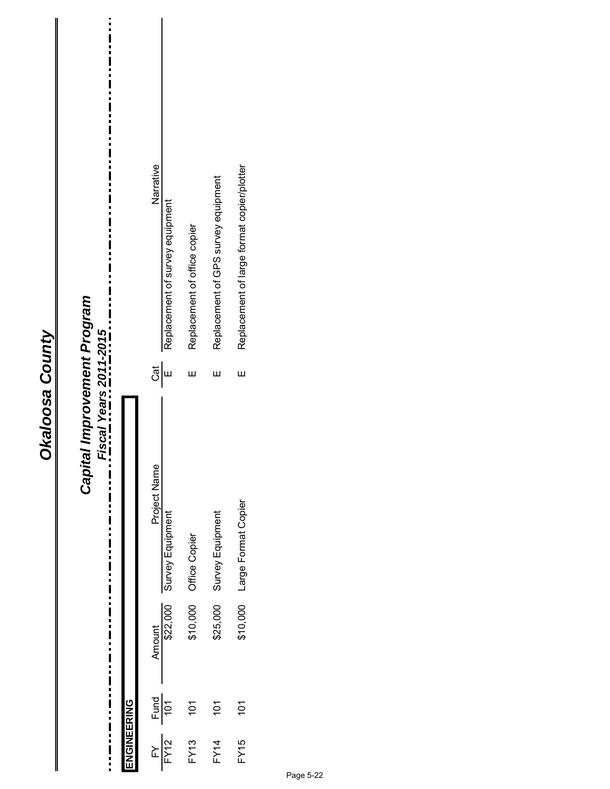| ۵                     |  |
|-----------------------|--|
| Á<br>ต<br>ผ<br>ŗ<br>r |  |
|                       |  |
|                       |  |

 $\frac{1}{2}$ 

 $\mathbf{I}$ 

| Capital Improvement Program | Fiscal Years 2011-2015<br>i<br>I<br>i<br>İ<br>i |             | Narrative<br>ູ້ອື່<br>Project Name | Replacement of survey equipment | Replacement of office copier<br>Ш | Replacement of GPS survey equipment<br>Ш | Replacement of large format copier/plotter<br>Ш |  |
|-----------------------------|-------------------------------------------------|-------------|------------------------------------|---------------------------------|-----------------------------------|------------------------------------------|-------------------------------------------------|--|
|                             | $\frac{1}{1}$                                   |             |                                    | Survey Equipment                | Office Copier                     | \$25,000 Survey Equipment                | \$10,000 Large Format Copier                    |  |
|                             | <br> <br>$\frac{1}{1}$                          |             | Amount                             | \$22,000                        | \$10,000                          |                                          |                                                 |  |
|                             |                                                 |             |                                    |                                 | 101                               | $\overline{101}$                         | $\overline{101}$                                |  |
|                             |                                                 | ENGINEERING | $\frac{FY}{FY12}$ Fund             |                                 | FY13                              | <b>FY14</b>                              | FY15                                            |  |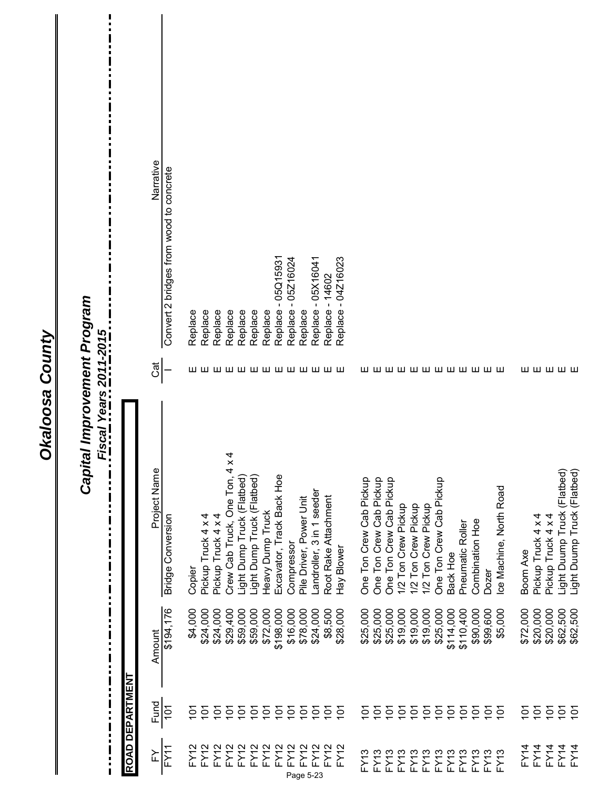|                                                                                                              |                 | Narrative<br>Convert 2 bridges from wood to concrete | Replace - 04Z16023<br>Replace - 05Q15931<br>Replace - 05Z16024<br>Replace - 05X16041<br>Replace - 14602<br>Replace<br>Replace<br>Replace<br>Replace<br>Replace<br>Replace<br>Replace<br>Replace                                                                                                                                                                                                                                                                                                                                                                                                                                                      |                                                            |
|--------------------------------------------------------------------------------------------------------------|-----------------|------------------------------------------------------|------------------------------------------------------------------------------------------------------------------------------------------------------------------------------------------------------------------------------------------------------------------------------------------------------------------------------------------------------------------------------------------------------------------------------------------------------------------------------------------------------------------------------------------------------------------------------------------------------------------------------------------------------|------------------------------------------------------------|
|                                                                                                              |                 | Cat                                                  | wwwwwwwwww<br>wwwwwwwww<br>шшшшш                                                                                                                                                                                                                                                                                                                                                                                                                                                                                                                                                                                                                     |                                                            |
| Capital Improvement Program<br><b>Fiscal Years 2011-2015</b><br>Ľ<br>П<br>П<br>П<br>$\blacksquare$<br>П<br>П |                 | Project Name<br><b>Bridge Conversion</b>             | Crew Cab Truck, One Ton, 4 x 4<br>Excavator, Track Back Hoe<br>Light Dump Truck (Flatbed)<br>Light Dump Truck (Flatbed)<br>One Ton Crew Cab Pickup<br>One Ton Crew Cab Pickup<br>One Ton Crew Cab Pickup<br>One Ton Crew Cab Pickup<br>Ice Machine, North Road<br>Landroller, 3 in 1 seeder<br>Root Rake Attachment<br>Pile Driver, Power Unit<br>1/2 Ton Crew Pickup<br>1/2 Ton Crew Pickup<br>1/2 Ton Crew Pickup<br>Heavy Dump Truck<br>Pickup Truck 4 x 4<br>Pickup Truck 4 x 4<br>Pickup Truck 4 x 4<br>Pickup Truck 4 x 4<br>Combination Hoe<br>Pneumatic Roller<br>Compressor<br>Hay Blower<br><b>Boom Axe</b><br>Back Hoe<br>Copier<br>Dozer | Light Duump Truck (Flatbed)<br>Light Duump Truck (Flatbed) |
| $\ddot{\phantom{a}}$<br>$\ddot{\phantom{a}}$<br>i<br>$\blacksquare$                                          |                 | \$194, 176<br>Amount                                 | \$198,000<br>\$78,000<br>\$25,000<br>\$19,000<br>\$19,000<br>\$25,000<br>\$114,000<br>\$110,400<br>\$72,000<br>\$20,000<br>\$20,000<br>\$4,000<br>\$24,000<br>\$24,000<br>\$29,400<br>\$59,000<br>\$59,000<br>\$72,000<br>\$16,000<br>\$24,000<br>\$8,500<br>\$28,000<br>\$25,000<br>\$25,000<br>\$19,000<br>\$90,000<br>\$99,600<br>\$5,000                                                                                                                                                                                                                                                                                                         | \$62,500<br>\$62,500                                       |
| !<br>:<br>П<br>П                                                                                             | ROAD DEPARTMENT | Fund<br>$\overline{101}$                             | $\overline{5}$<br>101<br>101<br>101<br>101<br>101<br>101<br>$\overline{101}$<br>101<br>$\overline{5}$<br>$\overline{5}$<br>101<br>$\overline{5}$<br>101<br>$\overline{5}$<br>$\overline{5}$<br>101<br>$\overline{5}$<br>101<br>$\frac{5}{2}$<br>$\frac{5}{1}$<br>$\frac{2}{5}$<br>$\tilde{\mathrm{c}}$<br>$\frac{2}{10}$<br>$\overline{5}$<br>$\tilde{\mathrm{c}}$<br>$\tilde{\mathrm{e}}$<br>$\tilde{\mathcal{Q}}$                                                                                                                                                                                                                                  | $\overline{5}$<br>$\tilde{\mathrm{c}}$                     |
| !<br>!<br>!!<br>!<br>!                                                                                       |                 | $\overline{FY1}$<br>≿                                | FY12<br>FY12<br>FY12<br>FY12<br>FY12<br>FY12<br>FY12<br>FY12<br>FY12<br>FY12<br>FY12<br>FY14<br>FY12<br>FY14<br>FY14<br>FY12<br><b>FY13</b><br><b>FY13</b><br><b>FY13</b><br>FY13<br>FY13<br><b>FY13</b><br>FY13<br><b>FY13</b><br><b>FY13</b><br>FY13<br>FY13<br>FY13<br>Page 5-23                                                                                                                                                                                                                                                                                                                                                                  | FY14<br>FY4                                                |

 $\mathbf{I}$ 

Okaloosa County

 $\mathbf{I}$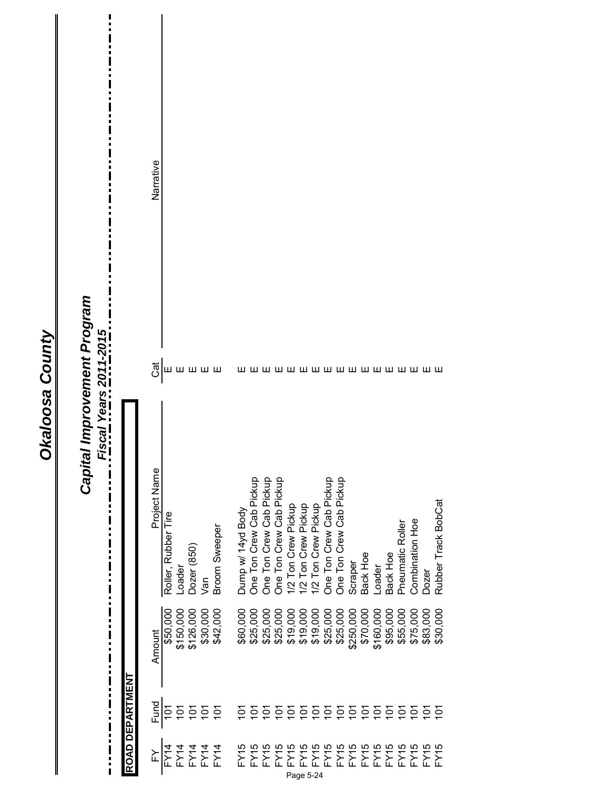$\frac{1}{2}$ 

|                              |                  |           | <br> <br>               | Capital Improvement Program<br>Fiscal Years 2011-2015 |  |
|------------------------------|------------------|-----------|-------------------------|-------------------------------------------------------|--|
|                              | ROAD DEPARTMENT  |           |                         |                                                       |  |
| ≿                            | Fund             | Amount    | Project Name            | Narrative                                             |  |
| FY14                         | $\overline{5}$   | \$50,000  | Roller, Rubber Tire     | ரு <br>மயயயய                                          |  |
| FY14                         | $\frac{2}{10}$   | \$150,000 | Loader                  |                                                       |  |
|                              | $\overline{5}$   | \$126,000 | Dozer (850)             |                                                       |  |
| FY 14<br>FY 14<br>FY 14      | $\overline{5}$   | \$30,000  | Van                     |                                                       |  |
|                              | $\overline{101}$ | \$42,000  | <b>Broom Sweeper</b>    |                                                       |  |
| FY/5                         | δ                | \$60,000  | Dump w/ 14yd Body       |                                                       |  |
|                              | Ξ                | \$25,000  | One Ton Crew Cab Pickup |                                                       |  |
| FY15<br>FY15                 | δ                | \$25,000  | One Ton Crew Cab Pickup |                                                       |  |
| <b>FY15</b>                  | $\bar{\Xi}$      | \$25,000  | One Ton Crew Cab Pickup |                                                       |  |
| FY5                          | $\overline{5}$   | \$19,000  | 1/2 Ton Crew Pickup     |                                                       |  |
| FY5<br>Page 5-24             | $\overline{5}$   | \$19,000  | 1/2 Ton Crew Pickup     |                                                       |  |
| FY5                          | $\overline{5}$   | \$19,000  | 1/2 Ton Crew Pickup     |                                                       |  |
|                              | $\overline{5}$   | \$25,000  | One Ton Crew Cab Pickup |                                                       |  |
|                              | $\overline{5}$   | \$25,000  | One Ton Crew Cab Pickup |                                                       |  |
|                              | $\overline{5}$   | \$250,000 | Scraper                 |                                                       |  |
|                              | $\overline{5}$   | \$70,000  | Back Hoe                |                                                       |  |
| FXFXFXFXFXF<br>FXFXFXFXFXFXF | $\overline{5}$   | \$160,000 | Loader                  |                                                       |  |
|                              | $\overline{5}$   | \$95,000  | Back Hoe                |                                                       |  |
|                              | $\overline{5}$   | \$55,000  | Pneumatic Roller        |                                                       |  |
|                              | $\overline{5}$   | \$75,000  | Combination Hoe         |                                                       |  |
|                              | $\bar{\Xi}$      | \$83,000  | Dozer                   |                                                       |  |
| FY5                          | $\bar{\Xi}$      | \$30,000  | Rubber Track BobCat     |                                                       |  |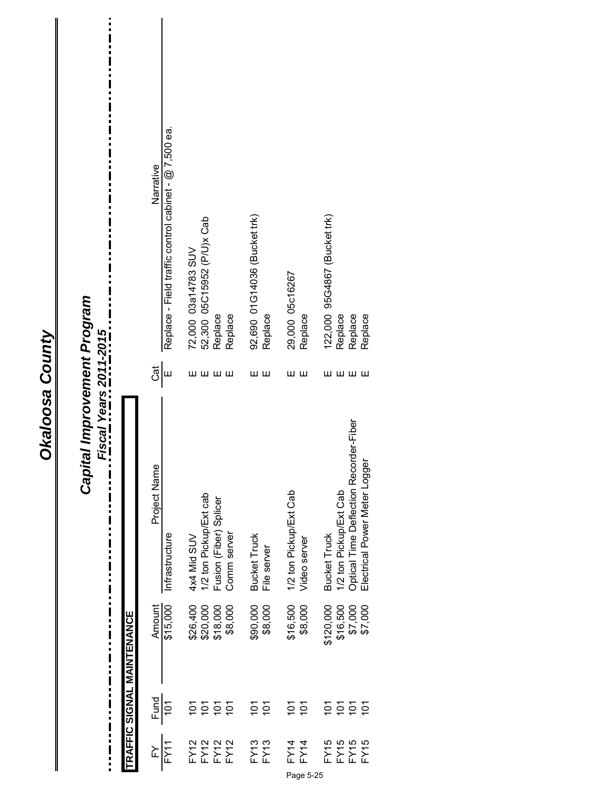| tal Improvement Program<br>$\frac{1}{1}$<br>Fiscal Years 2011-2015<br>Capit<br> <br> <br> <br> <br> <br>Ī<br>$\frac{1}{1}$ |                     | Replace - Field traffic control cabinet - @ 7,500 ea.<br>Narrative<br>$\frac{1}{2}$<br>Project Name<br>Infrastructure<br>\$15,000<br>Amount | 72,000 03a14783 SUV<br>52,300 05C15952 (P/U)x Cab<br>Replace<br>Replace<br>шшшш<br>1/2 ton Pickup/Ext cab<br>Fusion (Fiber) Splicer<br>Comm server<br>4x4 Mid SUV<br>\$26,400<br>\$20,000<br>\$18,000<br>\$8,000 | 92,690 01G14036 (Bucket trk)<br>Replace<br>шш<br><b>Bucket Truck</b><br>File server<br>\$90,000<br>\$8,000 | 29,000 05c16267<br>Replace<br>шш<br>1/2 ton Pickup/Ext Cab<br>Video server<br>\$16,500<br>\$8,000 | 122,000 95G4867 (Bucket trk)<br>Replace<br>Replace<br>Replace<br>ШШШШ<br>Optical Time Deflection Recorder-Fiber<br>Electrical Power Meter Logger<br>1/2 ton Pickup/Ext Cab<br><b>Bucket Truck</b><br>\$120,000<br>\$7,000<br>\$16,500<br>\$7,000 |
|----------------------------------------------------------------------------------------------------------------------------|---------------------|---------------------------------------------------------------------------------------------------------------------------------------------|------------------------------------------------------------------------------------------------------------------------------------------------------------------------------------------------------------------|------------------------------------------------------------------------------------------------------------|---------------------------------------------------------------------------------------------------|--------------------------------------------------------------------------------------------------------------------------------------------------------------------------------------------------------------------------------------------------|
| $\frac{1}{1}$                                                                                                              | TRAENTENGUS OILLERA | <b>Fund</b><br>101                                                                                                                          | $\frac{1}{2}$<br>101<br>$\overline{5}$<br>$\overline{5}$                                                                                                                                                         | $\frac{1}{2}$<br>$\overline{5}$                                                                            | $\frac{1}{2}$<br>$\overline{101}$                                                                 | $\overline{101}$<br>$\overline{5}$<br>$\overline{5}$<br>$\tilde{\Theta}$                                                                                                                                                                         |
|                                                                                                                            |                     | FY11<br>≿                                                                                                                                   | FY12<br>FY12<br>FY12<br>FY12                                                                                                                                                                                     | <b>FY13</b><br><b>FY13</b>                                                                                 | FY14<br>FY14                                                                                      | FY15<br>FY15<br>FY15<br>FY15                                                                                                                                                                                                                     |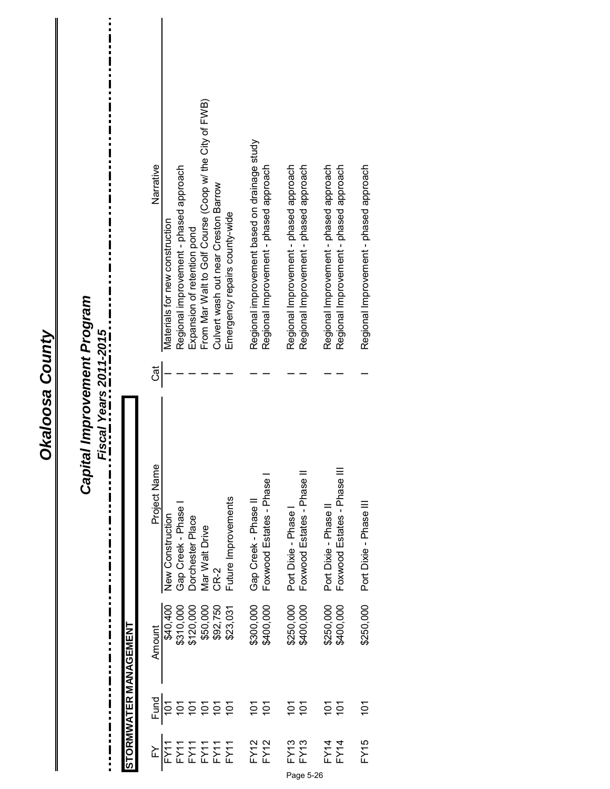| Port Dixie - Phase II<br>Gap Creek - Phase<br>Port Dixie - Phase<br>Dorchester Place<br>Mar Walt Drive<br>CR-2<br>\$300,000<br>\$250,000<br>\$250,000<br>\$400,000<br>\$400,000<br>\$50,000<br>\$92,750<br>\$400,000<br><b>\$40,400</b><br>\$310,000<br>\$120,000<br>\$23,031 | Project Name<br>Foxwood Estates - Phase III<br>Foxwood Estates - Phase II<br>Foxwood Estates - Phase<br>Future Improvements<br>Gap Creek - Phase II<br>New Construction | đ | From Mar Walt to Golf Course (Coop w/ the City of FWB)<br>Regional improvement based on drainage study<br>Narrative<br>Regional Improvement - phased approach<br>Regional Improvement - phased approach<br>Regional improvement - phased approach<br>Regional Improvement - phased approach<br>Regional Improvement - phased approach<br>Regional Improvement - phased approach<br>Culvert wash out near Creston Barrow<br>Emergency repairs county-<br>Materials for new construction<br>Expansion of retention pond |  |
|-------------------------------------------------------------------------------------------------------------------------------------------------------------------------------------------------------------------------------------------------------------------------------|-------------------------------------------------------------------------------------------------------------------------------------------------------------------------|---|-----------------------------------------------------------------------------------------------------------------------------------------------------------------------------------------------------------------------------------------------------------------------------------------------------------------------------------------------------------------------------------------------------------------------------------------------------------------------------------------------------------------------|--|
| \$250,000                                                                                                                                                                                                                                                                     | Port Dixie - Phase III                                                                                                                                                  |   | Regional Improvement - phased approach                                                                                                                                                                                                                                                                                                                                                                                                                                                                                |  |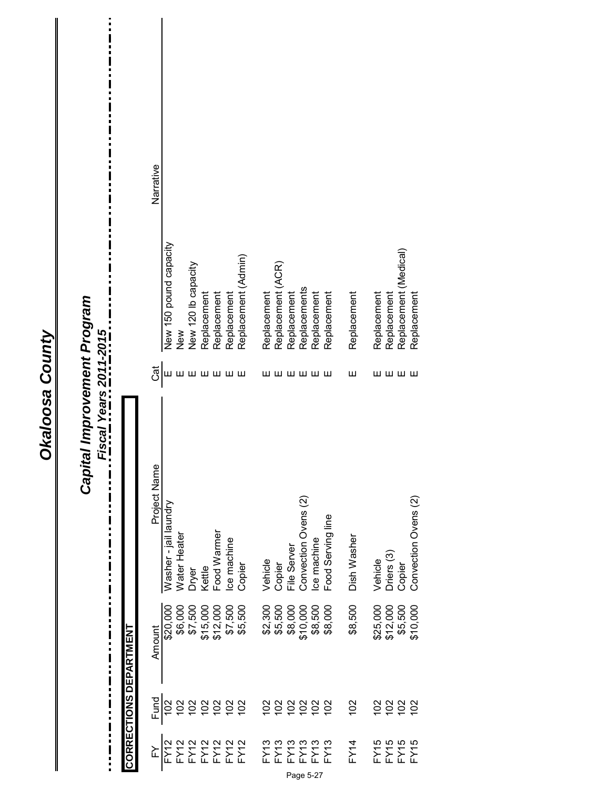|                                      | <b>CORRECTIONS DEPARTMENT</b> |          | Capital Improvement Program<br>Fiscal Years 2011-2015<br>!<br>;<br><br><br><br><br><br><br><br><br>B<br>E<br>I |       | ׅ֧֦֧֦֧֦֧֦֧֦֧֦֧֦֧֦֧֦֧֦֧֦֧֦֧֦֧֦֧֦֧֦֧֦֧֕֝֓֕֝<br>֧֧֧֧֧ׅ֧֧֦֧֦֧֧֧֦֧֦֧֦֧֦֧֧֧֧֦֧֦֧֦֧֦֧֧֚֚֘֩֩֩֘֘֩֩֩֓֘֘֘֩֓֘֘֩֩֬֘֘֘֘֘֩֬֘֩<br>֧֪֪֪֪֪֪֪֪֪֪֪֪֪֖֩ |  |
|--------------------------------------|-------------------------------|----------|----------------------------------------------------------------------------------------------------------------|-------|------------------------------------------------------------------------------------------------------------------------------------|--|
| ≧                                    | Fund                          | Amount   | Project Name                                                                                                   | Cat   | Narrative                                                                                                                          |  |
| FY12                                 | 102                           | \$20,000 | Washer - jail laundry                                                                                          |       | New 150 pound capacity                                                                                                             |  |
|                                      | 102                           | \$6,000  | Water Heater                                                                                                   |       | New                                                                                                                                |  |
|                                      | 102                           | \$7,500  | Dryer                                                                                                          |       | New 120 lb capacity                                                                                                                |  |
|                                      | 282                           | \$15,000 | Kettle                                                                                                         |       | Replacement                                                                                                                        |  |
|                                      |                               | \$12,000 | Food Warmer                                                                                                    |       | Replacement                                                                                                                        |  |
| FY12<br>FY12<br>FY12<br>FY12         |                               | \$7,500  | Ice machine                                                                                                    | шшшшш | Replacement                                                                                                                        |  |
|                                      | 102                           | \$5,500  | Copier                                                                                                         |       | Replacement (Admin)                                                                                                                |  |
|                                      | $\approx$                     | \$2,300  | Vehicle                                                                                                        |       | Replacement                                                                                                                        |  |
| FY13<br>FY13<br>FY13<br>FY13<br>FY13 | 102                           | \$5,500  | Copier                                                                                                         | шш    | Replacement (ACR)                                                                                                                  |  |
|                                      |                               | \$8,000  | File Server                                                                                                    |       | Replacement                                                                                                                        |  |
|                                      | 2222                          | \$10,000 | Convection Ovens (2)                                                                                           | шшшш  | Replacements                                                                                                                       |  |
|                                      |                               | \$8,500  | Ice machine                                                                                                    |       | Replacement                                                                                                                        |  |
|                                      |                               | \$8,000  | Food Serving line                                                                                              |       | Replacement                                                                                                                        |  |
| FY14                                 | 102                           | \$8,500  | Dish Washer                                                                                                    | Ш     | Replacement                                                                                                                        |  |
|                                      | 102                           | \$25,000 | Vehicle                                                                                                        |       | Replacement                                                                                                                        |  |
| FY15<br>FY15                         | 102                           | \$12,000 | Driers <sub>(3)</sub>                                                                                          |       | Replacement                                                                                                                        |  |
| FY15                                 | 102                           | \$5,500  | Copier                                                                                                         | шшшш  | Replacement (Medical)                                                                                                              |  |
| FY15                                 | 102                           | \$10,000 | Convection Ovens (2)                                                                                           |       | Replacement                                                                                                                        |  |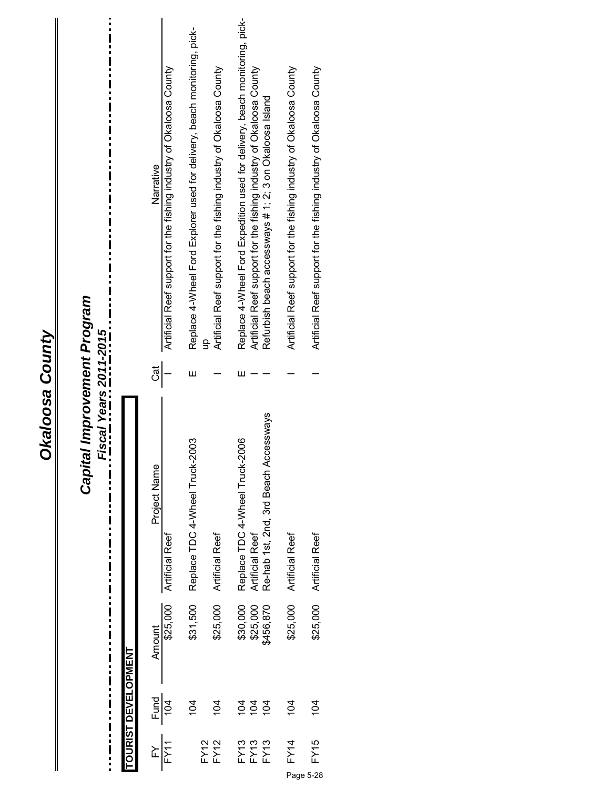| <b>Dkaloosa County</b> | Capital Improvement Program<br>$\begin{array}{c} \n\blacksquare \\ \blacksquare \\ \blacksquare\n\end{array}$<br>Fiscal Years 2011-2015<br>п |                            | Artificial Reef support for the fishing industry of Okaloosa County<br>Narrative<br>Ğ<br>Project Name<br><b>Artificial Reef</b><br>\$25,000<br>Amount | Replace 4-Wheel Ford Explorer used for delivery, beach monitoring, pick-<br>Ш<br>Replace TDC 4-Wheel Truck-2003<br>\$31,500<br>104 | Artificial Reef support for the fishing industry of Okaloosa County<br><b>Artificial Reef</b><br>\$25,000<br>104 | Replace 4-Wheel Ford Expedition used for delivery, beach monitoring, pick-<br>Artificial Reef support for the fishing industry of Okaloosa County<br>Refurbish beach accessways # 1; 2; 3 on Okaloosa Island<br>ш<br>Re-hab 1st, 2nd, 3rd Beach Accessways<br>Replace TDC 4-Wheel Truck-2006<br>Artificial Reef<br>\$30,000<br>\$25,000<br>\$456,870<br><u>ទ្ទ ទ្ទ</u> | Artificial Reef support for the fishing industry of Okaloosa County<br><b>Artificial Reef</b><br>\$25,000<br>104 | Artificial Reef support for the fishing industry of Okaloosa County<br>Artificial Reef<br>\$25,000<br>104 |
|------------------------|----------------------------------------------------------------------------------------------------------------------------------------------|----------------------------|-------------------------------------------------------------------------------------------------------------------------------------------------------|------------------------------------------------------------------------------------------------------------------------------------|------------------------------------------------------------------------------------------------------------------|------------------------------------------------------------------------------------------------------------------------------------------------------------------------------------------------------------------------------------------------------------------------------------------------------------------------------------------------------------------------|------------------------------------------------------------------------------------------------------------------|-----------------------------------------------------------------------------------------------------------|
|                        |                                                                                                                                              | <b>TOURIST DEVELOPMENT</b> | <b>Fund</b><br>104                                                                                                                                    |                                                                                                                                    |                                                                                                                  |                                                                                                                                                                                                                                                                                                                                                                        |                                                                                                                  |                                                                                                           |
|                        |                                                                                                                                              |                            | FY11<br>≿                                                                                                                                             |                                                                                                                                    | <b>FY12</b><br>FY12                                                                                              | FY13<br>FY13<br>FY13                                                                                                                                                                                                                                                                                                                                                   | FY14                                                                                                             | FY15<br>Page 5-28                                                                                         |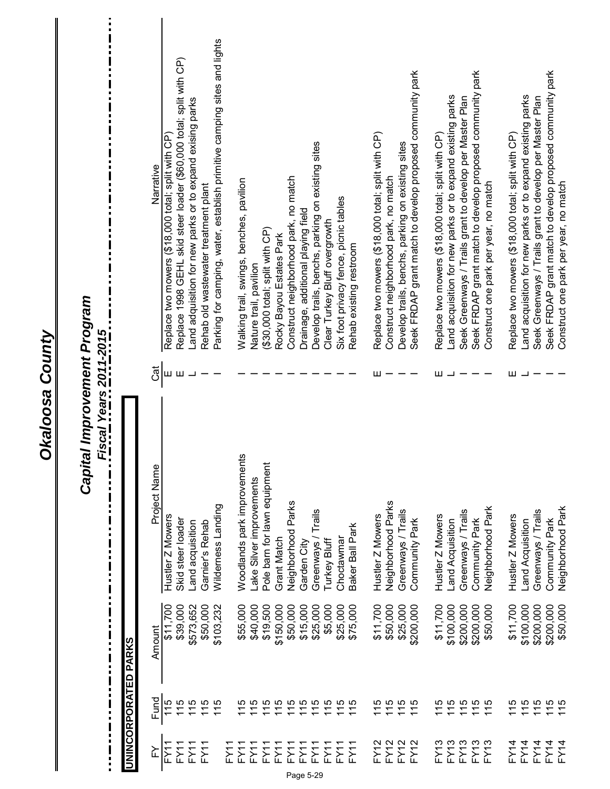Okaloosa County

 $\mathbf{I}$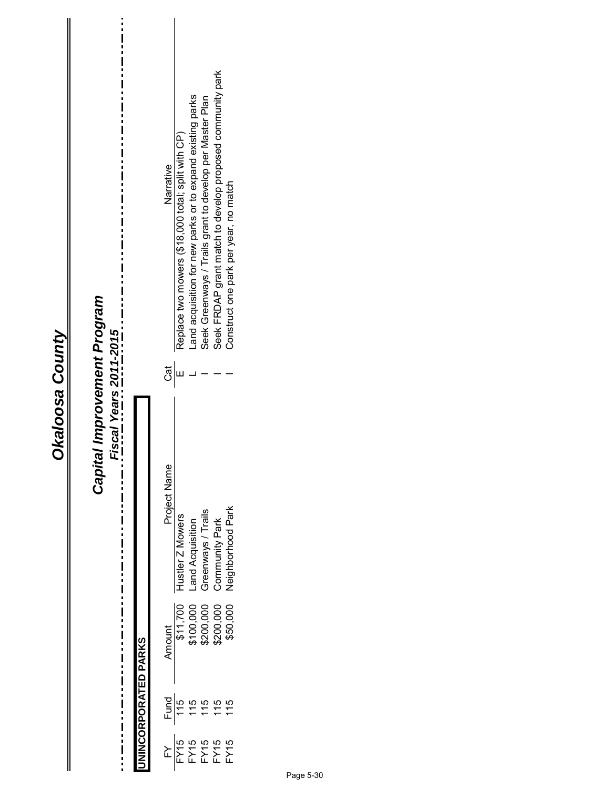# *Capital Improvement Program*

*Fiscal Years 2011-2015*

 $\vdots$ 

i  $\ddot{i}$ 

—<br>—<br>—<br>—<br><br><br><br><br><br><br><br>

 $\blacksquare$ 

 $\mathbf{i}$ 

i

 $\ddot{\phantom{a}}$ i

|                           | Narrative<br>ිම්<br>Project Name | Replace two mowers (\$18,000 total; split with CP)<br>lustler Z Mowers | Land acquisition for new parks or to expand existing parks<br>and Acquisition | Seek Greenways / Trails grant to develop per Master Plan<br>Greenways / Trails<br>$\frac{$11,700}{$100,000}$<br>\$100,000 | Seek FRDAP grant match to develop proposed community park<br>Community Park<br>\$200,000 | Construct one park per year, no match<br><b>Jeighborhood Park</b><br>\$50,000 |
|---------------------------|----------------------------------|------------------------------------------------------------------------|-------------------------------------------------------------------------------|---------------------------------------------------------------------------------------------------------------------------|------------------------------------------------------------------------------------------|-------------------------------------------------------------------------------|
|                           |                                  |                                                                        |                                                                               |                                                                                                                           |                                                                                          |                                                                               |
| <b>INCORPORATED PARKS</b> | <b>Amount</b>                    |                                                                        |                                                                               |                                                                                                                           |                                                                                          |                                                                               |
|                           |                                  |                                                                        | $\frac{3}{15}$<br>$\frac{15}{15}$                                             | 115                                                                                                                       | 115                                                                                      | 115                                                                           |
|                           |                                  |                                                                        |                                                                               |                                                                                                                           |                                                                                          |                                                                               |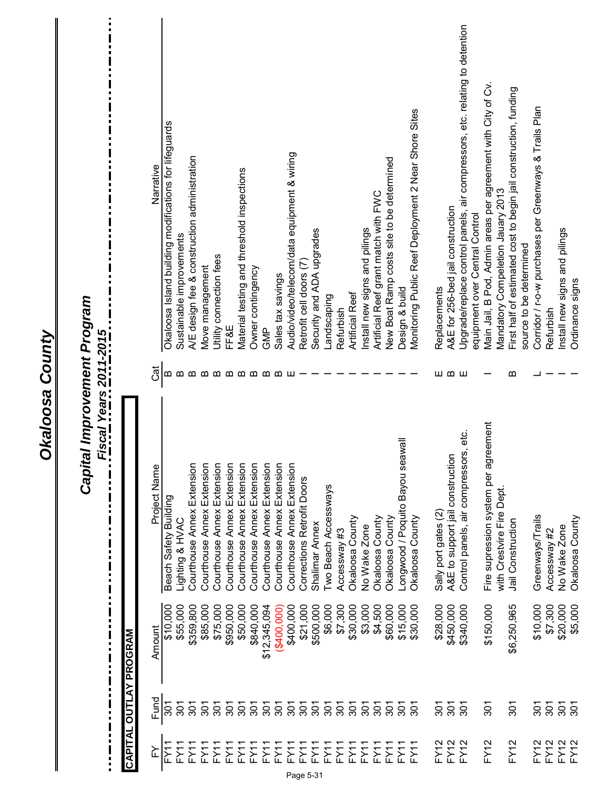|                                                       |                               | Narrative    | Okaloosa Island building modifications for lifeguards | Sustainable improvements | A/E design fee & construction administration | Move management            | Utility connection fees    | FF&E                       | Material testing and threshold inspections | Owner contingency             | GMP                        | Sales tax savings          | Audio/video/telecom/data equipment & wiring | Retrofit cell doors (7)    | Security and ADA upgrades | Landscaping          | Refurbish    | <b>Artificial Reef</b> | Install new signs and pilings | Artificial Reef grant match with FWC | New Boat Ramp costs site to be determined | Design & build                       | Monitoring Public Reef Deployment 2 Near Shore Sites | Replacements         | A&E for 256-bed jail construction | Upgrade/replace control panels, air compressors, etc. relating to detention<br>equipment over Central Control | Main Jail, B Pod, Admin areas per agreement with City of Cv. | Mandatory Compeletion Jauary 2013 | First half of estimated cost to begin jail construction, funding<br>source to be determined | Corridor / r-o-w purchases per Greenways & Trails Plan | Refurbish    | Install new signs and pilings | Ordinance signs |
|-------------------------------------------------------|-------------------------------|--------------|-------------------------------------------------------|--------------------------|----------------------------------------------|----------------------------|----------------------------|----------------------------|--------------------------------------------|-------------------------------|----------------------------|----------------------------|---------------------------------------------|----------------------------|---------------------------|----------------------|--------------|------------------------|-------------------------------|--------------------------------------|-------------------------------------------|--------------------------------------|------------------------------------------------------|----------------------|-----------------------------------|---------------------------------------------------------------------------------------------------------------|--------------------------------------------------------------|-----------------------------------|---------------------------------------------------------------------------------------------|--------------------------------------------------------|--------------|-------------------------------|-----------------|
|                                                       |                               | Čāt          | $\boldsymbol{\varpi}$                                 | ≃                        | മ                                            | ≃                          | മ                          | മമമമ                       |                                            |                               |                            | ≃                          | ш                                           |                            |                           |                      |              |                        |                               |                                      |                                           |                                      |                                                      |                      | ШФШ                               |                                                                                                               |                                                              |                                   | $\boldsymbol{\omega}$                                                                       |                                                        |              |                               |                 |
| Capital Improvement Program<br>Fiscal Years 2011-2015 |                               | Project Name | Beach Safety Building                                 | Lighting & HVAC          | Courthouse Annex Extension                   | Courthouse Annex Extension | Courthouse Annex Extension | Courthouse Annex Extension | Courthouse Annex Extension                 | Extension<br>Courthouse Annex | Courthouse Annex Extension | Courthouse Annex Extension | Courthouse Annex Extension                  | Corrections Retrofit Doors | Shalimar Annex            | Two Beach Accessways | Accessway #3 | Okaloosa County        | No Wake Zone                  | Okaloosa County                      | Okaloosa County                           | llewe<br>Longwood / Poquito Bayou se | Okaloosa County                                      | Sally port gates (2) | A&E to support jail construction  | Control panels, air compressors, etc.                                                                         | Fire supression system per agreement                         | with Crestvire Fire Dept          | Jail Construction                                                                           | Greenways/Trails                                       | Accessway #2 | No Wake Zone                  | Okaloosa County |
|                                                       | <b>CAPITAL OUTLAY PROGRAM</b> | Amount       | \$10,000                                              | \$55,000                 | \$359,800                                    | \$85,000                   | \$75,000                   | \$950,000                  | \$50,000                                   | \$840,000                     | \$12,345,094               | (\$400,000                 | \$400,000                                   | \$21,000                   | \$500,000                 | \$6,000              | \$7,300      | \$30,000               | \$3,000                       | \$4,500                              | \$60,000                                  | \$15,000                             | \$30,000                                             | \$28,000             | \$450,000                         | \$340,000                                                                                                     | \$150,000                                                    |                                   | \$6,250,965                                                                                 | \$10,000                                               | \$7,300      | \$20,000                      | \$5,000         |
|                                                       |                               | Fund         | $\overline{301}$                                      | $\overline{301}$         | $\overline{5}$                               | 301                        | వ్ల                        | 507                        | వ్లె                                       | 301                           | 301                        | 50                         | $\frac{5}{2}$                               | $\tilde{5}$                | 301                       | $\tilde{5}$          | 50           | $\tilde{5}$            | $\overline{5}$                | 507                                  | వ్ల                                       | $\tilde{5}$                          | $\tilde{8}$                                          | 501                  | 301                               | 301                                                                                                           | $\overline{5}$                                               |                                   | 301                                                                                         | $\overline{301}$                                       | 301          | $\overline{301}$              | $\tilde{8}$     |
|                                                       |                               | ≧            | FY1                                                   | FY11                     | FY11                                         | FY11                       | FY11                       | FY11                       | FY11                                       | FY11                          | FY11                       | FY11                       | FY11                                        | FY11                       | FY11                      | FY11                 | FY11         | FY11                   | FY11                          | FY11                                 | FY11                                      | FY11                                 | ΪŹ.                                                  | FY12                 | <b>FY12</b>                       | FY12                                                                                                          | <b>FY12</b>                                                  |                                   | <b>FY12</b>                                                                                 | FY12                                                   | FY12         | FY12                          | FY12            |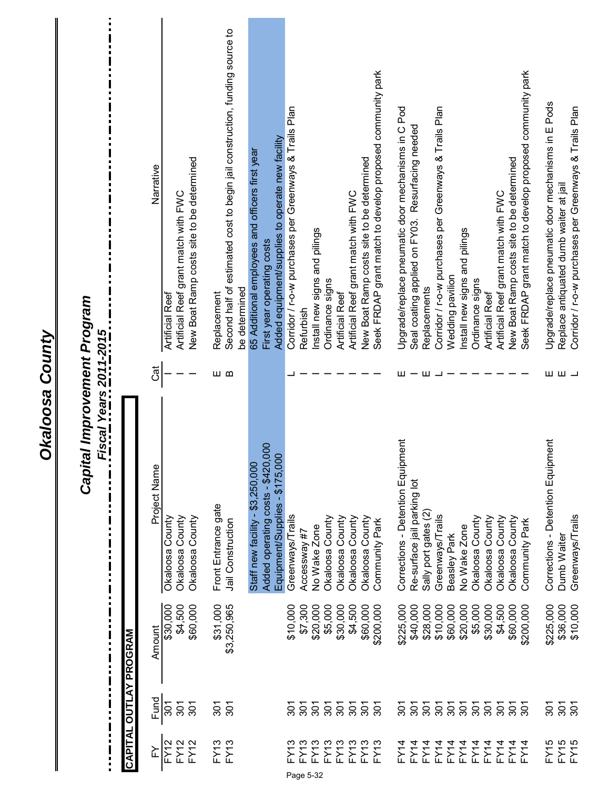| :<br>i<br>!<br>!<br>!<br>!<br>$\blacksquare$<br>$\frac{1}{2}$ $\frac{1}{2}$ $\frac{1}{2}$ $\frac{1}{2}$ $\frac{1}{2}$ $\frac{1}{2}$ $\frac{1}{2}$ $\frac{1}{2}$ $\frac{1}{2}$ $\frac{1}{2}$ $\frac{1}{2}$ $\frac{1}{2}$ $\frac{1}{2}$ $\frac{1}{2}$ $\frac{1}{2}$ $\frac{1}{2}$ $\frac{1}{2}$ $\frac{1}{2}$ $\frac{1}{2}$ $\frac{1}{2}$ $\frac{1}{2}$ $\frac{1}{2}$<br>i<br>tal Improvement Program |               | Narrative    | <b>Artificial Reef</b> | Artificial Reef grant match with FWC | New Boat Ramp costs site to be determined | Replacement         | Second half of estimated cost to begin jail construction, funding source to<br>be determined | 65 Additional employees and officers first year | First year operating costs            | Added equipment/supplies to operate new facility | Corridor / r-o-w purchases per Greenways & Trails Plan | Refurbish         | Install new signs and pilings | Ordinance signs | <b>Artificial Reef</b> | Artificial Reef grant match with FWC | New Boat Ramp costs site to be determined | Seek FRDAP grant match to develop proposed community park | Upgrade/replace pneumatic door mechanisms in C Pod | Seal coating applied on FY03. Resurfacing needed | Replacements         | Corridor / r-o-w purchases per Greenways & Trails Plan | Wedding pavilion | Install new signs and pilings | Ordinance signs | <b>Artificial Reef</b> | Artificial Reef grant match with FWC | Seek FRDAP grant match to develop proposed community park<br>New Boat Ramp costs site to be determined | Upgrade/replace pneumatic door mechanisms in E Pods | Corridor / r-o-w purchases per Greenways & Trails Plan<br>Replace antiquated dumb waiter at jail          |
|-----------------------------------------------------------------------------------------------------------------------------------------------------------------------------------------------------------------------------------------------------------------------------------------------------------------------------------------------------------------------------------------------------|---------------|--------------|------------------------|--------------------------------------|-------------------------------------------|---------------------|----------------------------------------------------------------------------------------------|-------------------------------------------------|---------------------------------------|--------------------------------------------------|--------------------------------------------------------|-------------------|-------------------------------|-----------------|------------------------|--------------------------------------|-------------------------------------------|-----------------------------------------------------------|----------------------------------------------------|--------------------------------------------------|----------------------|--------------------------------------------------------|------------------|-------------------------------|-----------------|------------------------|--------------------------------------|--------------------------------------------------------------------------------------------------------|-----------------------------------------------------|-----------------------------------------------------------------------------------------------------------|
|                                                                                                                                                                                                                                                                                                                                                                                                     |               | Cat          |                        |                                      |                                           | யம                  |                                                                                              |                                                 |                                       |                                                  |                                                        |                   |                               |                 |                        |                                      |                                           |                                                           | ш                                                  |                                                  | ш                    |                                                        |                  |                               |                 |                        |                                      |                                                                                                        |                                                     | $\begin{array}{ccc} \textstyle\blacksquare & \textstyle\blacksquare & \textstyle\blacksquare \end{array}$ |
| Capit<br>i<br>π<br>Ξ<br>$\blacksquare$<br>$\blacksquare$<br>П<br>i<br>p<br>p<br>$\mathbf I$<br>$\blacksquare$<br>i                                                                                                                                                                                                                                                                                  |               | Project Name | Okaloosa County        | Okaloosa County                      | Okaloosa County                           | Front Entrance gate | Jail Construction                                                                            | Staff new facility - \$3,250,000                | 000<br>Added operating costs - \$420, | Equipment/Supplies - \$175,000                   | Greenways/Trails                                       | Accessway#7       | No Wake Zone                  | Okaloosa County | Okaloosa County        | Okaloosa County                      | Okaloosa County                           | Community Park                                            | Corrections - Detention Equipment                  | Re-surface jail parking lot                      | Sally port gates (2) | Greenways/Trails                                       | Beasley Park     | No Wake Zone                  | Okaloosa County | Okaloosa County        | Okaloosa County                      | Okaloosa County<br>Community Park                                                                      | Corrections - Detention Equipment                   | Greenways/Trails<br>Dumb Waiter                                                                           |
| i                                                                                                                                                                                                                                                                                                                                                                                                   | PROGRAM       | Amount       | \$30,000               | \$4,500                              | \$60,000                                  | \$31,000            | \$3,250,965                                                                                  |                                                 |                                       |                                                  | \$10,000                                               | \$7,300           | \$20,000                      | \$5,000         | \$30,000               | \$4,500                              | \$60,000                                  | \$200,000                                                 | \$225,000                                          | \$40,000                                         | \$28,000             | \$10,000                                               | \$60,000         | \$20,000                      | \$5,000         | \$30,000               | \$4,500<br>\$60,000                  | \$200,000                                                                                              | \$225,000                                           | \$36,000<br>\$10,000                                                                                      |
|                                                                                                                                                                                                                                                                                                                                                                                                     | <b>OUTLAY</b> | Fund         | 301                    | $\overline{301}$                     | 301                                       | 301                 | 301                                                                                          |                                                 |                                       |                                                  | వ్ల                                                    | ప్లె              | 301                           | $\frac{5}{2}$   | $\frac{5}{2}$          | <u>န</u>                             | $\tilde{5}$                               | $\tilde{5}$                                               | వ్గ                                                | $\overline{5}$                                   | $\frac{5}{2}$        | $\overline{5}$                                         | $\frac{5}{20}$   | 301                           | 301             | 301                    | $\overline{5}$<br>$\frac{5}{2}$      | $\tilde{8}$                                                                                            | $\overline{301}$                                    | $\overline{5}$<br>$\overline{5}$                                                                          |
| $\frac{1}{2}$                                                                                                                                                                                                                                                                                                                                                                                       | CAPITAL       | ≿            | FY <sub>12</sub>       | FY12                                 | FY12                                      |                     | FY13<br>FY13                                                                                 |                                                 |                                       |                                                  | FY13                                                   | FY13<br>Page 5-32 | FY13                          | FY13            | FY13                   | FY13                                 | FY13                                      | FY13                                                      | FY14                                               | FY14                                             | FY14                 | FY14                                                   | FY14             | FY14                          | <b>FY14</b>     | FY14                   | FY14<br>FY14                         | FY14                                                                                                   | FY15                                                | FY <sub>15</sub><br>FY15                                                                                  |

Okaloosa County

 $\mathbf{I}$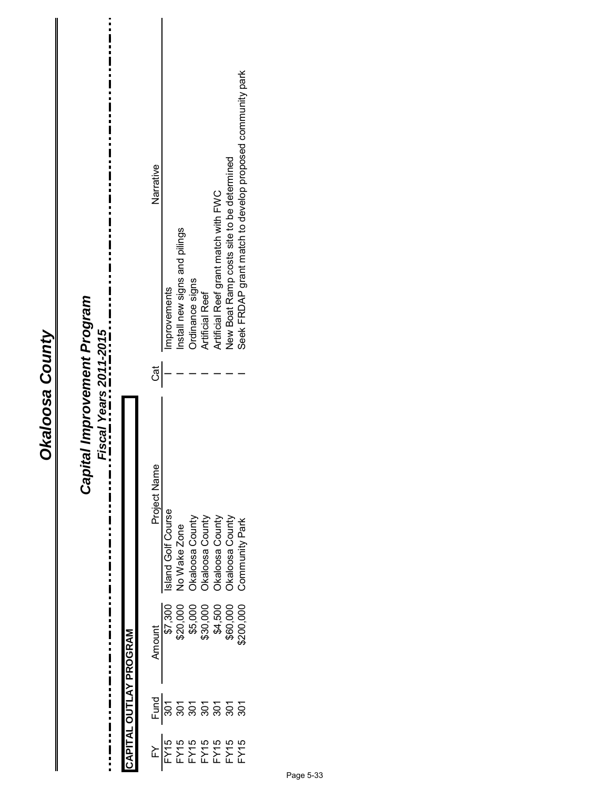| ğ |  |
|---|--|
| t |  |
|   |  |
|   |  |
|   |  |

| tal Improvement Program<br>Fiscal Years 2011-2015 |                        | Seek FRDAP grant match to develop proposed community park<br>New Boat Ramp costs site to be determined<br>Narrative<br>Artificial Reef grant match with FWC<br>Install new signs and pilings<br>Ordinance signs<br>Improvements<br><b>Artificial Reef</b><br>Ğ                     |
|---------------------------------------------------|------------------------|------------------------------------------------------------------------------------------------------------------------------------------------------------------------------------------------------------------------------------------------------------------------------------|
| !<br>!<br>!<br>Capit                              | CAPITAL OUTLAY PROGRAM | Project Name<br>Island Golf Course<br>Okaloosa County<br>Okaloosa County<br>No Wake Zone<br>Okaloosa County<br><b>County</b><br>Community Park<br>\$7,300<br>\$20,000<br>\$5,000<br>\$30,000<br>\$4,500<br>\$60,000<br>\$200,000<br>Amount<br><u>ដ្ឋ</u><br>ក្នុង ខ្លួន ខ្លួន ខ្លួ |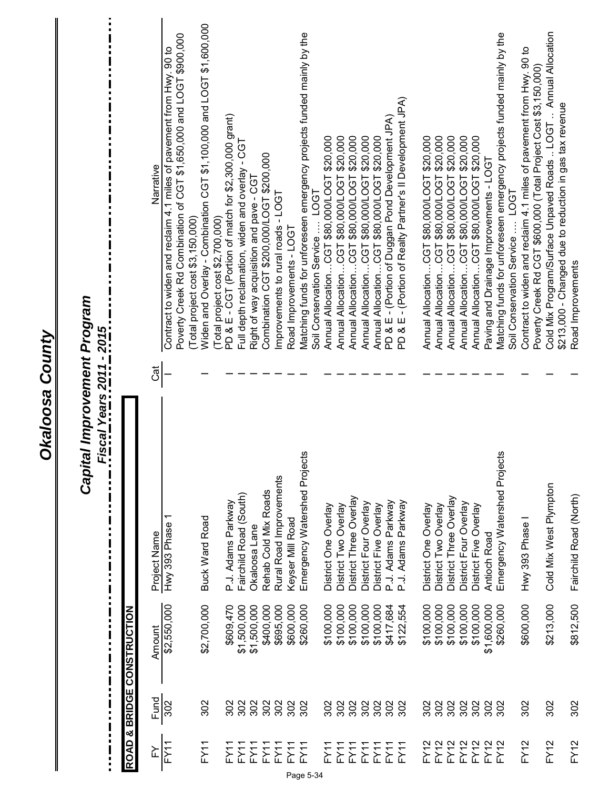| ļ                 |            | $\begin{array}{c} \blacksquare \\ \blacksquare \\ \blacksquare \end{array}$<br>$\frac{1}{2}$ | Capital Improvement Program<br><u>Fiscal Years 2011 - 2015</u><br>п<br>п |   |                                                                                                                                            |
|-------------------|------------|----------------------------------------------------------------------------------------------|--------------------------------------------------------------------------|---|--------------------------------------------------------------------------------------------------------------------------------------------|
|                   |            | <b>NOLLONALSNOJ 300NSB &amp; GVON</b>                                                        |                                                                          |   |                                                                                                                                            |
| ≿                 | Fund       | Amount                                                                                       | Project Name                                                             | ಡ | Narrative                                                                                                                                  |
| FY11              | 302        | \$2,550,000                                                                                  | Hwy 393 Phase                                                            |   | Poverty Creek Rd Combination of CGT \$1,650,000 and LOGT \$900,000<br>Contract to widen and reclaim 4.1 miles of pavement from Hwy. 90 to  |
| FY11              | 302        | \$2,700,000                                                                                  | <b>Buck Ward Road</b>                                                    |   | Widen and Overlay - Combination CGT \$1,100,000 and LOGT \$1,600,000<br>Total project cost \$2,700,000)<br>Total project cost \$3,150,000) |
| EY.               | 302        | \$609,470                                                                                    | P.J. Adams Parkway                                                       |   | PD & E - CGT (Portion of match for \$2,300,000 grant)                                                                                      |
| FY11              | 302        | \$1,500,000                                                                                  | Fairchild Road (South)                                                   |   | Full depth reclamation, widen and overlay - CGT                                                                                            |
| FY11<br>FY11      | 302<br>302 | \$1,500,000<br>\$400,000                                                                     | Rehab Cold Mix Roads<br>Okaloosa Lane                                    |   | Combination CGT \$200,000/LOGT \$200,000<br>Right of way acquisition and pave - CGT                                                        |
| FY11              | 302        | \$695,000                                                                                    | Rural Road Improvements                                                  |   | mprovements to rural roads - LOGT                                                                                                          |
| FY1               | 302        | \$600,000                                                                                    | Keyser Mill Road                                                         |   | Road Improvements - LOGT                                                                                                                   |
| FY11<br>Page 5-34 | 302        | \$260,000                                                                                    | Emergency Watershed Projects                                             |   | Matching funds for unforeseen emergency projects funded mainly by the                                                                      |
| FY1               | 302        | \$100,000                                                                                    | District One Overlay                                                     |   | Annual AllocationCGT \$80,000/LOGT \$20,000<br>Soil Conservation Service  LOGT                                                             |
| FY11              | 302        | \$100,000                                                                                    | District Two Overlay                                                     |   | Annual AllocationCGT \$80,000/LOGT \$20,000                                                                                                |
| FY11              | 302        | \$100,000                                                                                    | District Three Overlay                                                   |   | \$80,000/LOGT \$20,000<br>Annual AllocationCGT                                                                                             |
| FY11              | 302        | \$100,000                                                                                    | District Four Overlay                                                    |   | Annual AllocationCGT \$80,000/LOGT \$20,000                                                                                                |
| FY11              | 302        | \$100,000                                                                                    | District Five Overlay                                                    |   | Annual AllocationCGT \$80,000/LOGT \$20,000                                                                                                |
| FY11              | 302        | \$417,684                                                                                    | P.J. Adams Parkway                                                       |   | PD & E - (Portion of Duggan Pond Development JPA)                                                                                          |
| FY11              | 302        | \$122,554                                                                                    | P.J. Adams Parkway                                                       |   | PD & E - (Portion of Realty Partner's II Development JPA)                                                                                  |
| FY <sub>12</sub>  | 302        | \$100,000                                                                                    | District One Overlay                                                     |   | Annual AllocationCGT \$80,000/LOGT \$20,000                                                                                                |
| FY12              | 302        | \$100,000                                                                                    | District Two Overlay                                                     |   | \$80,000/LOGT \$20,000<br>Annual AllocationCGT                                                                                             |
| FY12              | 302        | \$100,000                                                                                    | District Three Overlay                                                   |   | Annual AllocationCGT \$80,000/LOGT \$20,000                                                                                                |
| FY12              | 302        | \$100,000                                                                                    | District Four Overlay                                                    |   | Annual AllocationCGT \$80,000/LOGT \$20,000                                                                                                |
| FY12              | 302        | \$100,000                                                                                    | District Five Overlay                                                    |   | Annual AllocationCGT \$80,000/LOGT \$20,000                                                                                                |
| FY12              | 302        | \$1,600,000                                                                                  | <b>Antioch Road</b>                                                      |   | Paving and Drainage Improvements - LOGT                                                                                                    |
| FY12              | 302        | \$260,000                                                                                    | Emergency Watershed Projects                                             |   | Matching funds for unforeseen emergency projects funded mainly by the                                                                      |
| FY12              | 302        | \$600,000                                                                                    | Hwy 393 Phase I                                                          |   | Contract to widen and reclaim 4.1 miles of pavement from Hwy. 90 to<br>Soil Conservation Service  LOGT                                     |
|                   |            |                                                                                              |                                                                          |   | Poverty Creek Rd CGT \$600,000 (Total Project Cost \$3,150,000)                                                                            |
| FY12              | 302        | \$213,000                                                                                    | Cold Mix West Plympton                                                   |   | Cold Mix Program/Surface Unpaved Roads  LOGT  Annual Allocation                                                                            |
| FY12              | 302        | \$812,500                                                                                    | Fairchild Road (North)                                                   |   | \$213,000 - Changed due to reduction in gas tax revenue<br>Road Improvements                                                               |

Okaloosa County

 $\mathbf{I}$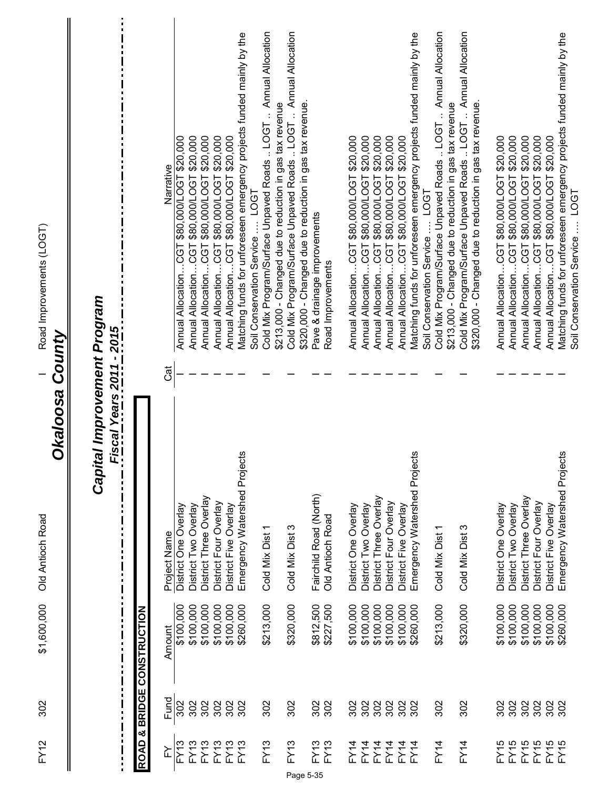FY12 302 BCCD Old Antioch Road I Road Improvements (LOGT) 1971 Antioch Road Inprovements (LOGT) \$1,600,000 Old Antioch Road 302  $FY12$ 

I Road Improvements (LOGT)

### **Okaloosa County** *Okaloosa County*

## Capital Improvement Program *Capital Improvement Program*

*Fiscal Years 2011 - 2015*

:<br>:<br>:<br>:<br>:

 $\frac{1}{1}$ 

Ē

I

|                                       | Narrative    | \$20,000<br>\$80,000/LOGT<br>Annual AllocationCGT | \$20,000<br>Annual AllocationCGT \$80,000/LOGT | \$20,000<br>Annual AllocationCGT \$80,000/LOGT | Annual AllocationCGT \$80,000/LOGT \$20,000 | Annual AllocationCGT \$80,000/LOGT \$20,000 | Matching funds for unforeseen emergency projects funded mainly by the<br>Soil Conservation Service  LOGT | Cold Mix Program/Surface Unpaved Roads  LOGT  Annual Allocation<br>\$213,000 - Changed due to reduction in gas tax revenue | Cold Mix Program/Surface Unpaved Roads  LOGT  Annual Allocation<br>\$320,000 - Changed due to reduction in gas tax revenue. | Pave & drainage improvements | Road Improvements | Annual AllocationCGT \$80,000/LOGT \$20,000 | \$20,000<br>Annual AllocationCGT \$80,000/LOGT | \$20,000<br>Annual AllocationCGT \$80,000/LOGT | \$20,000<br>Annual AllocationCGT \$80,000/LOGT | Annual AllocationCGT \$80,000/LOGT \$20,000 | Matching funds for unforeseen emergency projects funded mainly by the | Cold Mix Program/Surface Unpaved Roads  LOGT  Annual Allocation<br>Soil Conservation Service  LOG | \$213,000 - Changed due to reduction in gas tax revenue | Cold Mix Program/Surface Unpaved Roads  LOGT  Annual Allocation<br>\$320,000 - Changed due to reduction in gas tax revenue. | Annual AllocationCGT \$80,000/LOGT \$20,000 | Annual AllocationCGT \$80,000/LOGT \$20,000 | Annual AllocationCGT \$80,000/LOGT \$20,000 | Annual AllocationCGT \$80,000/LOGT \$20,000 | Annual AllocationCGT \$80,000/LOGT \$20,000 | Matching funds for unforeseen emergency projects funded mainly by the<br>Soil Conservation Service  LOGT |
|---------------------------------------|--------------|---------------------------------------------------|------------------------------------------------|------------------------------------------------|---------------------------------------------|---------------------------------------------|----------------------------------------------------------------------------------------------------------|----------------------------------------------------------------------------------------------------------------------------|-----------------------------------------------------------------------------------------------------------------------------|------------------------------|-------------------|---------------------------------------------|------------------------------------------------|------------------------------------------------|------------------------------------------------|---------------------------------------------|-----------------------------------------------------------------------|---------------------------------------------------------------------------------------------------|---------------------------------------------------------|-----------------------------------------------------------------------------------------------------------------------------|---------------------------------------------|---------------------------------------------|---------------------------------------------|---------------------------------------------|---------------------------------------------|----------------------------------------------------------------------------------------------------------|
|                                       | ಡ            |                                                   |                                                |                                                |                                             |                                             |                                                                                                          |                                                                                                                            |                                                                                                                             |                              |                   |                                             |                                                |                                                |                                                |                                             |                                                                       |                                                                                                   |                                                         |                                                                                                                             |                                             |                                             |                                             |                                             |                                             |                                                                                                          |
|                                       | Project Name | District One Overlay                              | District Two Overlay                           | District Three Overlay                         | District Four Overlay                       | District Five Overlay                       | Emergency Watershed Projects                                                                             | Cold Mix Dist 1                                                                                                            | Cold Mix Dist 3                                                                                                             | Fairchild Road (North)       | Old Antioch Road  | District One Overlay                        | District Two Overlay                           | District Three Overlay                         | District Four Overlay                          | District Five Overlay                       | Emergency Watershed Projects                                          | Cold Mix Dist 1                                                                                   |                                                         | Cold Mix Dist 3                                                                                                             | District One Overlay                        | District Two Overlay                        | District Three Overlay                      | District Four Overlay                       | District Five Overlay                       | Emergency Watershed Projects                                                                             |
| <b>NOLLONALSNOJ 300NSB &amp; GVON</b> | Amount       | \$100,000                                         | \$100,000                                      | \$100,000                                      | \$100,000                                   | \$100,000                                   | \$260,000                                                                                                | \$213,000                                                                                                                  | \$320,000                                                                                                                   | \$812,500                    | \$227,500         | \$100,000                                   | \$100,000                                      | \$100,000                                      | \$100,000                                      | \$100,000                                   | \$260,000                                                             | \$213,000                                                                                         |                                                         | \$320,000                                                                                                                   | \$100,000                                   | \$100,000                                   | \$100,000                                   | \$100,000                                   | \$100,000                                   | \$260,000                                                                                                |
|                                       | Fund         | 302                                               | 302                                            | 302                                            | 302                                         | 302                                         | 302                                                                                                      | 302                                                                                                                        | 302                                                                                                                         | 302                          | 302               | 302                                         | 302                                            | 302                                            | 302                                            | 302                                         | 302                                                                   | 302                                                                                               |                                                         | 302                                                                                                                         | 302                                         | 302                                         | 302                                         | 302                                         | 302                                         | 302                                                                                                      |
|                                       | ≿            | FY13                                              | <b>FY13</b>                                    | <b>FY13</b>                                    | <b>FY13</b>                                 | <b>FY13</b>                                 | FY13                                                                                                     | <b>FY13</b>                                                                                                                | FY13<br>Page 5-35                                                                                                           | FY13                         | <b>FY13</b>       | FY14                                        | FY14                                           | FY14                                           |                                                | FY14<br>FX14<br>FX14                        |                                                                       | FY14                                                                                              |                                                         | FY14                                                                                                                        | FY15                                        | FY5                                         |                                             | FY 55<br>FY 55<br>FY 56<br>FY 56            |                                             |                                                                                                          |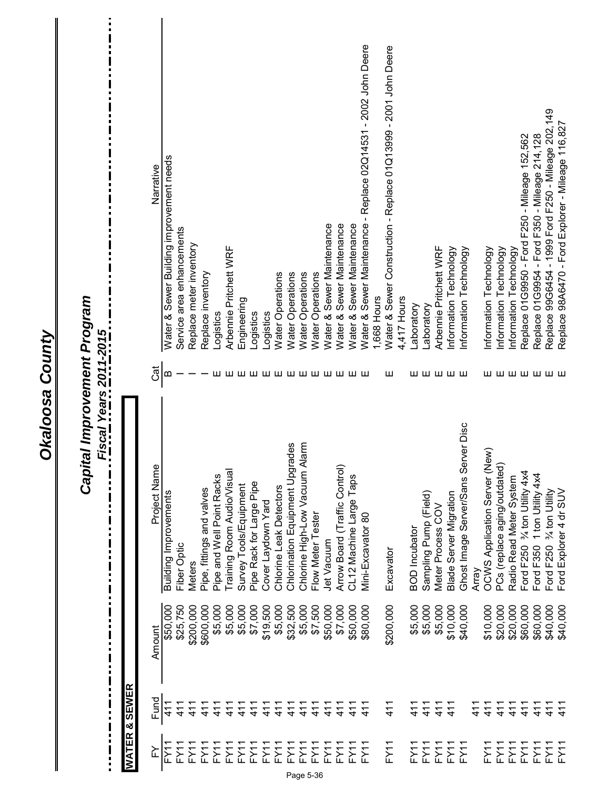| WATER       | & SEWER       |           | Capital Improvement Program<br><u>Fiscal Years 2011-2015</u><br>П |         |                                                                 |
|-------------|---------------|-----------|-------------------------------------------------------------------|---------|-----------------------------------------------------------------|
| ≿           | Fund          | Amount    | Project Name                                                      | Cat     | Narrative                                                       |
| FY11        | 411           | \$50,000  | Building Improvements                                             | ഥ       | Water & Sewer Building improvement needs                        |
| FY11        | 411           | \$25,750  | Fiber Optic                                                       |         | Service area enhancements                                       |
| FY11        | 411           | \$200,000 | <b>Meters</b>                                                     |         | Replace meter inventory                                         |
| FY11        | 411           | \$600,000 | Pipe, fittings and valves                                         |         | Replace inventory                                               |
| FY11        | $\frac{1}{4}$ | \$5,000   | Pipe and Well Point Racks                                         | ш       | Logistics                                                       |
| FY11        | 41            | \$5,000   | Training Room Audio/Visual                                        | ш       | Arbennie Pritchett WRF                                          |
| <b>FY11</b> | $\frac{1}{4}$ | \$5,000   | Survey Tools/Equipment                                            | ш       | Engineering                                                     |
| FY11        | 41<br>4       | \$7,000   | Pipe Rack for Large Pipe                                          | ш       | Logistics                                                       |
| FY11        | $\frac{1}{4}$ | \$19,500  | Cover Laydown Yard                                                |         | Logistics                                                       |
| FY11        | $\frac{1}{4}$ | \$5,000   | Chlorine Leak Detectors                                           |         | <b>Water Operations</b>                                         |
| FY11        | $\frac{1}{4}$ | \$32,500  | Chlorination Equipment Upgrades                                   | шшшшш   | Water Operations                                                |
| FY11        | 411           | \$5,000   | larm<br>Chlorine High-Low Vacuum A                                |         | Water Operations                                                |
| FY11        | $\frac{1}{4}$ | \$7,500   | Flow Meter Tester                                                 |         | Water Operations                                                |
| FY11        | $\frac{1}{4}$ | \$50,000  | Jet Vacuum                                                        |         | Water & Sewer Maintenance                                       |
| FY11        | 411           | \$7,000   | Arrow Board (Traffic Control)                                     |         | Water & Sewer Maintenance                                       |
| FY11        | $\frac{1}{4}$ | \$50,000  | CL12 Machine Large Taps                                           | шшшш    | Water & Sewer Maintenance                                       |
| FY11        | 411           | \$80,000  | Mini-Excavator 80                                                 |         | Water & Sewer Maintenance - Replace 02Q14531 - 2002 John Deere  |
|             |               |           |                                                                   |         | 1,668 Hours                                                     |
| FY1         | 411           | \$200,000 | Excavator                                                         | ш       | Water & Sewer Construction - Replace 01Q13999 - 2001 John Deere |
|             |               |           |                                                                   |         | 4,417 Hours                                                     |
| FY11        | 411           | \$5,000   | <b>BOD</b> Incubator                                              | ш       | Laboratory                                                      |
| FY11        | $\frac{1}{4}$ | \$5,000   | Sampling Pump (Field)                                             |         | Laboratory                                                      |
| FY11        | 411           | \$5,000   | Meter Process COV                                                 | ШШШШ    | Arbennie Pritchett WRF                                          |
| FY11        | 411           | \$10,000  | Blade Server Migration                                            |         | Information Technology                                          |
| FY11        |               | \$40,000  | Ghost Image Server/Sans Server Disc                               |         | Information Technology                                          |
|             | 411           |           | Агта∨                                                             |         |                                                                 |
| FY11        | 411           | \$10,000  | OCWS Application Server (New)                                     |         | Information Technology                                          |
| FY11        | $\frac{1}{4}$ | \$20,000  | PCs (replace aging/outdated)                                      |         | Information Technology                                          |
| FY11        | 411           | \$20,000  | Radio Read Meter System                                           |         | Information Technology                                          |
| FY11        | 411           | \$60,000  | Ford F250 % ton Utility 4x4                                       |         | Replace 01G9950 - Ford F250 - Mileage 152,562                   |
| FY11        | $\frac{1}{4}$ | \$60,000  | Ford F350 1 ton Utility 4x4                                       |         | Replace 01G9954 - Ford F350 - Mileage 214,128                   |
| FY11        | 411           | \$40,000  | Ford F250 % ton Utility                                           | шшшшшшш | Replace 99G6454 - 1999 Ford F250 - Mileage 202,149              |
| FY1         | $\frac{1}{4}$ | \$40,000  | Ford Explorer 4 dr SUV                                            |         | Replace 98A6470 - Ford Explorer - Mileage 116,827               |

**Okaloosa County** 

ĨÌ.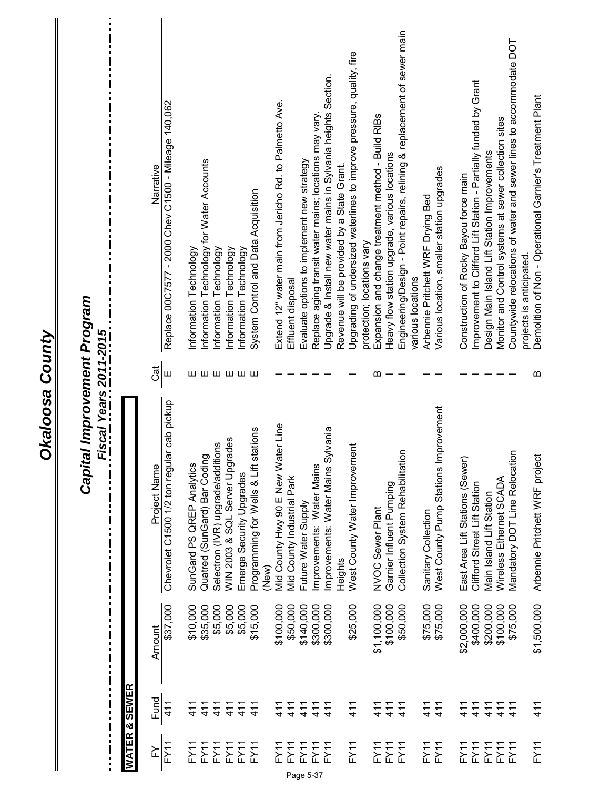|                        | Replace 00C7577 - 2000 Chev C1500 - Mileage 140,062<br>Narrative | Information Technology for Water Accounts<br>Information Technology | Information Technology                 | Information Technology             | Information Technology   | System Control and Data Acquisition               | Extend 12" water main from Jericho Rd. to Palmetto Ave. | Effluent disposal          | Evaluate options to implement new strategy | Replace aging transit water mains; locations may vary. | Upgrade & Install new water mains in Sylvania heights Section.<br>Revenue will be provided by a State Grant. | Upgrading of undersized waterlines to improve pressure, quality, fire<br>protection; locations vary | Expansion and change treatment method - Build RIBs | Heavy flow station upgrade, various locations | Engineering/Design - Point repairs, relining & replacement of sewer main<br>various locations | Arbennie Pritchett WRF Drying Bed | Various location, smaller station upgrades | Construction of Rocky Bayou force main | Improvement to Clifford Lift Station - Partially funded by Grant | Design Main Island Lift Station Improvements | Monitor and Control systems at sewer collection sites | Countywide relocations of water and sewer lines to accommodate DOT | Demolition of Non - Operational Garnier's Treatment Plant<br>projects is anticipated. |
|------------------------|------------------------------------------------------------------|---------------------------------------------------------------------|----------------------------------------|------------------------------------|--------------------------|---------------------------------------------------|---------------------------------------------------------|----------------------------|--------------------------------------------|--------------------------------------------------------|--------------------------------------------------------------------------------------------------------------|-----------------------------------------------------------------------------------------------------|----------------------------------------------------|-----------------------------------------------|-----------------------------------------------------------------------------------------------|-----------------------------------|--------------------------------------------|----------------------------------------|------------------------------------------------------------------|----------------------------------------------|-------------------------------------------------------|--------------------------------------------------------------------|---------------------------------------------------------------------------------------|
|                        | đ<br>Ш                                                           | шшшшшш                                                              |                                        |                                    |                          |                                                   |                                                         |                            |                                            |                                                        |                                                                                                              |                                                                                                     | ≃                                                  |                                               |                                                                                               |                                   |                                            |                                        |                                                                  |                                              |                                                       |                                                                    | മ                                                                                     |
| Fiscal Years 2011-2015 | ar cab pickup<br>Chevrolet C1500 1/2 ton regul<br>Project Name   | Quatred (SunGard) Bar Coding<br>SunGard PS QREP Analytics           | tions<br>Selectron (IVR) upgrade/addit | rades<br>WIN 2003 & SQL Server Upg | Emerge Security Upgrades | stations<br>Programming for Wells & Lift<br>(New) | Mid County Hwy 90 E New Water Line                      | Mid County Industrial Park | Future Water Supply                        | Improvements: Water Mains                              | Improvements: Water Mains Sylvania<br>Heights                                                                | West County Water Improvement                                                                       | NVOC Sewer Plant                                   | Garnier Influent Pumping                      | $\overline{5}$<br>Collection System Rehabilitati                                              | Sanitary Collection               | West County Pump Stations Improvement      | East Area Lift Stations (Sewer         | Clifford Street Lift Station                                     | Main Island Lift Station                     | Wireless Ethernet SCADA                               | Mandatory DOT Line Relocation                                      | Arbennie Pritchett WRF project                                                        |
|                        | \$37,000<br>Amount                                               | \$10,000<br>\$35,000                                                | \$5,000                                | \$5,000                            | \$5,000                  | \$15,000                                          | \$100,000                                               | \$50,000                   | \$140,000                                  | \$300,000                                              | \$300,000                                                                                                    | \$25,000                                                                                            | \$1,100,000                                        | \$100,000                                     | \$50,000                                                                                      | \$75,000                          | \$75,000                                   | \$2,000,000                            | \$400,000                                                        | \$200,000                                    | \$100,000                                             | \$75,000                                                           | \$1,500,000                                                                           |
| & SEWER                | Fund<br>411                                                      | 411<br>$\frac{1}{4}$                                                | 411                                    | 411                                | 411                      | 411                                               | 411                                                     | 411                        | 411                                        | 411                                                    | 411                                                                                                          | 411                                                                                                 | 411                                                | 411                                           | 411                                                                                           | 411                               | 41                                         | 41                                     | 411                                                              | 411                                          | 411                                                   | 411                                                                | 411                                                                                   |
| <b>WATER</b>           | FY11<br>≧                                                        | FY11<br>FY11                                                        | FY11                                   | FY11                               | FY11                     | FY1                                               | FY11                                                    | FY11<br>Page 5-37          | FY11                                       | FY11                                                   | <b>FY11</b>                                                                                                  | FY11                                                                                                | FY11                                               | FY11                                          | FY11                                                                                          | FY1                               | FY11                                       | FY11                                   | FY1                                                              | FY11                                         | FY11                                                  | FY11                                                               | FY11                                                                                  |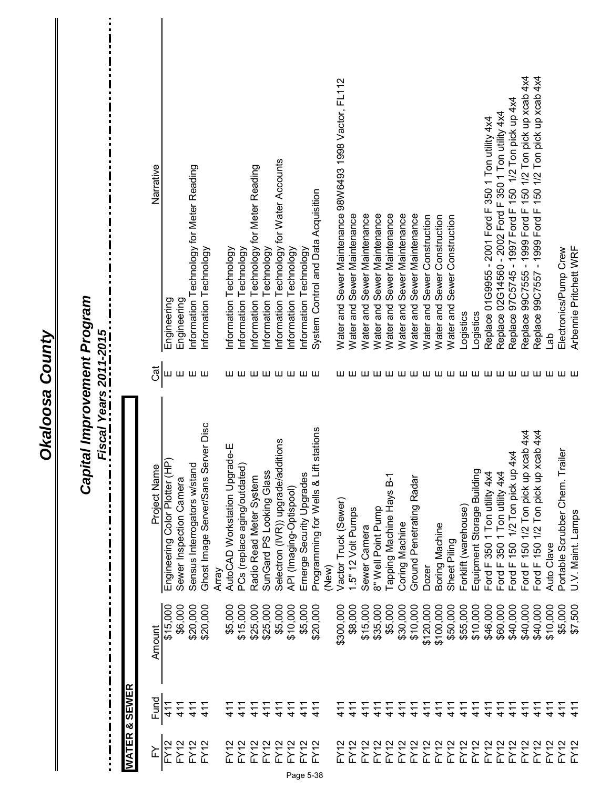| Capital Improvement Program<br>Fiscal Years 2011-2015 |                          | Narrative<br>Cat | Engineering<br>Ш               | Engineering             | Information Technology for Meter Reading<br>шшш | Information Technology              |       | Information Technology<br>Information Technology<br>шшшшшшшш          | Information Technology for Meter Reading | Information Technology   | Information Technology for Water Accounts | Information Technology  | Information Technology   | System Control and Data Acquisition   |       | Water and Sewer Maintenance 98W6493 1998 Vactor, FL112 | Water and Sewer Maintenance | Water and Sewer Maintenance | Sewer Maintenance<br>Water and | Sewer Maintenance<br>Water and  | Sewer Maintenance<br>Water and | Sewer Maintenance<br>Water and | Water and Sewer Construction | Sewer Construction<br>Water and | Sewer Construction<br>Water and | Logistics            | Logistics                  | Replace 01G9955 - 2001 Ford F 350 1 Ton utility 4x4 | Replace 02G14560 - 2002 Ford F 350 1 Ton utility 4x4 | Replace 97C5745 - 1997 Ford F 150 1/2 Ton pick up 4x4 | Replace 99C7555 - 1999 Ford F 150 1/2 Ton pick up xcab 4x4 | Replace 99C7557 - 1999 Ford F 150 1/2 Ton pick up xcab 4x4 | de<br>D    | Arbennie Pritchett WRF<br>Electronics/Pump Crew<br>ш ш ш ш ш ш ш ш ш ш ш ш ш ш ш ш ш ш ш |  |
|-------------------------------------------------------|--------------------------|------------------|--------------------------------|-------------------------|-------------------------------------------------|-------------------------------------|-------|-----------------------------------------------------------------------|------------------------------------------|--------------------------|-------------------------------------------|-------------------------|--------------------------|---------------------------------------|-------|--------------------------------------------------------|-----------------------------|-----------------------------|--------------------------------|---------------------------------|--------------------------------|--------------------------------|------------------------------|---------------------------------|---------------------------------|----------------------|----------------------------|-----------------------------------------------------|------------------------------------------------------|-------------------------------------------------------|------------------------------------------------------------|------------------------------------------------------------|------------|------------------------------------------------------------------------------------------|--|
|                                                       |                          | Project Name     | Engineering Color Plotter (HP) | Sewer Inspection Camera | Sensus Interrogators w/stand                    | Ghost Image Server/Sans Server Disc | Array | با<br>ف<br>AutoCAD Workstation Upgrad<br>PCs (replace aging/outdated) | Radio Read Meter System                  | SunGard PS Looking Glass | itions<br>Selectron (IVR)) upgrade/addi   | API (Imaging-Optispool) | Emerge Security Upgrades | Programming for Wells & Lift stations | (New) | Vactor Truck (Sewer)                                   | 1.5" 12 Volt Pumps          | Sewer Camera                | 8" Well Point Pump             | <b>Tapping Machine Hays B-1</b> | Coring Machine                 | Ground Penetrating Radar       | <b>Dozer</b>                 | Boring Machine                  | Sheet Piling                    | Forklift (warehouse) | Equipment Storage Building | Ford F 350 1 Ton utility 4x4                        | Ford F 350 1 Ton utility 4x4                         | Χ<br>1/2 Ton pick up 4<br>Ford $F$ 150                | Ford F 150 1/2 Ton pick up xcab 4x4                        | Ford F 150 1/2 Ton pick up xcab 4x4                        | Auto Clave | Portable Scrubber Chem. Trailer<br>U.V. Maint. Lamps                                     |  |
|                                                       |                          | Amount           | \$15,000                       | \$6,000                 | \$20,000                                        | \$20,000                            |       | \$15,000<br>\$5,000                                                   | \$25,000                                 | \$25,000                 | \$5,000                                   | \$10,000                | \$5,000                  | \$20,000                              |       | \$300,000                                              | \$8,000                     | \$15,000                    | \$35,000                       | \$5,000                         | \$30,000                       | \$10,000                       | \$120,000                    | \$100,000                       | \$50,000                        | \$55,000             | \$10,000                   | \$46,000                                            | \$60,000                                             | \$40,000                                              | \$40,000                                                   | \$40,000                                                   | \$10,000   | \$5,000<br>\$7,500                                                                       |  |
|                                                       | <b>WATER &amp; SEWER</b> | Fund             | 411                            | 411                     | 411                                             | 411                                 |       | 411<br>411                                                            | 411                                      | 411                      | 411                                       | 411                     | 411                      | 411                                   |       | $\frac{4}{7}$                                          | 411                         | 411                         | 411                            | 411                             | 411                            | 411                            | 411                          | 411                             | 411                             | 41                   | 411                        | 411                                                 | 411                                                  | 411                                                   | 411                                                        | $\frac{1}{4}$                                              | 411        | $\frac{1}{4}$<br>$\frac{4}{5}$                                                           |  |
|                                                       |                          | ≿                | <b>FY12</b>                    | <b>FY12</b>             | <b>FY12</b>                                     | <b>FY12</b>                         |       | FY12<br>FY12                                                          | FY12                                     | FY12                     | FY12                                      | FY12                    | FY12                     | FY12                                  |       | <b>FY12</b>                                            | FY12                        | FY12                        | FY12                           | FY12                            | <b>FY12</b>                    | <b>FY12</b>                    | FY12                         | FY12                            | <b>FY12</b>                     | FY12                 | FY12                       | FY12                                                | FY12                                                 | FY12                                                  | FY12                                                       | FY12                                                       | FY12       | <b>FY12</b><br>$-Y$                                                                      |  |

ĨÌ.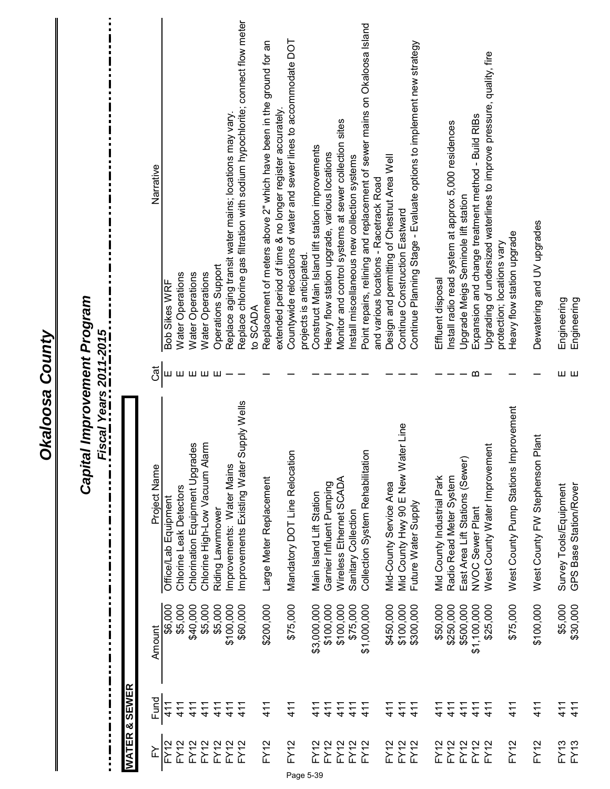|                  |              | П<br>i              | Capital Improvement Program<br>Fiscal Years 2011-2015<br>П<br>П<br>П |     |                                                                                               |
|------------------|--------------|---------------------|----------------------------------------------------------------------|-----|-----------------------------------------------------------------------------------------------|
| <b>WATER</b>     | П<br>& SEWER | П                   |                                                                      |     |                                                                                               |
|                  |              |                     |                                                                      |     |                                                                                               |
| ř                | Fund         | Amount              | Project Name                                                         | Cat | Narrative                                                                                     |
| <b>FY12</b>      | 411          | \$6,000             | Office/Lab Equipment                                                 | ш   | Bob Sikes WRF                                                                                 |
| <b>FY12</b>      | 411          | \$5,000             | Chlorine Leak Detectors                                              | шш  | Water Operations                                                                              |
| FY12             | 411          | \$40,000            | Chlorination Equipment Upgrades                                      |     | Water Operations                                                                              |
| FY12             | 411          | \$5,000             | larm<br>Chlorine High-Low Vacuum Al                                  | யய  | Water Operations                                                                              |
| FY12             | 411          | \$5,000             | Riding Lawnmower                                                     |     | Operations Support                                                                            |
| FY12             | 411          | \$100,000           | mprovements: Water Mains                                             |     | Replace aging transit water mains; locations may vary.                                        |
| FY12             | 411          | \$60,000            | Supply Wells<br>Improvements Existing Water                          |     | Replace chlorine gas filtration with sodium hypochlorite; connect flow meter<br>to SCADA      |
| FY12             | 411          | \$200,000           | Large Meter Replacement                                              |     | Replacement of meters above 2" which have been in the ground for an                           |
|                  |              |                     |                                                                      |     | extended period of time & no longer register accurately.                                      |
| <b>FY12</b>      | 411          | \$75,000            | Mandatory DOT Line Relocation                                        |     | Countywide relocations of water and sewer lines to accommodate DOT<br>projects is anticipated |
| FY12             | 411          | \$3,000,000         | Main Island Lift Station                                             |     | Construct Main Island lift station improvements                                               |
| FY12             | 411          | \$100,000           | Garnier Influent Pumping                                             |     | Heavy flow station upgrade, various locations                                                 |
| <b>FY12</b>      | 411          | \$100,000           | Wireless Ethernet SCADA                                              |     | Monitor and control systems at sewer collection sites                                         |
| <b>FY12</b>      | 411          | \$75,000            | Sanitary Collection                                                  |     | Install miscellaneous new collection systems                                                  |
|                  |              |                     |                                                                      |     |                                                                                               |
| FY12             | 411          | \$1,000,000         | Collection System Rehabilitation                                     |     | Point repairs, relining and replacement of sewer mains on Okaloosa Island                     |
|                  |              |                     |                                                                      |     | and various locations - Racetrack Road                                                        |
| FY12             | 411          | \$450,000           | Mid-County Service Area                                              |     | Design and permitting of Chestnut Area Well                                                   |
| FY12             | 411          | \$100,000           | Mid County Hwy 90 E New Water Line                                   |     | Continue Construction Eastward                                                                |
| FY12             | 411          | \$300,000           | Future Water Supply                                                  |     | Continue Planning Stage - Evaluate options to implement new strategy                          |
| <b>FY12</b>      | 411          | \$50,000            | Mid County Industrial Park                                           |     | Effluent disposal                                                                             |
| <b>FY12</b>      | 411          | \$250,000           | Radio Read Meter System                                              |     | Install radio read system at approx 5,000 residences                                          |
| <b>FY12</b>      | 411          | \$500,000           | East Area Lift Stations (Sewer                                       |     | Upgrade Meigs Seminole lift station                                                           |
| FY12             | 411          | \$1,100,000         | NVOC Sewer Plant                                                     | മ   | Expansion and change treatment method - Build RIBs                                            |
| FY <sub>12</sub> | 411          | \$25,000            | West County Water Improvement                                        |     | Upgrading of undersized waterlines to improve pressure, quality, fire                         |
|                  |              |                     |                                                                      |     | protection; locations vary                                                                    |
| FY12             | 411          | \$75,000            | West County Pump Stations Improvement                                |     | Heavy flow station upgrade                                                                    |
| <b>FY12</b>      | 411          | \$100,000           | Plant<br>West County FW Stephenson                                   |     | Dewatering and UV upgrades                                                                    |
| FY13<br>FY13     | 411<br>411   | \$5,000<br>\$30,000 | Survey Tools/Equipment<br>GPS Base Station/Rover                     | шш  | Engineering<br>Engineering                                                                    |

Page 5-39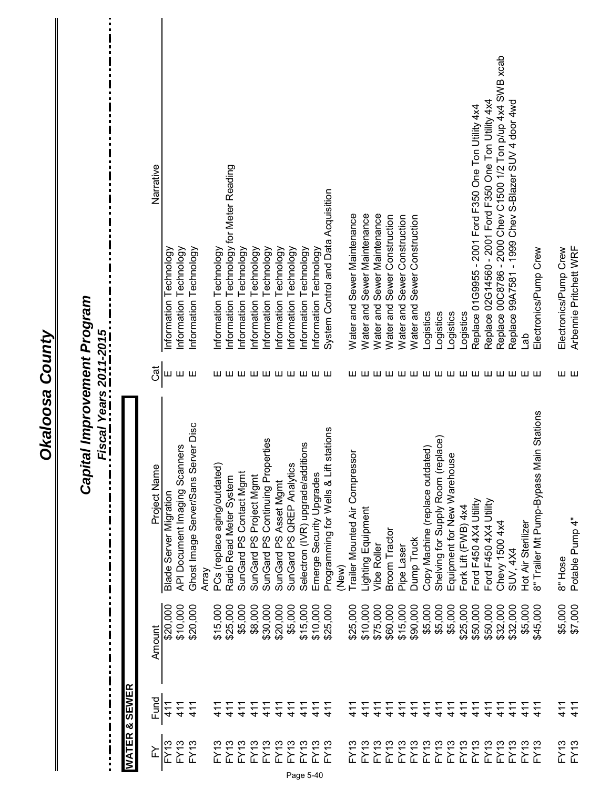|                          |                          |                    | Capital Improvement Program<br><u>Fiscal Years 2011-2015</u> |                 |                                                             |
|--------------------------|--------------------------|--------------------|--------------------------------------------------------------|-----------------|-------------------------------------------------------------|
|                          | <b>WATER &amp; SEWER</b> |                    |                                                              |                 |                                                             |
| ≧                        | Fund                     | Amount             | Project Name                                                 | Cat             | Narrative                                                   |
| <b>FY13</b>              | 411                      | \$20,000           | Blade Server Migration                                       | Ш               | Information Technology                                      |
| FY13                     | 411                      | \$10,000           | lers<br>API Document Imaging Scanr                           | шш              | Information Technology                                      |
| FY13                     | 411                      | \$20,000           | ver Disc<br>Ghost Image Server/Sans Ser                      |                 | Information Technology                                      |
|                          |                          |                    | Array                                                        |                 |                                                             |
| <b>FY13</b>              | 41<br>1                  | \$15,000           | PCs (replace aging/outdated)                                 |                 | Information Technology                                      |
| FY13                     | 411                      | \$25,000           | Radio Read Meter System                                      |                 | Information Technology for Meter Reading                    |
| FY13                     | $\frac{1}{4}$            | \$5,000            | SunGard PS Contact Mgmt                                      |                 | Information Technology                                      |
| FY13                     | 411                      | \$8,000            | SunGard PS Project Mgmt                                      | шшшшшшшшшш      | Information Technology                                      |
| <b>FY13</b>              | 411                      | \$30,000           | SunGard PS Continuing Properties                             |                 | Information Technology                                      |
| FY13                     | 411                      | \$20,000           | SunGard PS Asset Mgmt                                        |                 | Information Technology                                      |
| $\frac{1}{2}$<br>EY<br>F | 411                      | \$5,000            | SunGard PS QREP Analytics                                    |                 | Information Technology                                      |
| FY13<br>Page 5-40        | 411                      | \$15,000           | Selectron (IVR) upgrade/additions                            |                 | Information Technology                                      |
| <b>FY13</b>              | 411                      | \$10,000           | Emerge Security Upgrades                                     |                 | Information Technology                                      |
| FY13                     | 411                      | \$25,000           | stations<br>Programming for Wells & Lift                     |                 | System Control and Data Acquisition                         |
|                          |                          |                    | (New)                                                        |                 |                                                             |
| FY13                     | $\frac{1}{4}$            | \$25,000           | <b>Trailer Mounted Air Compressor</b>                        |                 | Water and Sewer Maintenance                                 |
| FY13                     | 411                      | \$10,000           | Lighting Equipment                                           |                 | Water and Sewer Maintenance                                 |
| FY13                     | 411                      | \$75,000           | vibe Roller                                                  |                 | Water and Sewer Maintenance                                 |
| FY13                     | 411                      | \$60,000           | Broom Tractor                                                |                 | Water and Sewer Construction                                |
| <b>FY13</b>              | 411                      | \$15,000           | Pipe Laser                                                   |                 | Water and Sewer Construction                                |
| <b>FY13</b>              | 411                      | \$90,000           | Dump Truck                                                   |                 | Water and Sewer Construction                                |
| FY13                     | 411                      | \$5,000<br>\$5,000 | Copy Machine (replace outdated)                              |                 | Logistics                                                   |
| FY13                     | 411                      |                    | Shelving for Supply Room (replace)                           |                 | Logistics                                                   |
| FY13                     | 411                      | \$5,000            | يە<br>Equipment for New Warehous                             |                 | Logistics                                                   |
| <b>FY13</b>              | 411                      | \$25,000           | Fork Lift (FWB) 4x4                                          |                 | Logistics                                                   |
| FY13                     | 411                      | \$50,000           | Ford F450 4X4 Utility                                        |                 | Replace 01G9955 - 2001 Ford F350 One Ton Utility 4x4        |
| FY13                     | 411                      | \$50,000           | Ford F450 4X4 Utility                                        |                 | Replace 02G14560 - 2001 Ford F350 One Ton Utility 4x4       |
| FY13                     | 411                      | \$32,000           | Chevy 1500 4x4                                               |                 | Replace 00C8786 - 2000 Chev C1500 1/2 Ton p/up 4x4 SWB xcab |
| FY13                     | 411                      | \$32,000           | SUV, 4X4                                                     | шшшшшшшшшшшшшшш | Replace 99A7581 - 1999 Chev S-Blazer SUV 4 door 4wd         |
| FY13                     | 411                      | \$5,000            | Hot Air Sterilizer                                           |                 | deT                                                         |
| ო<br>ΣÎ                  | 411                      | \$45,000           | 8" Trailer Mt Pump-Bypass Main Stations                      |                 | Electronics/Pump Crew                                       |
| FY13<br>FY13             | 411<br>411               | \$5,000<br>\$7,000 | Potable Pump 4"<br>8" Hose                                   | шш              | Arbennie Pritchett WRF<br>Electronics/Pump Crew             |
|                          |                          |                    |                                                              |                 |                                                             |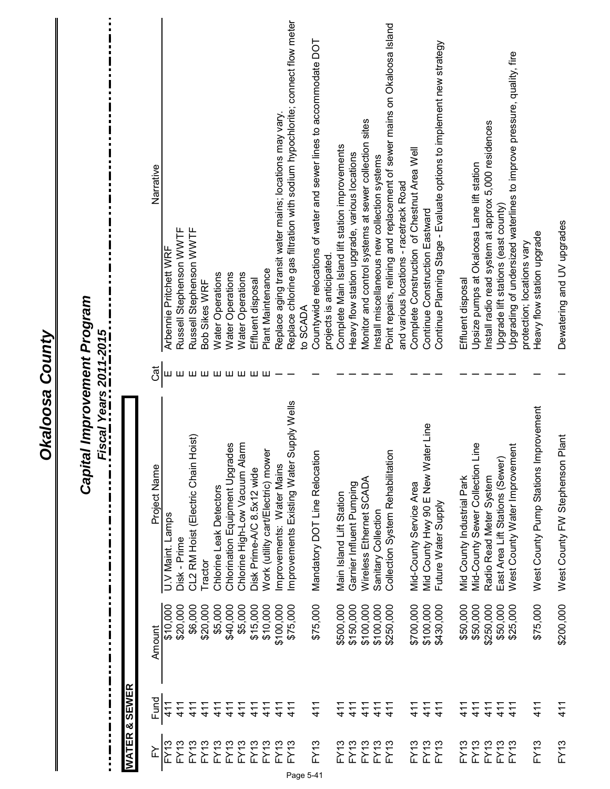|                          |                   | ٠<br>П<br>П<br>П<br>П | Capital Improvement Program<br>Fiscal Years 2011-2015<br>П<br>Е<br>$\blacksquare$<br>П<br>П<br>П<br>П |             |                                                                                       |
|--------------------------|-------------------|-----------------------|-------------------------------------------------------------------------------------------------------|-------------|---------------------------------------------------------------------------------------|
| <b>WATER</b>             | <b>SEWER</b><br>ಳ |                       |                                                                                                       |             |                                                                                       |
| ≧                        | Fund              | Amount                | Project Name                                                                                          | <b>Jack</b> | Narrative                                                                             |
| FY13                     | 411               | \$10,000              | U.V Maint. Lamps                                                                                      | Щ           | Arbennie Pritchett WRF                                                                |
| <b>FY13</b>              | 411               | \$20,000              | Disk - Prime                                                                                          |             | Russell Stephenson WWTF                                                               |
| <b>FY13</b>              | 41                | \$6,000               | Hoist)<br>CL2 RM Hoist (Electric Chain                                                                | யய          | Russell Stephenson WWTF                                                               |
| FY13                     | $\frac{1}{4}$     | \$20,000              | Tractor                                                                                               |             | Bob Sikes WRF                                                                         |
| <b>FY13</b>              | 411               | \$5,000               | Chlorine Leak Detectors                                                                               | шшшшшш      | Water Operations                                                                      |
| <b>FY13</b>              | 41                | \$40,000              | Chlorination Equipment Upgrades                                                                       |             | Water Operations                                                                      |
| FY13                     | 411               | \$5,000               | larm<br>Chlorine High-Low Vacuum A                                                                    |             | Water Operations                                                                      |
| FY13                     | 41                | \$15,000              | Disk Prime-A/C 8.5x12 wide                                                                            |             | Effluent disposal                                                                     |
| <b>FY13</b>              | 411               | \$10,000              | Work (utility cart/Electric) mower                                                                    |             | Plant Maintenance                                                                     |
| FY13                     | $\frac{1}{4}$     | \$100,000             | Improvements: Water Mains                                                                             |             | Replace aging transit water mains; locations may vary.                                |
| FY13                     | 411               | \$75,000              | Supply Wells<br>Improvements Existing Water                                                           |             | Replace chlorine gas filtration with sodium hypochlorite; connect flow meter          |
|                          |                   |                       |                                                                                                       |             | to SCADA                                                                              |
| <b>FY13</b><br>Page 5-41 | 411               | \$75,000              | $\overline{5}$<br>Mandatory DOT Line Relocati                                                         |             | Countywide relocations of water and sewer lines to accommodate DOT                    |
|                          |                   |                       |                                                                                                       |             | projects is anticipated                                                               |
| FY13                     | 411               | \$500,000             | Main Island Lift Station                                                                              |             | Complete Main Island lift station improvements                                        |
| <b>FY13</b>              | $\frac{1}{4}$     | \$150,000             | Garnier Influent Pumping                                                                              |             | Heavy flow station upgrade, various locations                                         |
| <b>FY13</b>              | 411               | \$100,000             | Wireless Ethernet SCADA                                                                               |             | Monitor and control systems at sewer collection sites                                 |
| <b>FY13</b>              | 411               | \$100,000             | Sanitary Collection                                                                                   |             | Install miscellaneous new collection systems                                          |
| FY13                     | 411               | \$250,000             | Collection System Rehabilitation                                                                      |             | Point repairs, relining and replacement of sewer mains on Okaloosa Island             |
| FY13                     | 411               | \$700,000             | Mid-County Service Area                                                                               |             | Complete Construction of Chestnut Area Well<br>and various locations - racetrack Road |
| <b>FY13</b>              | 411               | \$100,000             | ater Line<br>Mid County Hwy 90 E New W                                                                |             | Continue Construction Eastward                                                        |
| <b>FY13</b>              | 411               | \$430,000             | Future Water Supply                                                                                   |             | Continue Planning Stage - Evaluate options to implement new strategy                  |
|                          |                   |                       |                                                                                                       |             |                                                                                       |
| FY13                     | 411               | \$50,000              | Mid County Industrial Park                                                                            |             | Effluent disposal                                                                     |
| <b>FY13</b>              | 411               | \$50,000              | Line<br>Mid-County Sewer Collection                                                                   |             | Upsize pumps at Okaloosa Lane lift station                                            |
| <b>FY13</b>              | 411               | \$250,000             | Radio Read Meter System                                                                               |             | Install radio read system at approx 5,000 residences                                  |
| FY13                     | 411               | \$50,000              | East Area Lift Stations (Sewer)                                                                       |             | Upgrade lift stations (east county)                                                   |
| FY13                     | 411               | \$25,000              | nent<br>West County Water Improver                                                                    |             | Upgrading of undersized waterlines to improve pressure, quality, fire                 |
| <b>FY13</b>              | 411               | \$75,000              | Improvement<br>West County Pump Stations                                                              |             | Heavy flow station upgrade<br>protection; locations vary                              |
|                          |                   |                       |                                                                                                       |             |                                                                                       |
| <b>FY13</b>              | 411               | \$200,000             | West County FW Stephenson Plant                                                                       |             | Dewatering and UV upgrades                                                            |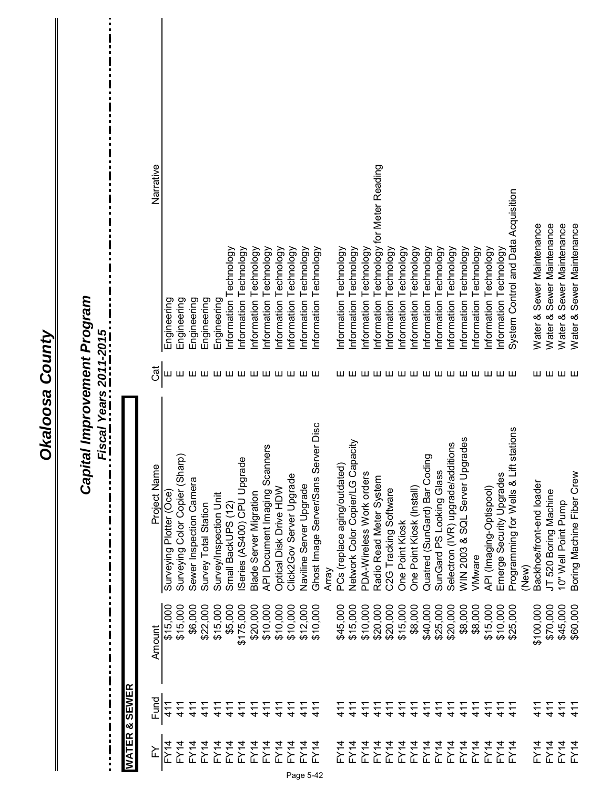Okaloosa County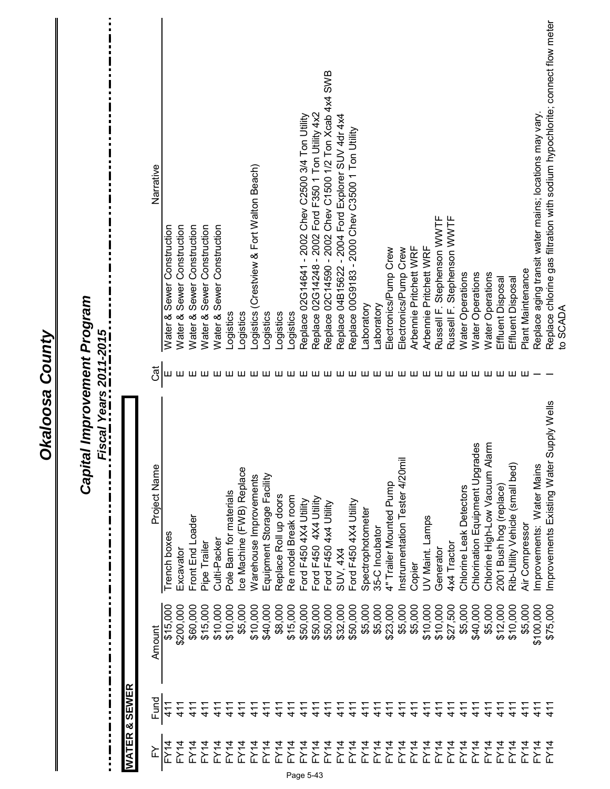| $\mathbf{I}$<br>n | O                 |           | Capital Improvement Program<br>$\blacksquare$<br>÷<br>Π<br>Π<br>П |    | $\ddot{\phantom{a}}$                                                         |
|-------------------|-------------------|-----------|-------------------------------------------------------------------|----|------------------------------------------------------------------------------|
| <b>WATER</b>      | <b>SEWER</b><br>× |           |                                                                   |    |                                                                              |
| ≧                 | Fund              | Amount    | Project Name                                                      | đ  | Narrative                                                                    |
| FY14              | 411               | \$15,000  | Trench boxes                                                      | ш  | Construction<br>Sewer<br>Water &                                             |
| FY14              | 411               | \$200,000 | Excavator                                                         |    | <b>Nater &amp; Sewer Construction</b>                                        |
| FY14              | 411               | \$60,000  | Front End Loader                                                  |    | Construction<br><b>Nater &amp; Sewer</b>                                     |
| FY14              | 411               | \$15,000  | Pipe Trailer                                                      |    | Water & Sewer Construction                                                   |
| FY14              | 411<br>4          | \$10,000  | Culti-Packer                                                      |    | Water & Sewer Construction                                                   |
| $-Y14$            | $\frac{1}{4}$     | \$10,000  | Pole Barn for materials                                           |    | -ogistics                                                                    |
| FY14              | 41<br>4           | \$5,000   | Ice Machine (FWB) Replace                                         |    | ogistics                                                                     |
| <b>FY14</b>       | $\frac{1}{4}$     | \$10,000  | Warehouse Improvements                                            |    | Logistics (Crestview & Fort Walton Beach)                                    |
| FY14              | $\frac{1}{4}$     | \$40,000  | Equipment Storage Facility                                        |    | Logistics                                                                    |
| FY14              | $\frac{1}{4}$     | \$8,000   | Replace Roll up doors                                             |    | Logistics                                                                    |
| FY14              | $\frac{1}{4}$     | \$15,000  | Re model Break room                                               |    | Logistics                                                                    |
| FY14              | $\frac{1}{4}$     | \$50,000  | Ford F450 4X4 Utility                                             |    | Replace 02G14641 - 2002 Chev C2500 3/4 Ton Utility                           |
| FY14<br>Page 5-43 | 41                | \$50,000  | Ford F450 4X4 Utility                                             |    | Replace 02G14248 - 2002 Ford F350 1 Ton Utility 4x2                          |
| <b>FY14</b>       | 411               | \$50,000  | Ford F450 4x4 Utility                                             | ш  | Replace 02C14590 - 2002 Chev C1500 1/2 Ton Xcab 4x4 SWB                      |
| <b>FY14</b>       | 411               | \$32,000  | SUV, 4X4                                                          | ш  | Replace 04B15622 - 2004 Ford Explorer SUV 4dr 4x4                            |
| FY14              | $\frac{1}{4}$     | \$50,000  | Ford F450 4X4 Utility                                             | ш  | Replace 00G9183 - 2000 Chev C3500 1 Ton Utility                              |
| FY14              | $\frac{1}{4}$     | \$5,000   | Spectrophotometer                                                 | ш  | Laboratory                                                                   |
| FY14              | $\frac{1}{4}$     | \$5,000   | 35-C Incubator                                                    | ш  | aboratory                                                                    |
| FY14              | 411               | \$23,000  | 4" Trailer Mounted Pump                                           | ш  | Electronics/Pump Crew                                                        |
| FY14              | 411               | \$5,000   | ₹<br>Instrumentation Tester 4/20m                                 | ш  | Electronics/Pump Crew                                                        |
| FY14              | 411               | \$5,000   | Copier                                                            | ш  | Arbennie Pritchett WRF                                                       |
| FY14              | 411               | \$10,000  | UV Maint. Lamps                                                   | ш  | Arbennie Pritchett WRF                                                       |
| FY14              | $\frac{1}{4}$     | \$10,000  | Generator                                                         | ш  | Russell F. Stephenson WWTF                                                   |
| $-Y\rightarrow$   | $\frac{1}{4}$     | \$27,500  | 4x4 Tractor                                                       | ш  | Russell F. Stephenson WWTF                                                   |
| FX14              | $\frac{1}{4}$     | \$5,000   | Chlorine Leak Detectors                                           | யய | <b>Water Operations</b>                                                      |
| FY14              | 411               | \$40,000  | ades<br>Chlorination Equipment Upgr                               |    | Water Operations                                                             |
| FY14              | 411               | \$5,000   | Chlorine High-Low Vacuum Alarm                                    | ш  | Water Operations                                                             |
| $-Y\rightarrow$   | $\frac{1}{4}$     | \$12,000  | 2001 Bush hog (replace)                                           | ш  | Effluent Disposal                                                            |
| $-Y\rightarrow$   | $\frac{1}{4}$     | \$10,000  | Rib-Utility Vehicle (small bed                                    | ш  | Effluent Disposal                                                            |
| $-Y14$            | $\frac{1}{4}$     | \$5,000   | Air Compressor                                                    | ш  | Plant Maintenance                                                            |
| $-Y \rightarrow$  | $\frac{1}{4}$     | \$100,000 | Improvements: Water Mains                                         |    | Replace aging transit water mains; locations may vary.                       |
| $-Y14$            | $\frac{1}{4}$     | \$75,000  | Improvements Existing Water Supply Wells                          |    | Replace chlorine gas filtration with sodium hypochlorite; connect flow meter |
|                   |                   |           |                                                                   |    | to SCADA                                                                     |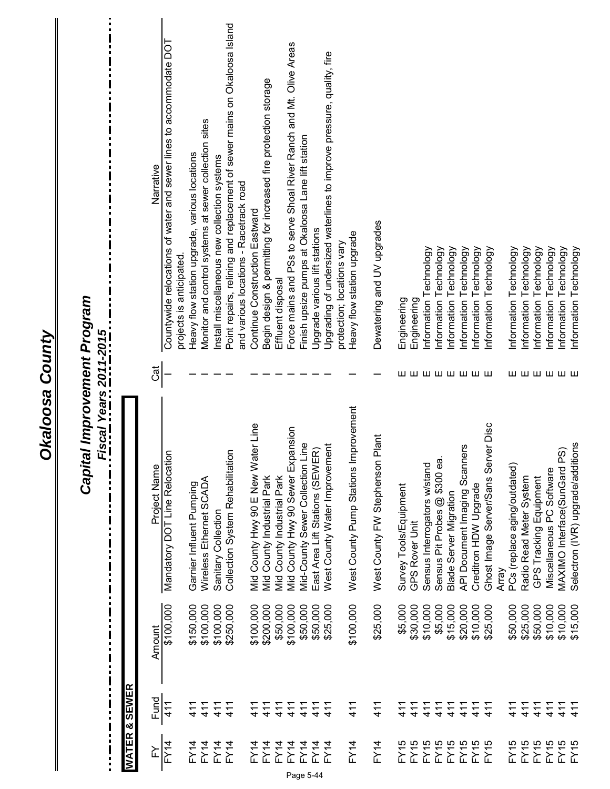| $\frac{1}{1}$     | $\begin{array}{c} \mathbf{I} \\ \mathbf{I} \\ \mathbf{I} \end{array}$ | O         | Capital Improvement Program<br>Fiscal Years 2011-2015<br>П<br>$\mathbf{I}$<br>П<br>п<br>O<br>Π |          | i                                                                                                                   |
|-------------------|-----------------------------------------------------------------------|-----------|------------------------------------------------------------------------------------------------|----------|---------------------------------------------------------------------------------------------------------------------|
|                   | <b>WATER &amp; SEWER</b>                                              |           |                                                                                                |          |                                                                                                                     |
| FY                | Fund                                                                  | Amount    | Project Name                                                                                   | Cat      | Narrative                                                                                                           |
| <b>FY14</b>       | 411                                                                   | \$100,000 | Mandatory DOT Line Relocation                                                                  |          | Countywide relocations of water and sewer lines to accommodate DOT<br>projects is anticipated                       |
| FY14              | 411                                                                   | \$150,000 | Garnier Influent Pumping                                                                       |          | Heavy flow station upgrade, various locations                                                                       |
| <b>FY14</b>       | 411                                                                   | \$100,000 | Wireless Ethernet SCADA                                                                        |          | Monitor and control systems at sewer collection sites                                                               |
| FY14              | 411                                                                   | \$100,000 | Sanitary Collection                                                                            |          | Install miscellaneous new collection systems                                                                        |
| FY14              | 411                                                                   | \$250,000 | $\overline{5}$<br>Collection System Rehabilitati                                               |          | Point repairs, relining and replacement of sewer mains on Okaloosa Island<br>and various locations - Racetrack road |
| FY14              | 411                                                                   | \$100,000 | ater Line<br>Mid County Hwy 90 E New W                                                         |          | Continue Construction Eastward                                                                                      |
| FY14              | 41<br>4                                                               | \$200,000 | Mid County Industrial Park                                                                     |          | Begin design & permitting for increased fire protection storage                                                     |
| <b>FY14</b>       | 411                                                                   | \$50,000  | Mid County Industrial Park                                                                     |          | Effluent disposal                                                                                                   |
| FY14              | $\frac{1}{4}$                                                         | \$100,000 | Mid County Hwy 90 Sewer Expansion                                                              |          | Force mains and PSs to serve Shoal River Ranch and Mt. Olive Areas                                                  |
| FY14<br>Page 5-44 | 411                                                                   | \$50,000  | Line<br>Mid-County Sewer Collection                                                            |          | Finish upsize pumps at Okaloosa Lane lift station                                                                   |
| FY14              | 411                                                                   | \$50,000  | East Area Lift Stations (SEWER)                                                                |          | Upgrade various lift stations                                                                                       |
| FY14              | 41                                                                    | \$25,000  | West County Water Improvement                                                                  |          | Upgrading of undersized waterlines to improve pressure, quality, fire<br>protection; locations vary                 |
| <b>FY14</b>       | 411                                                                   | \$100,000 | mprovement<br>West County Pump Stations                                                        |          | Heavy flow station upgrade                                                                                          |
| <b>FY14</b>       | 411                                                                   | \$25,000  | West County FW Stephenson Plant                                                                |          | Dewatering and UV upgrades                                                                                          |
| FY15              | 411                                                                   | \$5,000   | Survey Tools/Equipment                                                                         |          | Engineering                                                                                                         |
| FY15              | $\frac{1}{4}$                                                         | \$30,000  | GPS Rover Unit                                                                                 |          | Engineering                                                                                                         |
| FY15              | $\frac{1}{4}$                                                         | \$10,000  | Sensus Interrogators w/stand                                                                   |          | Information Technology                                                                                              |
| FY15              | 411                                                                   | \$5,000   | Sensus Pit Probes @ \$300 ea.                                                                  |          | Information Technology                                                                                              |
| FY15              | 411                                                                   | \$15,000  | Blade Server Migration                                                                         |          | Information Technology                                                                                              |
| FY15              | 411                                                                   | \$20,000  | API Document Imaging Scanners                                                                  | шшшшшшшш | Information Technology                                                                                              |
| FY15              | 411                                                                   | \$10,000  | Creditron HDW Upgrade                                                                          |          | Information Technology                                                                                              |
| FY15              | 411                                                                   | \$25,000  | Ghost Image Server/Sans Server Disc<br>Array                                                   |          | Information Technology                                                                                              |
| FY15              | 411                                                                   | \$50,000  | PCs (replace aging/outdated)                                                                   |          | Information Technology                                                                                              |
| FY15              | 411                                                                   | \$25,000  | Radio Read Meter System                                                                        |          | Information Technology                                                                                              |
| FY15              | 411                                                                   | \$50,000  | GPS Tracking Equipment                                                                         |          | Information Technology                                                                                              |
| FY/5              | 411                                                                   | \$10,000  | Miscellaneous PC Software                                                                      |          | Information Technology                                                                                              |
| FY15              | $\frac{1}{4}$                                                         | \$10,000  | PS)<br>MAXIMO Interface(SunGard                                                                | шшшшшш   | Information Technology                                                                                              |
| FY5               | 41                                                                    | \$15,000  | tions<br>Selectron (IVR) upgrade/addi                                                          |          | Information Technology                                                                                              |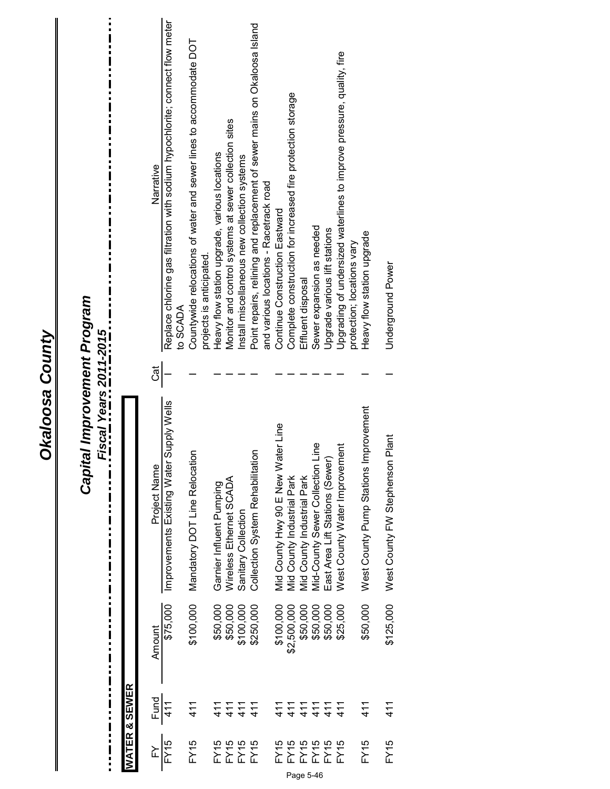| $\overline{r}$   | $\frac{3}{411}$ | Amount      | Project Name                             | $\overline{Cat}$ | Narrative                                                                                                           |
|------------------|-----------------|-------------|------------------------------------------|------------------|---------------------------------------------------------------------------------------------------------------------|
| FY <sub>15</sub> |                 | \$75,000    | Improvements Existing Water Supply Wells |                  | Replace chlorine gas filtration with sodium hypochlorite; connect flow meter<br>to SCADA                            |
| FY15             | 411             | \$100,000   | Mandatory DOT Line Relocation            |                  | Countywide relocations of water and sewer lines to accommodate DOT<br>projects is anticipated.                      |
| FY15             | 411             | \$50,000    | Garnier Influent Pumping                 |                  | Heavy flow station upgrade, various locations                                                                       |
| FY15             | 411             | \$50,000    | Wireless Ethernet SCADA                  |                  | Monitor and control systems at sewer collection sites                                                               |
| FY15             | 411             | \$100,000   | Sanitary Collection                      |                  | Install miscellaneous new collection systems                                                                        |
| FY15             | 41              | \$250,000   | Collection System Rehabilitation         |                  | Point repairs, relining and replacement of sewer mains on Okaloosa Island<br>and various locations - Racetrack road |
| FY15             | 411             | \$100,000   | Mid County Hwy 90 E New Water Line       |                  | Continue Construction Eastward                                                                                      |
| FY15             | 411             | \$2,500,000 | Mid County Industrial Park               |                  | Complete construction for increased fire protection storage                                                         |
| <b>FY15</b>      | 411             | \$50,000    | Vid County Industrial Park               |                  | Effluent disposal                                                                                                   |
| FY15             | 411             | \$50,000    | Mid-County Sewer Collection Line         |                  | Sewer expansion as needed                                                                                           |
| FY15             | 411             | \$50,000    | East Area Lift Stations (Sewer)          |                  | Upgrade various lift stations                                                                                       |
| FY15             | 411             | \$25,000    | West County Water Improvement            |                  | Upgrading of undersized waterlines to improve pressure, quality, fire                                               |
|                  |                 |             |                                          |                  | protection; locations vary                                                                                          |
| FY15             | 411             | \$50,000    | West County Pump Stations Improvement    |                  | Heavy flow station upgrade                                                                                          |
| FY15             | 411             | \$125,000   | juei<br>West County FW Stephenson F      |                  | Underground Power                                                                                                   |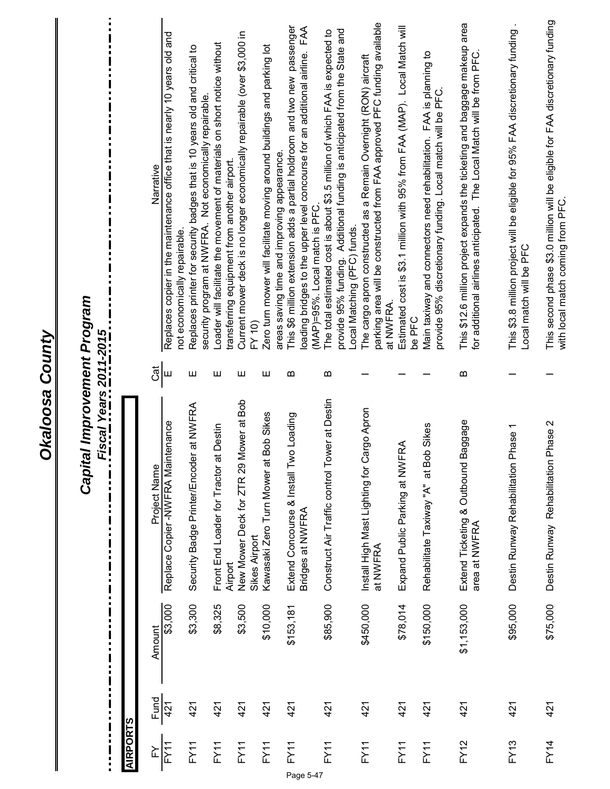|                   |      |             | Capital Improvement Program<br>Fiscal Years 2011-2015          |                       |                                                                                                                                                                                                        |
|-------------------|------|-------------|----------------------------------------------------------------|-----------------------|--------------------------------------------------------------------------------------------------------------------------------------------------------------------------------------------------------|
| <b>AIRPORTS</b>   |      |             |                                                                |                       |                                                                                                                                                                                                        |
| FY                | Fund | Amount      | Project Name                                                   | ರ<br>ರ                | Narrative                                                                                                                                                                                              |
| FY11              | 421  | \$3,000     | Replace Copier-NWFRA Maintenance                               | Ш                     | Replaces copier in the maintenance office that is nearly 10 years old and                                                                                                                              |
| FY11              | 421  | \$3,300     | er at NWFRA<br>Security Badge Printer/Encod                    | Ш                     | Replaces printer for security badges that is 10 years old and critical to<br>not economically repairable.                                                                                              |
| FY1               | 421  | \$8,325     | at Destin<br>Front End Loader for Tractor                      | Ш                     | Loader will facilitate the movement of materials on short notice without<br>security program at NWFRA. Not economically repairable                                                                     |
| FY11              | 421  | \$3,500     | Mower at Bob<br>New Mower Deck for ZTR 29<br>Airport           | Ш                     | Current mower deck is no longer economically repairable (over \$3,000 in<br>transferring equipment from another airport.                                                                               |
| FY11              | 421  | \$10,000    | Kawasaki Zero Turn Mower at Bob Sikes<br>Sikes Airport         | Ш                     | Zero turn mower will facilitate moving around buildings and parking lot<br>FY 10)                                                                                                                      |
| FY11<br>Page 5-47 | 421  | \$153,181   | wo Loading<br>Extend Concourse & Install T<br>Bridges at NWFRA | $\boldsymbol{\omega}$ | This \$6 million extension adds a partial holdroom and two new passenger<br>loading bridges to the upper level concourse for an additional airline. FAA<br>areas saving time and improving appearance. |
| FY11              | 421  | \$85,900    | ower at Destin<br>Construct Air Traffic control T              | $\boldsymbol{\omega}$ | provide 95% funding. Additional funding is anticipated from the State and<br>The total estimated cost is about \$3.5 million of which FAA is expected to<br>(MAP)=95%. Local match is PFC.             |
| FY11              | 421  | \$450,000   | Cargo Apron<br>Install High Mast Lighting for<br>at NWFRA      |                       | parking area will be constructed from FAA approved PFC funding available<br>The cargo apron constructed as a Remain Overnight (RON) aircraft<br>Local Matching (PFC) funds.                            |
| FY11              | 421  | \$78,014    | <b>FRA</b><br>Expand Public Parking at NW                      |                       | Estimated cost is \$3.1 million with 95% from FAA (MAP). Local Match will<br>at NWFRA.                                                                                                                 |
| FY11              | 421  | \$150,000   | Rehabilitate Taxiway "A" at Bob Sikes                          |                       | Main taxiway and connectors need rehabilitation. FAA is planning to<br>provide 95% discretionary funding. Local match will be PFC.<br>be PFC                                                           |
| <b>FY12</b>       | 421  | \$1,153,000 | Baggage<br>Extend Ticketing & Outbound<br>area at NWFRA        | $\boldsymbol{\omega}$ | This \$12.6 million project expands the ticketing and baggage makeup area<br>for additional airlines anticipated. The Local Match will be from PFC                                                     |
| <b>FY13</b>       | 421  | \$95,000    | Phase <sub>1</sub><br>Destin Runway Rehabilitation             |                       | This \$3.8 million project will be eligible for 95% FAA discretionary funding<br>Local match will be PFC                                                                                               |
| <b>FY14</b>       | 421  | \$75,000    | Destin Runway Rehabilitation Phase 2                           |                       | This second phase \$3.0 million will be eligible for FAA discretionary funding<br>with local match coming from PFC.                                                                                    |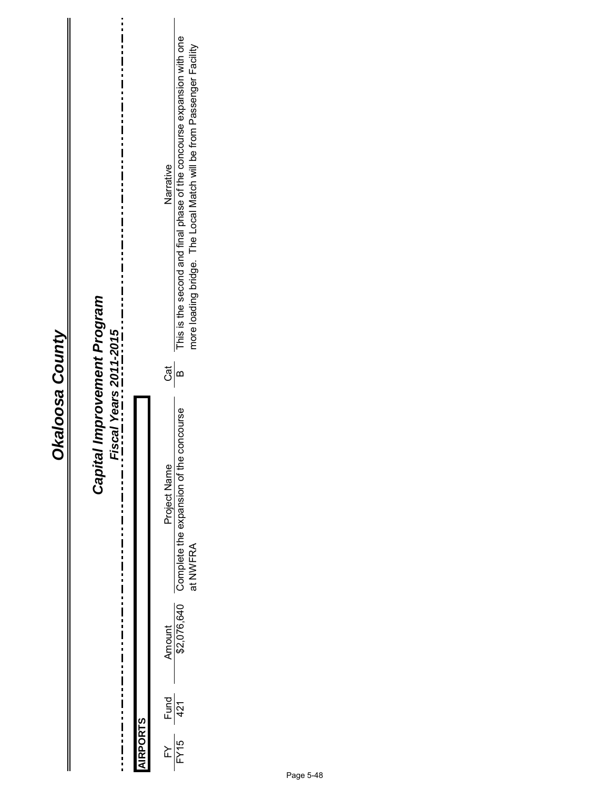# Capital Improvement Program<br>Fiscal Years 2011-2015 *Capital Improvement Program*

| $\frac{FY}{FY15}$ Fund | Fiscal Years 2011-2015 |               | Narrative<br>Cat<br>Project Name | This is the second and final phase of the concourse expansion with one<br>more loading bridge. The Local Match will be from Passenger Facility<br>e concourse<br>Complete the expansion of the<br>at NWFRA<br>Amount<br>\$2,076,640 |
|------------------------|------------------------|---------------|----------------------------------|-------------------------------------------------------------------------------------------------------------------------------------------------------------------------------------------------------------------------------------|
|                        |                        | <b>RPORTS</b> |                                  |                                                                                                                                                                                                                                     |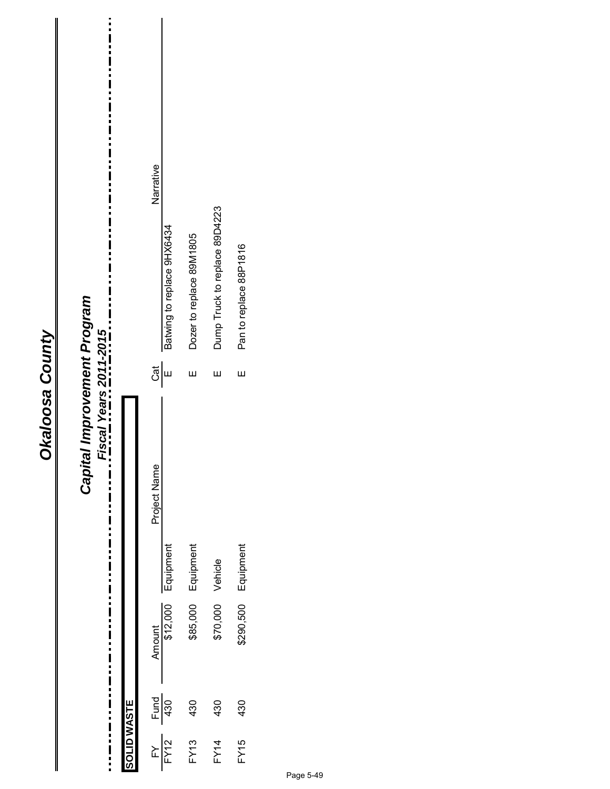| ۴           |
|-------------|
|             |
| ă           |
| r<br>C<br>ŗ |
|             |
|             |
|             |
|             |
|             |
|             |
|             |

#### $\ddot{\dot{}}$ Narrative Philoden Amount Project Name Cat Name Cat Name Cat Name Cat Name Cat Name Cat Name Cat Name Cat Name Cat Name C Dump Truck to replace 89D4223  $\text{FY14}$  and  $\text{FY14}$  and  $\text{FY14}$  and  $\text{FY14}$  and  $\text{FY14}$  and  $\text{FY14}$  and  $\text{FY14}$  and  $\text{FY14}$ Batwing to replace 9HX6434 FY12 Batwing to replace and E E Batwing to replace 912,000 FC Product to replace 954 AM DR Strategiptor and the replace 954 AM DR Strategiptor and Batwing to replace 954 AM DR Strategiptor and DR Strategiptor and DR Strate Dozer to replace 89M1805 FY13 B and absolution Equipment E Dozer to replace 895,000 Equipment E  $\pm$ Pan to replace 88P1816 FY15 430 \$290,500 Equipment E Pan to replace 88P1816 Capital Improvement Program *Capital Improvement Program* i Fiscal Years 2011-2015 *Fiscal Years 2011-2015*  $\frac{1}{2}$  $\mathbf{\overline{\mu}}$  $\mathbf{u}$ Ш Project Name  $\frac{1}{1}$ \$85,000 Equipment \$290,500 Equipment Equipment \$70,000 Vehicle Amount 512,000  $\frac{Fund}{430}$ 430 430 430 **SOLID WASTE SOLID WASTE** FY15  $\frac{FY}{FY12}$ **FY13 FY14**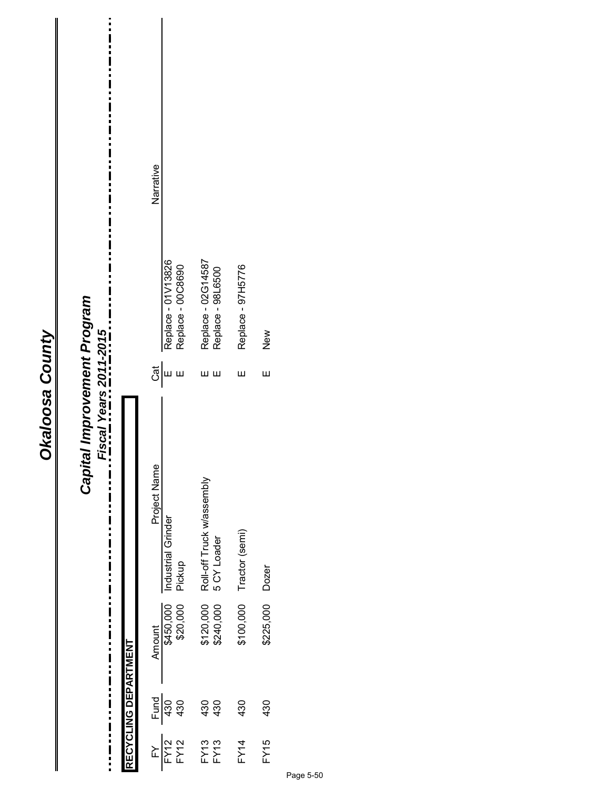| ۴           |
|-------------|
|             |
| ă           |
| r<br>C<br>ŗ |
|             |
|             |
|             |
|             |
|             |
|             |
|             |

#### $\frac{1}{1}$ Narrative Philoden Amount Project Name Cat Name Cat Name Cat Name Cat Name Cat Name Cat Name Cat Name Cat Name Cat Name C Replace - 01V13826 Replace - 02G14587<br>Replace - 98L6500 FY13 430 \$120,000 Roll-off Truck w/assembly E Replace - 02G14587 FY12 Lexic Determine Grinder E Replace - 00000,000,000 Industrial Grinder - 000 A 430 A 430 Replace - 97H5776 Replace - 00C8690 FY12 Bendace - 00C - 00C - 00C - 00C - 00C - 00C86000 Pickup E Replace - 00C86000 92.02.07H267 - Day Decay of the Ship Control Control of State - 9774 - 9774 - 975 - 987 - 988 - 989 - 989 - 98 FY13 430 \$240,000 5 CY Loader E Replace - 98L6500 Capital Improvement Program *Capital Improvement Program*  $\frac{1}{1}$ ...\_. Fiscal Years 2011-2015. New *Fiscal Years 2011-2015* FY15 430 \$225,000 Dozer E New  $\frac{1}{2}$ ய ய யய Ш Ш Project Name<br>Industrial Grinder<br>Pickup Roll-off Truck w/assembly<br>5 CY Loader  $\frac{1}{2}$ Tractor (semi)  $\blacksquare$ Pickup Dozer Amount<br>\$450,000<br>\$20,000 \$120,000<br>\$240,000 \$100,000 \$225,000 RECYCLING DEPARTMENT **RECYCLING DEPARTMENT**  $\frac{1}{1}$  $\frac{430}{430}$ 430<br>430 430 430 i FY13<br>FY13 **FY15**  $FY12$  $FY12$ **FY14**  $\sum$  $\ddot{\phantom{a}}$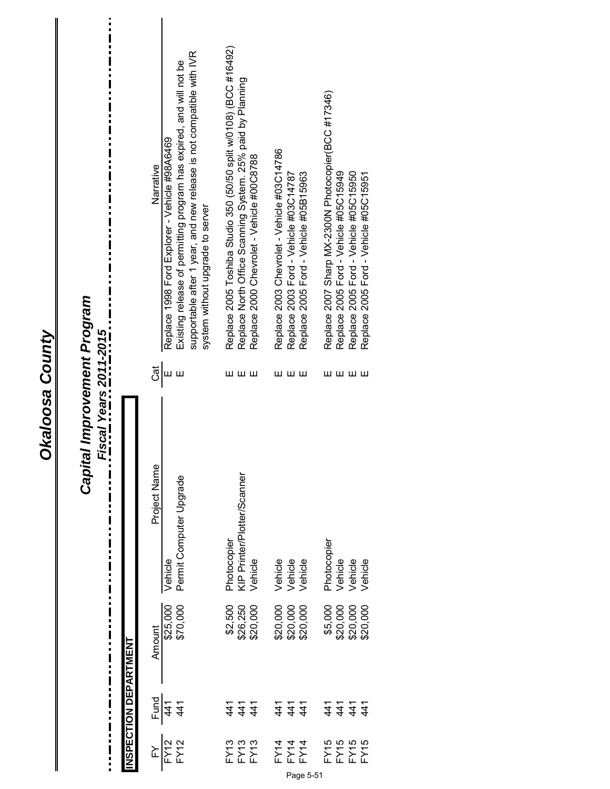|                      | <b>INSPECTION DEPARTMENT</b>                            |                      |                                        |        |                                                                                                                                                                                                                                  |
|----------------------|---------------------------------------------------------|----------------------|----------------------------------------|--------|----------------------------------------------------------------------------------------------------------------------------------------------------------------------------------------------------------------------------------|
| $\sum$               | Fund                                                    | Amount               | Project Name                           | Ğ      | Narrative                                                                                                                                                                                                                        |
| <b>FY12</b><br>FY12  | 441<br>41                                               | \$25,000<br>\$70,000 | Permit Computer Upgrade<br>Vehicle     | Ш<br>Ш | supportable after 1 year, and new release is not compatible with IVR<br>Existing release of permitting program has expired, and will not be<br>Replace 1998 Ford Explorer - Vehicle #98A6469<br>system without upgrade to server |
|                      |                                                         | \$2,500              | Photocopier                            | ш      | Replace 2005 Toshiba Studio 350 (50/50 split w/0108) (BCC #16492)                                                                                                                                                                |
| FY13<br>FY13<br>FY13 | $\frac{4}{1}$ $\frac{4}{1}$ $\frac{4}{1}$               | \$26,250<br>\$20,000 | KIP Printer/Plotter/Scanner<br>Vehicle | ய ய    | Replace North Office Scanning System. 25% paid by Planning<br>Replace 2000 Chevrolet - Vehicle #00C8788                                                                                                                          |
| FX14<br>FX14<br>FX14 | <u> 4 4 4</u><br>2 4 4                                  | \$20,000             | Vehicle                                | шш     | Replace 2003 Chevrolet - Vehicle #03C14786                                                                                                                                                                                       |
|                      |                                                         | \$20,000<br>\$20,000 | Vehicle                                |        | Replace 2003 Ford - Vehicle #03C14787                                                                                                                                                                                            |
|                      |                                                         |                      | Vehicle                                | ш      | Replace 2005 Ford - Vehicle #05B15963                                                                                                                                                                                            |
|                      |                                                         | \$5,000              | Photocopier                            | ш      | Replace 2007 Sharp MX-2300N Photocopier(BCC #17346)                                                                                                                                                                              |
| FY15<br>FY15<br>FY15 | $\frac{4}{1}$ $\frac{4}{1}$ $\frac{4}{1}$ $\frac{4}{1}$ | \$20,000             | Vehicle                                |        | Replace 2005 Ford - Vehicle #05C15949                                                                                                                                                                                            |
|                      |                                                         | \$20,000             | Vehicle                                | யயய    | Replace 2005 Ford - Vehicle #05C15950                                                                                                                                                                                            |
| 5k                   |                                                         | \$20,000             | Vehicle                                |        | Replace 2005 Ford - Vehicle #05C15951                                                                                                                                                                                            |

Okaloosa County

 $\mathbf{I}$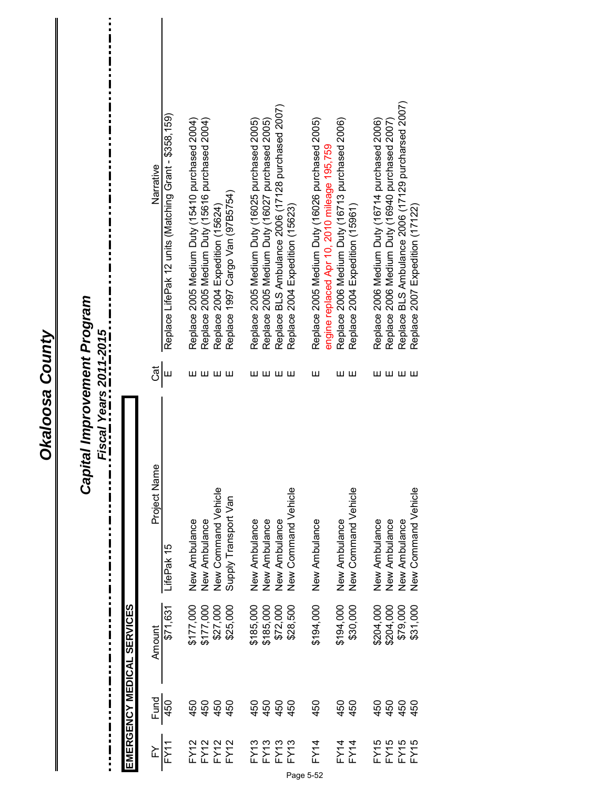**Okaloosa County** 

 $\ddot{\phantom{1}}$ 

 $\begin{array}{c} \hline \end{array}$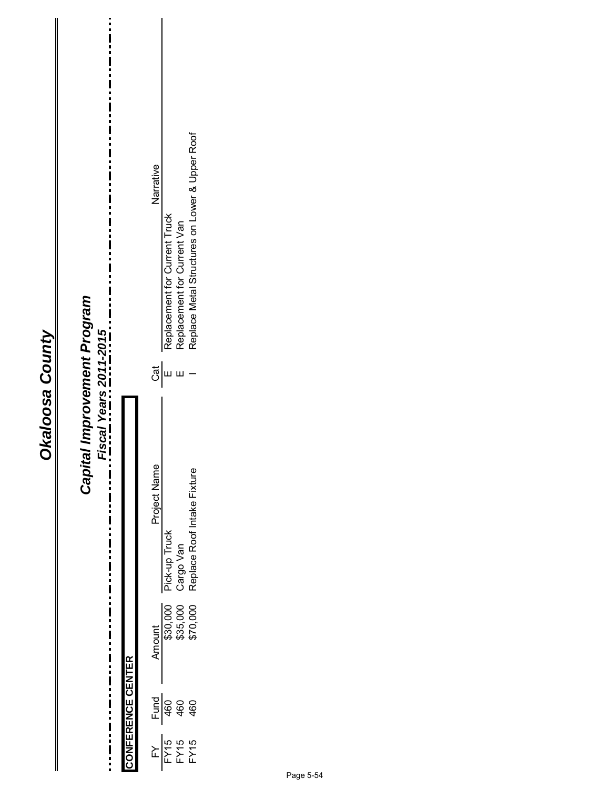| \$30,000<br>\$35,000<br>\$70,000 | tal Improvement Program<br>Fiscal Years 2011-2015<br>Capit |                          | Replace Metal Structures on Lower & Upper Roof<br>Narrative<br>Replacement for Current Truck<br>Replacement for Current Van<br>ູ້ອົ $\vert$ ມ<br>Ш<br>Project Name<br>Replace Roof Intake Fixture<br>Pick-up Truck<br>Cargo Van |
|----------------------------------|------------------------------------------------------------|--------------------------|---------------------------------------------------------------------------------------------------------------------------------------------------------------------------------------------------------------------------------|
|                                  |                                                            |                          |                                                                                                                                                                                                                                 |
|                                  |                                                            | <b>CONFERENCE CENTER</b> | Fund<br>460<br>460<br>460                                                                                                                                                                                                       |
|                                  |                                                            |                          | $\frac{FN}{FN15}$<br>$\frac{FN}{TN5}$                                                                                                                                                                                           |